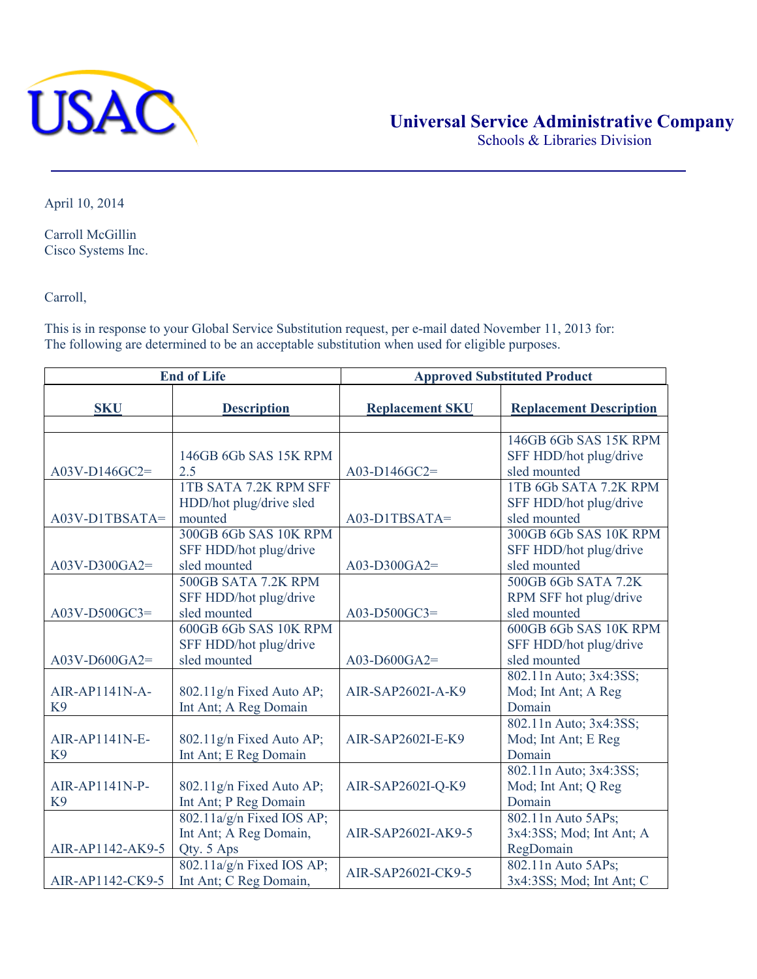

Schools & Libraries Division

April 10, 2014

Carroll McGillin Cisco Systems Inc.

Carroll,

This is in response to your Global Service Substitution request, per e-mail dated November 11, 2013 for: The following are determined to be an acceptable substitution when used for eligible purposes.

| <b>End of Life</b> |                              | <b>Approved Substituted Product</b> |                                |
|--------------------|------------------------------|-------------------------------------|--------------------------------|
| <b>SKU</b>         | <b>Description</b>           | <b>Replacement SKU</b>              | <b>Replacement Description</b> |
|                    |                              |                                     |                                |
|                    |                              |                                     | 146GB 6Gb SAS 15K RPM          |
|                    | 146GB 6Gb SAS 15K RPM        |                                     | SFF HDD/hot plug/drive         |
| $A03V-D146GC2=$    | 2.5                          | A03-D146GC2=                        | sled mounted                   |
|                    | <b>1TB SATA 7.2K RPM SFF</b> |                                     | 1TB 6Gb SATA 7.2K RPM          |
|                    | HDD/hot plug/drive sled      |                                     | SFF HDD/hot plug/drive         |
| A03V-D1TBSATA=     | mounted                      | A03-D1TBSATA=                       | sled mounted                   |
|                    | 300GB 6Gb SAS 10K RPM        |                                     | 300GB 6Gb SAS 10K RPM          |
|                    | SFF HDD/hot plug/drive       |                                     | SFF HDD/hot plug/drive         |
| $A03V-D300GA2=$    | sled mounted                 | $A03-D300GA2=$                      | sled mounted                   |
|                    | 500GB SATA 7.2K RPM          |                                     | 500GB 6Gb SATA 7.2K            |
|                    | SFF HDD/hot plug/drive       |                                     | RPM SFF hot plug/drive         |
| A03V-D500GC3=      | sled mounted                 | A03-D500GC3=                        | sled mounted                   |
|                    | 600GB 6Gb SAS 10K RPM        |                                     | 600GB 6Gb SAS 10K RPM          |
|                    | SFF HDD/hot plug/drive       |                                     | SFF HDD/hot plug/drive         |
| $A03V-D600GA2=$    | sled mounted                 | $A03-D600GA2=$                      | sled mounted                   |
|                    |                              |                                     | 802.11n Auto; 3x4:3SS;         |
| AIR-AP1141N-A-     | 802.11g/n Fixed Auto AP;     | AIR-SAP2602I-A-K9                   | Mod; Int Ant; A Reg            |
| K <sub>9</sub>     | Int Ant; A Reg Domain        |                                     | Domain                         |
|                    |                              |                                     | 802.11n Auto; 3x4:3SS;         |
| AIR-AP1141N-E-     | 802.11g/n Fixed Auto AP;     | AIR-SAP2602I-E-K9                   | Mod; Int Ant; E Reg            |
| K <sub>9</sub>     | Int Ant; E Reg Domain        |                                     | Domain                         |
|                    |                              |                                     | 802.11n Auto; 3x4:3SS;         |
| AIR-AP1141N-P-     | 802.11g/n Fixed Auto AP;     | AIR-SAP2602I-Q-K9                   | Mod; Int Ant; Q Reg            |
| K <sub>9</sub>     | Int Ant; P Reg Domain        |                                     | Domain                         |
|                    | 802.11a/g/n Fixed IOS AP;    |                                     | 802.11n Auto 5APs;             |
|                    | Int Ant; A Reg Domain,       | AIR-SAP2602I-AK9-5                  | 3x4:3SS; Mod; Int Ant; A       |
| AIR-AP1142-AK9-5   | Qty. 5 Aps                   |                                     | RegDomain                      |
|                    | 802.11a/g/n Fixed IOS AP;    | AIR-SAP2602I-CK9-5                  | 802.11n Auto 5APs;             |
| AIR-AP1142-CK9-5   | Int Ant; C Reg Domain,       |                                     | 3x4:3SS; Mod; Int Ant; C       |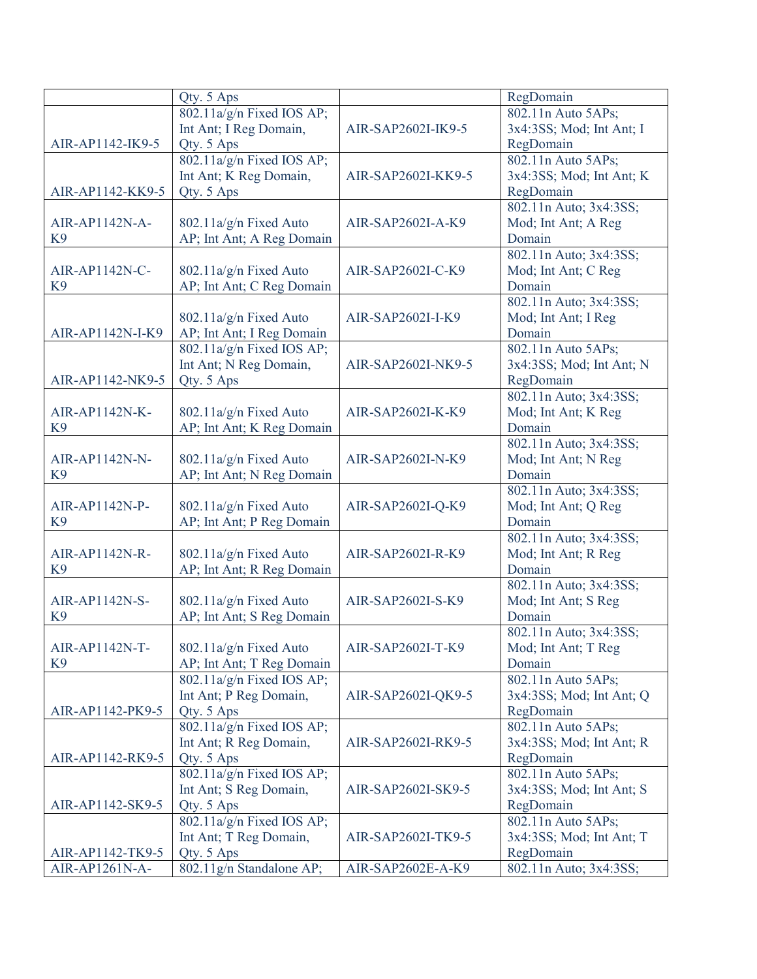|                  | Qty. 5 Aps                  |                    | RegDomain                |
|------------------|-----------------------------|--------------------|--------------------------|
|                  | 802.11a/g/n Fixed IOS AP;   |                    | 802.11n Auto 5APs;       |
|                  | Int Ant; I Reg Domain,      | AIR-SAP2602I-IK9-5 | 3x4:3SS; Mod; Int Ant; I |
| AIR-AP1142-IK9-5 | Qty. 5 Aps                  |                    | RegDomain                |
|                  | 802.11a/g/n Fixed IOS AP;   |                    | 802.11n Auto 5APs;       |
|                  | Int Ant; K Reg Domain,      | AIR-SAP2602I-KK9-5 | 3x4:3SS; Mod; Int Ant; K |
| AIR-AP1142-KK9-5 | Qty. 5 Aps                  |                    | RegDomain                |
|                  |                             |                    | 802.11n Auto; 3x4:3SS;   |
| AIR-AP1142N-A-   | 802.11a/g/n Fixed Auto      | AIR-SAP2602I-A-K9  | Mod; Int Ant; A Reg      |
| K <sub>9</sub>   | AP; Int Ant; A Reg Domain   |                    | Domain                   |
|                  |                             |                    | 802.11n Auto; 3x4:3SS;   |
| AIR-AP1142N-C-   | 802.11a/g/n Fixed Auto      | AIR-SAP2602I-C-K9  | Mod; Int Ant; C Reg      |
| K <sub>9</sub>   | AP; Int Ant; C Reg Domain   |                    | Domain                   |
|                  |                             |                    | 802.11n Auto; 3x4:3SS;   |
|                  | 802.11a/g/n Fixed Auto      | AIR-SAP2602I-I-K9  | Mod; Int Ant; I Reg      |
| AIR-AP1142N-I-K9 | AP; Int Ant; I Reg Domain   |                    | Domain                   |
|                  | 802.11a/g/n Fixed IOS AP;   |                    | 802.11n Auto 5APs;       |
|                  | Int Ant; N Reg Domain,      | AIR-SAP2602I-NK9-5 | 3x4:3SS; Mod; Int Ant; N |
| AIR-AP1142-NK9-5 | Qty. 5 Aps                  |                    | RegDomain                |
|                  |                             |                    | 802.11n Auto; 3x4:3SS;   |
| AIR-AP1142N-K-   | 802.11a/g/n Fixed Auto      | AIR-SAP2602I-K-K9  | Mod; Int Ant; K Reg      |
| K <sub>9</sub>   | AP; Int Ant; K Reg Domain   |                    | Domain                   |
|                  |                             |                    | 802.11n Auto; 3x4:3SS;   |
| AIR-AP1142N-N-   | 802.11a/g/n Fixed Auto      | AIR-SAP2602I-N-K9  | Mod; Int Ant; N Reg      |
| K <sub>9</sub>   | AP; Int Ant; N Reg Domain   |                    | Domain                   |
|                  |                             |                    | 802.11n Auto; 3x4:3SS;   |
| AIR-AP1142N-P-   | 802.11a/g/n Fixed Auto      | AIR-SAP2602I-Q-K9  | Mod; Int Ant; Q Reg      |
| K <sub>9</sub>   | AP; Int Ant; P Reg Domain   |                    | Domain                   |
|                  |                             |                    | 802.11n Auto; 3x4:3SS;   |
| AIR-AP1142N-R-   | 802.11a/g/n Fixed Auto      | AIR-SAP2602I-R-K9  | Mod; Int Ant; R Reg      |
| K <sub>9</sub>   | AP; Int Ant; R Reg Domain   |                    | Domain                   |
|                  |                             |                    | 802.11n Auto; 3x4:3SS;   |
| AIR-AP1142N-S-   | 802.11a/g/n Fixed Auto      | AIR-SAP2602I-S-K9  | Mod; Int Ant; S Reg      |
| K <sub>9</sub>   | AP; Int Ant; S Reg Domain   |                    | Domain                   |
|                  |                             |                    | 802.11n Auto; 3x4:3SS;   |
| AIR-AP1142N-T-   | 802.11a/g/n Fixed Auto      | AIR-SAP2602I-T-K9  | Mod; Int Ant; T Reg      |
| K <sub>9</sub>   | AP; Int Ant; T Reg Domain   |                    | Domain                   |
|                  | $802.11a/g/n$ Fixed IOS AP; |                    | 802.11n Auto 5APs;       |
|                  | Int Ant; P Reg Domain,      | AIR-SAP2602I-QK9-5 | 3x4:3SS; Mod; Int Ant; Q |
| AIR-AP1142-PK9-5 | Qty. 5 Aps                  |                    | RegDomain                |
|                  | 802.11a/g/n Fixed IOS AP;   |                    | 802.11n Auto 5APs;       |
|                  | Int Ant; R Reg Domain,      | AIR-SAP2602I-RK9-5 | 3x4:3SS; Mod; Int Ant; R |
| AIR-AP1142-RK9-5 | Qty. 5 Aps                  |                    | RegDomain                |
|                  | 802.11a/g/n Fixed IOS AP;   |                    | 802.11n Auto 5APs;       |
|                  | Int Ant; S Reg Domain,      | AIR-SAP2602I-SK9-5 | 3x4:3SS; Mod; Int Ant; S |
| AIR-AP1142-SK9-5 | Qty. 5 Aps                  |                    | RegDomain                |
|                  | 802.11a/g/n Fixed IOS AP;   |                    | 802.11n Auto 5APs;       |
|                  | Int Ant; T Reg Domain,      | AIR-SAP2602I-TK9-5 | 3x4:3SS; Mod; Int Ant; T |
| AIR-AP1142-TK9-5 | Qty. 5 Aps                  |                    | RegDomain                |
| AIR-AP1261N-A-   | 802.11g/n Standalone AP;    | AIR-SAP2602E-A-K9  | 802.11n Auto; 3x4:3SS;   |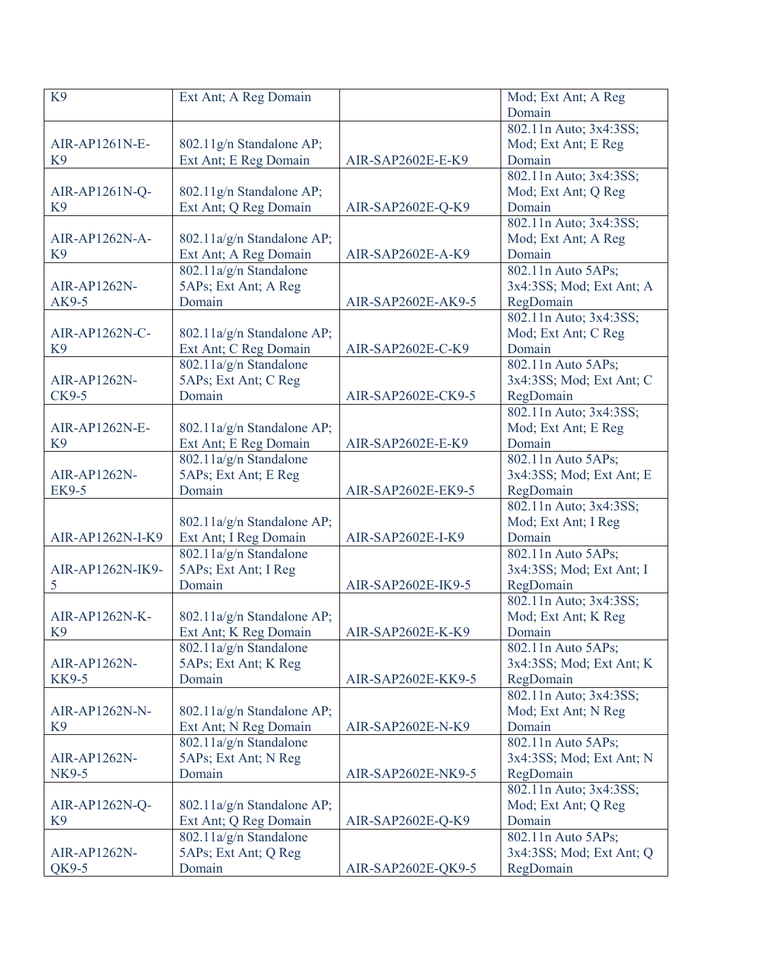| K <sub>9</sub>   | Ext Ant; A Reg Domain      |                    | Mod; Ext Ant; A Reg                 |
|------------------|----------------------------|--------------------|-------------------------------------|
|                  |                            |                    | Domain                              |
|                  |                            |                    | 802.11n Auto; 3x4:3SS;              |
| AIR-AP1261N-E-   | 802.11g/n Standalone AP;   |                    | Mod; Ext Ant; E Reg                 |
| K <sub>9</sub>   | Ext Ant; E Reg Domain      | AIR-SAP2602E-E-K9  | Domain                              |
|                  |                            |                    | 802.11n Auto; 3x4:3SS;              |
| AIR-AP1261N-Q-   | 802.11g/n Standalone AP;   |                    | Mod; Ext Ant; Q Reg                 |
| K <sub>9</sub>   | Ext Ant; Q Reg Domain      | AIR-SAP2602E-Q-K9  | Domain                              |
|                  |                            |                    | 802.11n Auto; 3x4:3SS;              |
| AIR-AP1262N-A-   | 802.11a/g/n Standalone AP; |                    | Mod; Ext Ant; A Reg                 |
| K <sub>9</sub>   | Ext Ant; A Reg Domain      | AIR-SAP2602E-A-K9  | Domain                              |
|                  | $802.11a/g/n$ Standalone   |                    | 802.11n Auto 5APs;                  |
| AIR-AP1262N-     | 5APs; Ext Ant; A Reg       |                    | 3x4:3SS; Mod; Ext Ant; A            |
| AK9-5            | Domain                     | AIR-SAP2602E-AK9-5 | RegDomain                           |
|                  |                            |                    | 802.11n Auto; 3x4:3SS;              |
| AIR-AP1262N-C-   | 802.11a/g/n Standalone AP; |                    | Mod; Ext Ant; C Reg                 |
| K <sub>9</sub>   | Ext Ant; C Reg Domain      | AIR-SAP2602E-C-K9  | Domain                              |
|                  | 802.11a/g/n Standalone     |                    | 802.11n Auto 5APs;                  |
| AIR-AP1262N-     | 5APs; Ext Ant; C Reg       |                    | 3x4:3SS; Mod; Ext Ant; C            |
| CK9-5            | Domain                     | AIR-SAP2602E-CK9-5 | RegDomain                           |
|                  |                            |                    | 802.11n Auto; 3x4:3SS;              |
| AIR-AP1262N-E-   | 802.11a/g/n Standalone AP; |                    | Mod; Ext Ant; E Reg                 |
| K <sub>9</sub>   | Ext Ant; E Reg Domain      | AIR-SAP2602E-E-K9  | Domain                              |
|                  | 802.11a/g/n Standalone     |                    | 802.11n Auto 5APs;                  |
| AIR-AP1262N-     | 5APs; Ext Ant; E Reg       |                    | 3x4:3SS; Mod; Ext Ant; E            |
| <b>EK9-5</b>     | Domain                     | AIR-SAP2602E-EK9-5 |                                     |
|                  |                            |                    | RegDomain<br>802.11n Auto; 3x4:3SS; |
|                  |                            |                    |                                     |
|                  | 802.11a/g/n Standalone AP; |                    | Mod; Ext Ant; I Reg                 |
| AIR-AP1262N-I-K9 | Ext Ant; I Reg Domain      | AIR-SAP2602E-I-K9  | Domain                              |
|                  | 802.11a/g/n Standalone     |                    | 802.11n Auto 5APs;                  |
| AIR-AP1262N-IK9- | 5APs; Ext Ant; I Reg       |                    | 3x4:3SS; Mod; Ext Ant; I            |
| 5                | Domain                     | AIR-SAP2602E-IK9-5 | RegDomain                           |
|                  |                            |                    | 802.11n Auto; 3x4:3SS;              |
| AIR-AP1262N-K-   | 802.11a/g/n Standalone AP; |                    | Mod; Ext Ant; K Reg                 |
| K <sub>9</sub>   | Ext Ant; K Reg Domain      | AIR-SAP2602E-K-K9  | Domain                              |
|                  | 802.11a/g/n Standalone     |                    | 802.11n Auto 5APs;                  |
| AIR-AP1262N-     | 5APs; Ext Ant; K Reg       |                    | 3x4:3SS; Mod; Ext Ant; K            |
| <b>KK9-5</b>     | Domain                     | AIR-SAP2602E-KK9-5 | RegDomain                           |
|                  |                            |                    | 802.11n Auto; 3x4:3SS;              |
| AIR-AP1262N-N-   | 802.11a/g/n Standalone AP; |                    | Mod; Ext Ant; N Reg                 |
| K <sub>9</sub>   | Ext Ant; N Reg Domain      | AIR-SAP2602E-N-K9  | Domain                              |
|                  | 802.11a/g/n Standalone     |                    | 802.11n Auto 5APs;                  |
| AIR-AP1262N-     | 5APs; Ext Ant; N Reg       |                    | 3x4:3SS; Mod; Ext Ant; N            |
| NK9-5            | Domain                     | AIR-SAP2602E-NK9-5 | RegDomain                           |
|                  |                            |                    | 802.11n Auto; 3x4:3SS;              |
| AIR-AP1262N-Q-   | 802.11a/g/n Standalone AP; |                    | Mod; Ext Ant; Q Reg                 |
| K <sub>9</sub>   | Ext Ant; Q Reg Domain      | AIR-SAP2602E-Q-K9  | Domain                              |
|                  | 802.11a/g/n Standalone     |                    | 802.11n Auto 5APs;                  |
| AIR-AP1262N-     | 5APs; Ext Ant; Q Reg       |                    | 3x4:3SS; Mod; Ext Ant; Q            |
| QK9-5            | Domain                     | AIR-SAP2602E-QK9-5 | RegDomain                           |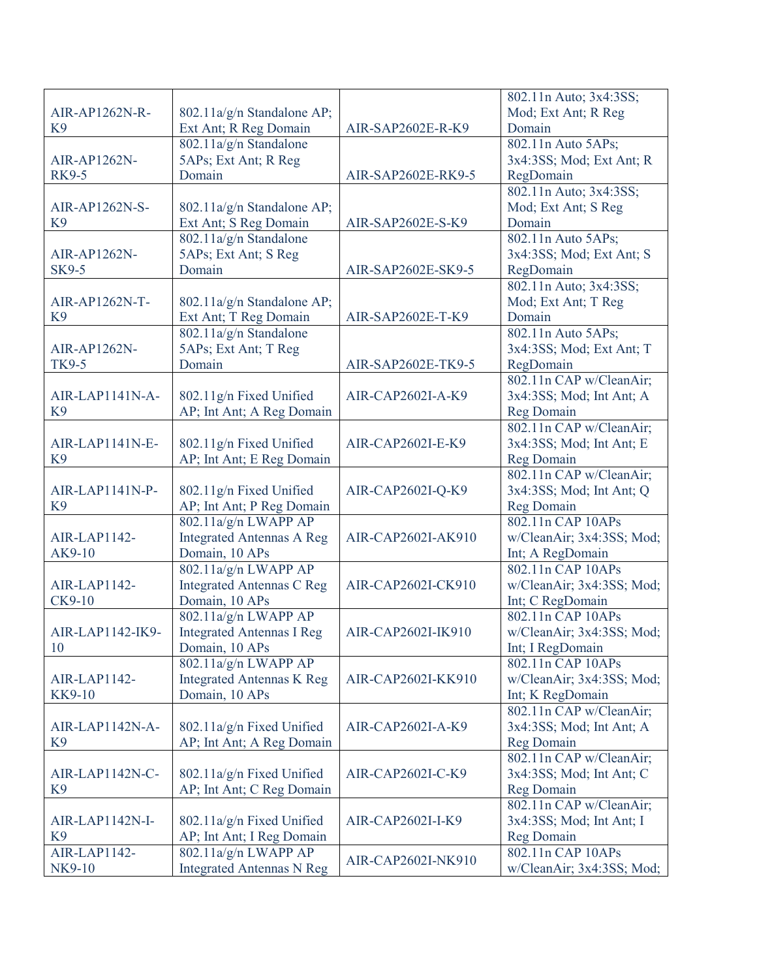|                  |                                  |                    | 802.11n Auto; 3x4:3SS;    |
|------------------|----------------------------------|--------------------|---------------------------|
| AIR-AP1262N-R-   | 802.11a/g/n Standalone AP;       |                    | Mod; Ext Ant; R Reg       |
| K <sub>9</sub>   | Ext Ant; R Reg Domain            | AIR-SAP2602E-R-K9  | Domain                    |
|                  | 802.11a/g/n Standalone           |                    | 802.11n Auto 5APs;        |
| AIR-AP1262N-     | 5APs; Ext Ant; R Reg             |                    | 3x4:3SS; Mod; Ext Ant; R  |
| <b>RK9-5</b>     | Domain                           | AIR-SAP2602E-RK9-5 | RegDomain                 |
|                  |                                  |                    | 802.11n Auto; 3x4:3SS;    |
| AIR-AP1262N-S-   | 802.11a/g/n Standalone AP;       |                    | Mod; Ext Ant; S Reg       |
| K <sub>9</sub>   | Ext Ant; S Reg Domain            | AIR-SAP2602E-S-K9  | Domain                    |
|                  | 802.11a/g/n Standalone           |                    | 802.11n Auto 5APs;        |
| AIR-AP1262N-     | 5APs; Ext Ant; S Reg             |                    | 3x4:3SS; Mod; Ext Ant; S  |
| <b>SK9-5</b>     | Domain                           | AIR-SAP2602E-SK9-5 | RegDomain                 |
|                  |                                  |                    | 802.11n Auto; 3x4:3SS;    |
| AIR-AP1262N-T-   |                                  |                    |                           |
|                  | 802.11a/g/n Standalone AP;       |                    | Mod; Ext Ant; T Reg       |
| K <sub>9</sub>   | Ext Ant; T Reg Domain            | AIR-SAP2602E-T-K9  | Domain                    |
|                  | 802.11a/g/n Standalone           |                    | 802.11n Auto 5APs;        |
| AIR-AP1262N-     | 5APs; Ext Ant; T Reg             |                    | 3x4:3SS; Mod; Ext Ant; T  |
| TK9-5            | Domain                           | AIR-SAP2602E-TK9-5 | RegDomain                 |
|                  |                                  |                    | 802.11n CAP w/CleanAir;   |
| AIR-LAP1141N-A-  | 802.11g/n Fixed Unified          | AIR-CAP2602I-A-K9  | 3x4:3SS; Mod; Int Ant; A  |
| K9               | AP; Int Ant; A Reg Domain        |                    | Reg Domain                |
|                  |                                  |                    | 802.11n CAP w/CleanAir;   |
| AIR-LAP1141N-E-  | 802.11g/n Fixed Unified          | AIR-CAP2602I-E-K9  | 3x4:3SS; Mod; Int Ant; E  |
| K <sub>9</sub>   | AP; Int Ant; E Reg Domain        |                    | <b>Reg Domain</b>         |
|                  |                                  |                    | 802.11n CAP w/CleanAir;   |
| AIR-LAP1141N-P-  | 802.11g/n Fixed Unified          | AIR-CAP2602I-Q-K9  | 3x4:3SS; Mod; Int Ant; Q  |
| K <sub>9</sub>   | AP; Int Ant; P Reg Domain        |                    | <b>Reg Domain</b>         |
|                  | 802.11a/g/n LWAPP AP             |                    | 802.11n CAP 10APs         |
| AIR-LAP1142-     | <b>Integrated Antennas A Reg</b> | AIR-CAP2602I-AK910 | w/CleanAir; 3x4:3SS; Mod; |
| AK9-10           | Domain, 10 APs                   |                    | Int; A RegDomain          |
|                  | 802.11a/g/n LWAPP AP             |                    | 802.11n CAP 10APs         |
| AIR-LAP1142-     | <b>Integrated Antennas C Reg</b> | AIR-CAP2602I-CK910 | w/CleanAir; 3x4:3SS; Mod; |
| $CK9-10$         | Domain, 10 APs                   |                    | Int; C RegDomain          |
|                  | 802.11a/g/n LWAPP AP             |                    | 802.11n CAP 10APs         |
| AIR-LAP1142-IK9- | <b>Integrated Antennas I Reg</b> | AIR-CAP2602I-IK910 | w/CleanAir; 3x4:3SS; Mod; |
| 10               | Domain, 10 APs                   |                    | Int; I RegDomain          |
|                  | 802.11a/g/n LWAPP AP             |                    | 802.11n CAP 10APs         |
| AIR-LAP1142-     | <b>Integrated Antennas K Reg</b> | AIR-CAP2602I-KK910 | w/CleanAir; 3x4:3SS; Mod; |
|                  |                                  |                    |                           |
| KK9-10           | Domain, 10 APs                   |                    | Int; K RegDomain          |
|                  |                                  |                    | 802.11n CAP w/CleanAir;   |
| AIR-LAP1142N-A-  | 802.11a/g/n Fixed Unified        | AIR-CAP2602I-A-K9  | 3x4:3SS; Mod; Int Ant; A  |
| K <sub>9</sub>   | AP; Int Ant; A Reg Domain        |                    | <b>Reg Domain</b>         |
|                  |                                  |                    | 802.11n CAP w/CleanAir;   |
| AIR-LAP1142N-C-  | 802.11a/g/n Fixed Unified        | AIR-CAP2602I-C-K9  | 3x4:3SS; Mod; Int Ant; C  |
| K <sub>9</sub>   | AP; Int Ant; C Reg Domain        |                    | <b>Reg Domain</b>         |
|                  |                                  |                    | 802.11n CAP w/CleanAir;   |
| AIR-LAP1142N-I-  | 802.11a/g/n Fixed Unified        | AIR-CAP2602I-I-K9  | 3x4:3SS; Mod; Int Ant; I  |
| K <sub>9</sub>   | AP; Int Ant; I Reg Domain        |                    | Reg Domain                |
| AIR-LAP1142-     | 802.11a/g/n LWAPP AP             | AIR-CAP2602I-NK910 | 802.11n CAP 10APs         |
| NK9-10           | <b>Integrated Antennas N Reg</b> |                    | w/CleanAir; 3x4:3SS; Mod; |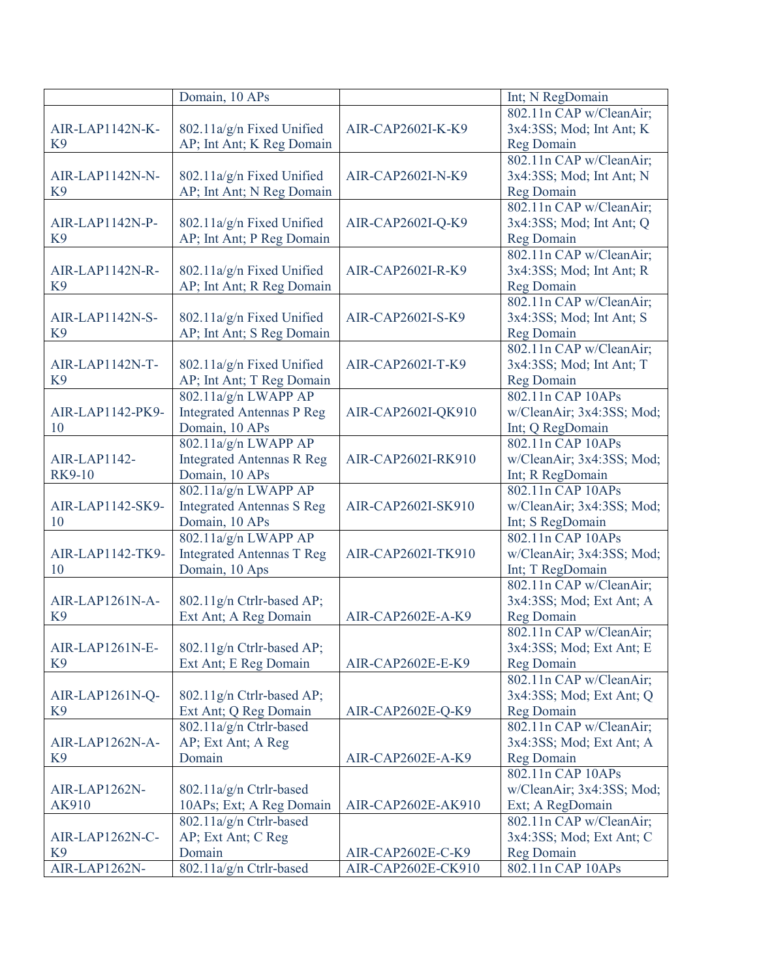| 802.11n CAP w/CleanAir;<br>3x4:3SS; Mod; Int Ant; K<br>AIR-LAP1142N-K-<br>802.11a/g/n Fixed Unified<br>AIR-CAP2602I-K-K9<br>K <sub>9</sub><br>AP; Int Ant; K Reg Domain<br><b>Reg Domain</b><br>802.11n CAP w/CleanAir;<br>802.11a/g/n Fixed Unified<br>3x4:3SS; Mod; Int Ant; N<br>AIR-LAP1142N-N-<br>AIR-CAP2602I-N-K9<br>K <sub>9</sub><br>AP; Int Ant; N Reg Domain<br><b>Reg Domain</b><br>802.11n CAP w/CleanAir;<br>802.11a/g/n Fixed Unified<br>3x4:3SS; Mod; Int Ant; Q<br>AIR-LAP1142N-P-<br>AIR-CAP2602I-Q-K9<br>K <sub>9</sub><br>AP; Int Ant; P Reg Domain<br>Reg Domain<br>802.11n CAP w/CleanAir;<br>AIR-LAP1142N-R-<br>802.11a/g/n Fixed Unified<br>3x4:3SS; Mod; Int Ant; R<br>AIR-CAP2602I-R-K9<br>K <sub>9</sub><br>AP; Int Ant; R Reg Domain<br>Reg Domain<br>802.11n CAP w/CleanAir;<br>802.11a/g/n Fixed Unified<br>3x4:3SS; Mod; Int Ant; S<br>AIR-LAP1142N-S-<br>AIR-CAP2602I-S-K9<br>K <sub>9</sub><br>AP; Int Ant; S Reg Domain<br><b>Reg Domain</b><br>802.11n CAP w/CleanAir;<br>AIR-LAP1142N-T-<br>3x4:3SS; Mod; Int Ant; T<br>802.11a/g/n Fixed Unified<br>AIR-CAP2602I-T-K9<br>AP; Int Ant; T Reg Domain<br>Reg Domain<br>K <sub>9</sub><br>802.11a/g/n LWAPP AP<br>802.11n CAP 10APs<br><b>Integrated Antennas P Reg</b><br>AIR-LAP1142-PK9-<br>AIR-CAP2602I-QK910<br>w/CleanAir; 3x4:3SS; Mod;<br>Domain, 10 APs<br>10<br>Int; Q RegDomain<br>802.11a/g/n LWAPP AP<br>802.11n CAP 10APs<br>AIR-LAP1142-<br><b>Integrated Antennas R Reg</b><br>w/CleanAir; 3x4:3SS; Mod;<br>AIR-CAP2602I-RK910<br><b>RK9-10</b><br>Domain, 10 APs<br>Int; R RegDomain<br>802.11a/g/n LWAPP AP<br>802.11n CAP 10APs<br><b>Integrated Antennas S Reg</b><br>AIR-LAP1142-SK9-<br>AIR-CAP2602I-SK910<br>w/CleanAir; 3x4:3SS; Mod;<br>Domain, 10 APs<br>10<br>Int; S RegDomain<br>802.11a/g/n LWAPP AP<br>802.11n CAP 10APs<br><b>Integrated Antennas T Reg</b><br>AIR-LAP1142-TK9-<br>AIR-CAP2602I-TK910<br>w/CleanAir; 3x4:3SS; Mod;<br>10<br>Domain, 10 Aps<br>Int; T RegDomain<br>802.11n CAP w/CleanAir;<br>3x4:3SS; Mod; Ext Ant; A<br>AIR-LAP1261N-A-<br>802.11g/n Ctrlr-based AP;<br>Ext Ant; A Reg Domain<br>Reg Domain<br>K <sub>9</sub><br>AIR-CAP2602E-A-K9<br>802.11n CAP w/CleanAir;<br>AIR-LAP1261N-E-<br>802.11g/n Ctrlr-based AP;<br>3x4:3SS; Mod; Ext Ant; E<br>K <sub>9</sub><br>Ext Ant; E Reg Domain<br>AIR-CAP2602E-E-K9<br><b>Reg Domain</b><br>802.11n CAP w/CleanAir;<br>3x4:3SS; Mod; Ext Ant; Q<br>AIR-LAP1261N-Q-<br>802.11g/n Ctrlr-based AP;<br>K <sub>9</sub><br>Ext Ant; Q Reg Domain<br><b>Reg Domain</b><br>AIR-CAP2602E-Q-K9<br>802.11a/g/n Ctrlr-based<br>802.11n CAP w/CleanAir;<br>AP; Ext Ant; A Reg<br>AIR-LAP1262N-A-<br>3x4:3SS; Mod; Ext Ant; A<br>Domain<br>K <sub>9</sub><br>Reg Domain<br>AIR-CAP2602E-A-K9<br>802.11n CAP 10APs<br>AIR-LAP1262N-<br>802.11a/g/n Ctrlr-based<br>w/CleanAir; 3x4:3SS; Mod;<br>AK910<br>10APs; Ext; A Reg Domain<br>AIR-CAP2602E-AK910<br>Ext; A RegDomain<br>802.11a/g/n Ctrlr-based<br>802.11n CAP w/CleanAir;<br>3x4:3SS; Mod; Ext Ant; C<br>AP; Ext Ant; C Reg<br>AIR-LAP1262N-C-<br>K <sub>9</sub><br>Domain<br><b>Reg Domain</b><br>AIR-CAP2602E-C-K9 |               | Domain, 10 APs          |                    | Int; N RegDomain  |
|-----------------------------------------------------------------------------------------------------------------------------------------------------------------------------------------------------------------------------------------------------------------------------------------------------------------------------------------------------------------------------------------------------------------------------------------------------------------------------------------------------------------------------------------------------------------------------------------------------------------------------------------------------------------------------------------------------------------------------------------------------------------------------------------------------------------------------------------------------------------------------------------------------------------------------------------------------------------------------------------------------------------------------------------------------------------------------------------------------------------------------------------------------------------------------------------------------------------------------------------------------------------------------------------------------------------------------------------------------------------------------------------------------------------------------------------------------------------------------------------------------------------------------------------------------------------------------------------------------------------------------------------------------------------------------------------------------------------------------------------------------------------------------------------------------------------------------------------------------------------------------------------------------------------------------------------------------------------------------------------------------------------------------------------------------------------------------------------------------------------------------------------------------------------------------------------------------------------------------------------------------------------------------------------------------------------------------------------------------------------------------------------------------------------------------------------------------------------------------------------------------------------------------------------------------------------------------------------------------------------------------------------------------------------------------------------------------------------------------------------------------------------------------------------------------------------------------------------------------------------------------------------------------------------------------------------------------------------------------------------------------------------------------------------------------------------------------------------------------------------------------------------------------|---------------|-------------------------|--------------------|-------------------|
|                                                                                                                                                                                                                                                                                                                                                                                                                                                                                                                                                                                                                                                                                                                                                                                                                                                                                                                                                                                                                                                                                                                                                                                                                                                                                                                                                                                                                                                                                                                                                                                                                                                                                                                                                                                                                                                                                                                                                                                                                                                                                                                                                                                                                                                                                                                                                                                                                                                                                                                                                                                                                                                                                                                                                                                                                                                                                                                                                                                                                                                                                                                                                     |               |                         |                    |                   |
|                                                                                                                                                                                                                                                                                                                                                                                                                                                                                                                                                                                                                                                                                                                                                                                                                                                                                                                                                                                                                                                                                                                                                                                                                                                                                                                                                                                                                                                                                                                                                                                                                                                                                                                                                                                                                                                                                                                                                                                                                                                                                                                                                                                                                                                                                                                                                                                                                                                                                                                                                                                                                                                                                                                                                                                                                                                                                                                                                                                                                                                                                                                                                     |               |                         |                    |                   |
|                                                                                                                                                                                                                                                                                                                                                                                                                                                                                                                                                                                                                                                                                                                                                                                                                                                                                                                                                                                                                                                                                                                                                                                                                                                                                                                                                                                                                                                                                                                                                                                                                                                                                                                                                                                                                                                                                                                                                                                                                                                                                                                                                                                                                                                                                                                                                                                                                                                                                                                                                                                                                                                                                                                                                                                                                                                                                                                                                                                                                                                                                                                                                     |               |                         |                    |                   |
|                                                                                                                                                                                                                                                                                                                                                                                                                                                                                                                                                                                                                                                                                                                                                                                                                                                                                                                                                                                                                                                                                                                                                                                                                                                                                                                                                                                                                                                                                                                                                                                                                                                                                                                                                                                                                                                                                                                                                                                                                                                                                                                                                                                                                                                                                                                                                                                                                                                                                                                                                                                                                                                                                                                                                                                                                                                                                                                                                                                                                                                                                                                                                     |               |                         |                    |                   |
|                                                                                                                                                                                                                                                                                                                                                                                                                                                                                                                                                                                                                                                                                                                                                                                                                                                                                                                                                                                                                                                                                                                                                                                                                                                                                                                                                                                                                                                                                                                                                                                                                                                                                                                                                                                                                                                                                                                                                                                                                                                                                                                                                                                                                                                                                                                                                                                                                                                                                                                                                                                                                                                                                                                                                                                                                                                                                                                                                                                                                                                                                                                                                     |               |                         |                    |                   |
|                                                                                                                                                                                                                                                                                                                                                                                                                                                                                                                                                                                                                                                                                                                                                                                                                                                                                                                                                                                                                                                                                                                                                                                                                                                                                                                                                                                                                                                                                                                                                                                                                                                                                                                                                                                                                                                                                                                                                                                                                                                                                                                                                                                                                                                                                                                                                                                                                                                                                                                                                                                                                                                                                                                                                                                                                                                                                                                                                                                                                                                                                                                                                     |               |                         |                    |                   |
|                                                                                                                                                                                                                                                                                                                                                                                                                                                                                                                                                                                                                                                                                                                                                                                                                                                                                                                                                                                                                                                                                                                                                                                                                                                                                                                                                                                                                                                                                                                                                                                                                                                                                                                                                                                                                                                                                                                                                                                                                                                                                                                                                                                                                                                                                                                                                                                                                                                                                                                                                                                                                                                                                                                                                                                                                                                                                                                                                                                                                                                                                                                                                     |               |                         |                    |                   |
|                                                                                                                                                                                                                                                                                                                                                                                                                                                                                                                                                                                                                                                                                                                                                                                                                                                                                                                                                                                                                                                                                                                                                                                                                                                                                                                                                                                                                                                                                                                                                                                                                                                                                                                                                                                                                                                                                                                                                                                                                                                                                                                                                                                                                                                                                                                                                                                                                                                                                                                                                                                                                                                                                                                                                                                                                                                                                                                                                                                                                                                                                                                                                     |               |                         |                    |                   |
|                                                                                                                                                                                                                                                                                                                                                                                                                                                                                                                                                                                                                                                                                                                                                                                                                                                                                                                                                                                                                                                                                                                                                                                                                                                                                                                                                                                                                                                                                                                                                                                                                                                                                                                                                                                                                                                                                                                                                                                                                                                                                                                                                                                                                                                                                                                                                                                                                                                                                                                                                                                                                                                                                                                                                                                                                                                                                                                                                                                                                                                                                                                                                     |               |                         |                    |                   |
|                                                                                                                                                                                                                                                                                                                                                                                                                                                                                                                                                                                                                                                                                                                                                                                                                                                                                                                                                                                                                                                                                                                                                                                                                                                                                                                                                                                                                                                                                                                                                                                                                                                                                                                                                                                                                                                                                                                                                                                                                                                                                                                                                                                                                                                                                                                                                                                                                                                                                                                                                                                                                                                                                                                                                                                                                                                                                                                                                                                                                                                                                                                                                     |               |                         |                    |                   |
|                                                                                                                                                                                                                                                                                                                                                                                                                                                                                                                                                                                                                                                                                                                                                                                                                                                                                                                                                                                                                                                                                                                                                                                                                                                                                                                                                                                                                                                                                                                                                                                                                                                                                                                                                                                                                                                                                                                                                                                                                                                                                                                                                                                                                                                                                                                                                                                                                                                                                                                                                                                                                                                                                                                                                                                                                                                                                                                                                                                                                                                                                                                                                     |               |                         |                    |                   |
|                                                                                                                                                                                                                                                                                                                                                                                                                                                                                                                                                                                                                                                                                                                                                                                                                                                                                                                                                                                                                                                                                                                                                                                                                                                                                                                                                                                                                                                                                                                                                                                                                                                                                                                                                                                                                                                                                                                                                                                                                                                                                                                                                                                                                                                                                                                                                                                                                                                                                                                                                                                                                                                                                                                                                                                                                                                                                                                                                                                                                                                                                                                                                     |               |                         |                    |                   |
|                                                                                                                                                                                                                                                                                                                                                                                                                                                                                                                                                                                                                                                                                                                                                                                                                                                                                                                                                                                                                                                                                                                                                                                                                                                                                                                                                                                                                                                                                                                                                                                                                                                                                                                                                                                                                                                                                                                                                                                                                                                                                                                                                                                                                                                                                                                                                                                                                                                                                                                                                                                                                                                                                                                                                                                                                                                                                                                                                                                                                                                                                                                                                     |               |                         |                    |                   |
|                                                                                                                                                                                                                                                                                                                                                                                                                                                                                                                                                                                                                                                                                                                                                                                                                                                                                                                                                                                                                                                                                                                                                                                                                                                                                                                                                                                                                                                                                                                                                                                                                                                                                                                                                                                                                                                                                                                                                                                                                                                                                                                                                                                                                                                                                                                                                                                                                                                                                                                                                                                                                                                                                                                                                                                                                                                                                                                                                                                                                                                                                                                                                     |               |                         |                    |                   |
|                                                                                                                                                                                                                                                                                                                                                                                                                                                                                                                                                                                                                                                                                                                                                                                                                                                                                                                                                                                                                                                                                                                                                                                                                                                                                                                                                                                                                                                                                                                                                                                                                                                                                                                                                                                                                                                                                                                                                                                                                                                                                                                                                                                                                                                                                                                                                                                                                                                                                                                                                                                                                                                                                                                                                                                                                                                                                                                                                                                                                                                                                                                                                     |               |                         |                    |                   |
|                                                                                                                                                                                                                                                                                                                                                                                                                                                                                                                                                                                                                                                                                                                                                                                                                                                                                                                                                                                                                                                                                                                                                                                                                                                                                                                                                                                                                                                                                                                                                                                                                                                                                                                                                                                                                                                                                                                                                                                                                                                                                                                                                                                                                                                                                                                                                                                                                                                                                                                                                                                                                                                                                                                                                                                                                                                                                                                                                                                                                                                                                                                                                     |               |                         |                    |                   |
|                                                                                                                                                                                                                                                                                                                                                                                                                                                                                                                                                                                                                                                                                                                                                                                                                                                                                                                                                                                                                                                                                                                                                                                                                                                                                                                                                                                                                                                                                                                                                                                                                                                                                                                                                                                                                                                                                                                                                                                                                                                                                                                                                                                                                                                                                                                                                                                                                                                                                                                                                                                                                                                                                                                                                                                                                                                                                                                                                                                                                                                                                                                                                     |               |                         |                    |                   |
|                                                                                                                                                                                                                                                                                                                                                                                                                                                                                                                                                                                                                                                                                                                                                                                                                                                                                                                                                                                                                                                                                                                                                                                                                                                                                                                                                                                                                                                                                                                                                                                                                                                                                                                                                                                                                                                                                                                                                                                                                                                                                                                                                                                                                                                                                                                                                                                                                                                                                                                                                                                                                                                                                                                                                                                                                                                                                                                                                                                                                                                                                                                                                     |               |                         |                    |                   |
|                                                                                                                                                                                                                                                                                                                                                                                                                                                                                                                                                                                                                                                                                                                                                                                                                                                                                                                                                                                                                                                                                                                                                                                                                                                                                                                                                                                                                                                                                                                                                                                                                                                                                                                                                                                                                                                                                                                                                                                                                                                                                                                                                                                                                                                                                                                                                                                                                                                                                                                                                                                                                                                                                                                                                                                                                                                                                                                                                                                                                                                                                                                                                     |               |                         |                    |                   |
|                                                                                                                                                                                                                                                                                                                                                                                                                                                                                                                                                                                                                                                                                                                                                                                                                                                                                                                                                                                                                                                                                                                                                                                                                                                                                                                                                                                                                                                                                                                                                                                                                                                                                                                                                                                                                                                                                                                                                                                                                                                                                                                                                                                                                                                                                                                                                                                                                                                                                                                                                                                                                                                                                                                                                                                                                                                                                                                                                                                                                                                                                                                                                     |               |                         |                    |                   |
|                                                                                                                                                                                                                                                                                                                                                                                                                                                                                                                                                                                                                                                                                                                                                                                                                                                                                                                                                                                                                                                                                                                                                                                                                                                                                                                                                                                                                                                                                                                                                                                                                                                                                                                                                                                                                                                                                                                                                                                                                                                                                                                                                                                                                                                                                                                                                                                                                                                                                                                                                                                                                                                                                                                                                                                                                                                                                                                                                                                                                                                                                                                                                     |               |                         |                    |                   |
|                                                                                                                                                                                                                                                                                                                                                                                                                                                                                                                                                                                                                                                                                                                                                                                                                                                                                                                                                                                                                                                                                                                                                                                                                                                                                                                                                                                                                                                                                                                                                                                                                                                                                                                                                                                                                                                                                                                                                                                                                                                                                                                                                                                                                                                                                                                                                                                                                                                                                                                                                                                                                                                                                                                                                                                                                                                                                                                                                                                                                                                                                                                                                     |               |                         |                    |                   |
|                                                                                                                                                                                                                                                                                                                                                                                                                                                                                                                                                                                                                                                                                                                                                                                                                                                                                                                                                                                                                                                                                                                                                                                                                                                                                                                                                                                                                                                                                                                                                                                                                                                                                                                                                                                                                                                                                                                                                                                                                                                                                                                                                                                                                                                                                                                                                                                                                                                                                                                                                                                                                                                                                                                                                                                                                                                                                                                                                                                                                                                                                                                                                     |               |                         |                    |                   |
|                                                                                                                                                                                                                                                                                                                                                                                                                                                                                                                                                                                                                                                                                                                                                                                                                                                                                                                                                                                                                                                                                                                                                                                                                                                                                                                                                                                                                                                                                                                                                                                                                                                                                                                                                                                                                                                                                                                                                                                                                                                                                                                                                                                                                                                                                                                                                                                                                                                                                                                                                                                                                                                                                                                                                                                                                                                                                                                                                                                                                                                                                                                                                     |               |                         |                    |                   |
|                                                                                                                                                                                                                                                                                                                                                                                                                                                                                                                                                                                                                                                                                                                                                                                                                                                                                                                                                                                                                                                                                                                                                                                                                                                                                                                                                                                                                                                                                                                                                                                                                                                                                                                                                                                                                                                                                                                                                                                                                                                                                                                                                                                                                                                                                                                                                                                                                                                                                                                                                                                                                                                                                                                                                                                                                                                                                                                                                                                                                                                                                                                                                     |               |                         |                    |                   |
|                                                                                                                                                                                                                                                                                                                                                                                                                                                                                                                                                                                                                                                                                                                                                                                                                                                                                                                                                                                                                                                                                                                                                                                                                                                                                                                                                                                                                                                                                                                                                                                                                                                                                                                                                                                                                                                                                                                                                                                                                                                                                                                                                                                                                                                                                                                                                                                                                                                                                                                                                                                                                                                                                                                                                                                                                                                                                                                                                                                                                                                                                                                                                     |               |                         |                    |                   |
|                                                                                                                                                                                                                                                                                                                                                                                                                                                                                                                                                                                                                                                                                                                                                                                                                                                                                                                                                                                                                                                                                                                                                                                                                                                                                                                                                                                                                                                                                                                                                                                                                                                                                                                                                                                                                                                                                                                                                                                                                                                                                                                                                                                                                                                                                                                                                                                                                                                                                                                                                                                                                                                                                                                                                                                                                                                                                                                                                                                                                                                                                                                                                     |               |                         |                    |                   |
|                                                                                                                                                                                                                                                                                                                                                                                                                                                                                                                                                                                                                                                                                                                                                                                                                                                                                                                                                                                                                                                                                                                                                                                                                                                                                                                                                                                                                                                                                                                                                                                                                                                                                                                                                                                                                                                                                                                                                                                                                                                                                                                                                                                                                                                                                                                                                                                                                                                                                                                                                                                                                                                                                                                                                                                                                                                                                                                                                                                                                                                                                                                                                     |               |                         |                    |                   |
|                                                                                                                                                                                                                                                                                                                                                                                                                                                                                                                                                                                                                                                                                                                                                                                                                                                                                                                                                                                                                                                                                                                                                                                                                                                                                                                                                                                                                                                                                                                                                                                                                                                                                                                                                                                                                                                                                                                                                                                                                                                                                                                                                                                                                                                                                                                                                                                                                                                                                                                                                                                                                                                                                                                                                                                                                                                                                                                                                                                                                                                                                                                                                     |               |                         |                    |                   |
|                                                                                                                                                                                                                                                                                                                                                                                                                                                                                                                                                                                                                                                                                                                                                                                                                                                                                                                                                                                                                                                                                                                                                                                                                                                                                                                                                                                                                                                                                                                                                                                                                                                                                                                                                                                                                                                                                                                                                                                                                                                                                                                                                                                                                                                                                                                                                                                                                                                                                                                                                                                                                                                                                                                                                                                                                                                                                                                                                                                                                                                                                                                                                     |               |                         |                    |                   |
|                                                                                                                                                                                                                                                                                                                                                                                                                                                                                                                                                                                                                                                                                                                                                                                                                                                                                                                                                                                                                                                                                                                                                                                                                                                                                                                                                                                                                                                                                                                                                                                                                                                                                                                                                                                                                                                                                                                                                                                                                                                                                                                                                                                                                                                                                                                                                                                                                                                                                                                                                                                                                                                                                                                                                                                                                                                                                                                                                                                                                                                                                                                                                     |               |                         |                    |                   |
|                                                                                                                                                                                                                                                                                                                                                                                                                                                                                                                                                                                                                                                                                                                                                                                                                                                                                                                                                                                                                                                                                                                                                                                                                                                                                                                                                                                                                                                                                                                                                                                                                                                                                                                                                                                                                                                                                                                                                                                                                                                                                                                                                                                                                                                                                                                                                                                                                                                                                                                                                                                                                                                                                                                                                                                                                                                                                                                                                                                                                                                                                                                                                     |               |                         |                    |                   |
|                                                                                                                                                                                                                                                                                                                                                                                                                                                                                                                                                                                                                                                                                                                                                                                                                                                                                                                                                                                                                                                                                                                                                                                                                                                                                                                                                                                                                                                                                                                                                                                                                                                                                                                                                                                                                                                                                                                                                                                                                                                                                                                                                                                                                                                                                                                                                                                                                                                                                                                                                                                                                                                                                                                                                                                                                                                                                                                                                                                                                                                                                                                                                     |               |                         |                    |                   |
|                                                                                                                                                                                                                                                                                                                                                                                                                                                                                                                                                                                                                                                                                                                                                                                                                                                                                                                                                                                                                                                                                                                                                                                                                                                                                                                                                                                                                                                                                                                                                                                                                                                                                                                                                                                                                                                                                                                                                                                                                                                                                                                                                                                                                                                                                                                                                                                                                                                                                                                                                                                                                                                                                                                                                                                                                                                                                                                                                                                                                                                                                                                                                     |               |                         |                    |                   |
|                                                                                                                                                                                                                                                                                                                                                                                                                                                                                                                                                                                                                                                                                                                                                                                                                                                                                                                                                                                                                                                                                                                                                                                                                                                                                                                                                                                                                                                                                                                                                                                                                                                                                                                                                                                                                                                                                                                                                                                                                                                                                                                                                                                                                                                                                                                                                                                                                                                                                                                                                                                                                                                                                                                                                                                                                                                                                                                                                                                                                                                                                                                                                     |               |                         |                    |                   |
|                                                                                                                                                                                                                                                                                                                                                                                                                                                                                                                                                                                                                                                                                                                                                                                                                                                                                                                                                                                                                                                                                                                                                                                                                                                                                                                                                                                                                                                                                                                                                                                                                                                                                                                                                                                                                                                                                                                                                                                                                                                                                                                                                                                                                                                                                                                                                                                                                                                                                                                                                                                                                                                                                                                                                                                                                                                                                                                                                                                                                                                                                                                                                     |               |                         |                    |                   |
|                                                                                                                                                                                                                                                                                                                                                                                                                                                                                                                                                                                                                                                                                                                                                                                                                                                                                                                                                                                                                                                                                                                                                                                                                                                                                                                                                                                                                                                                                                                                                                                                                                                                                                                                                                                                                                                                                                                                                                                                                                                                                                                                                                                                                                                                                                                                                                                                                                                                                                                                                                                                                                                                                                                                                                                                                                                                                                                                                                                                                                                                                                                                                     |               |                         |                    |                   |
|                                                                                                                                                                                                                                                                                                                                                                                                                                                                                                                                                                                                                                                                                                                                                                                                                                                                                                                                                                                                                                                                                                                                                                                                                                                                                                                                                                                                                                                                                                                                                                                                                                                                                                                                                                                                                                                                                                                                                                                                                                                                                                                                                                                                                                                                                                                                                                                                                                                                                                                                                                                                                                                                                                                                                                                                                                                                                                                                                                                                                                                                                                                                                     |               |                         |                    |                   |
|                                                                                                                                                                                                                                                                                                                                                                                                                                                                                                                                                                                                                                                                                                                                                                                                                                                                                                                                                                                                                                                                                                                                                                                                                                                                                                                                                                                                                                                                                                                                                                                                                                                                                                                                                                                                                                                                                                                                                                                                                                                                                                                                                                                                                                                                                                                                                                                                                                                                                                                                                                                                                                                                                                                                                                                                                                                                                                                                                                                                                                                                                                                                                     |               |                         |                    |                   |
|                                                                                                                                                                                                                                                                                                                                                                                                                                                                                                                                                                                                                                                                                                                                                                                                                                                                                                                                                                                                                                                                                                                                                                                                                                                                                                                                                                                                                                                                                                                                                                                                                                                                                                                                                                                                                                                                                                                                                                                                                                                                                                                                                                                                                                                                                                                                                                                                                                                                                                                                                                                                                                                                                                                                                                                                                                                                                                                                                                                                                                                                                                                                                     |               |                         |                    |                   |
|                                                                                                                                                                                                                                                                                                                                                                                                                                                                                                                                                                                                                                                                                                                                                                                                                                                                                                                                                                                                                                                                                                                                                                                                                                                                                                                                                                                                                                                                                                                                                                                                                                                                                                                                                                                                                                                                                                                                                                                                                                                                                                                                                                                                                                                                                                                                                                                                                                                                                                                                                                                                                                                                                                                                                                                                                                                                                                                                                                                                                                                                                                                                                     |               |                         |                    |                   |
|                                                                                                                                                                                                                                                                                                                                                                                                                                                                                                                                                                                                                                                                                                                                                                                                                                                                                                                                                                                                                                                                                                                                                                                                                                                                                                                                                                                                                                                                                                                                                                                                                                                                                                                                                                                                                                                                                                                                                                                                                                                                                                                                                                                                                                                                                                                                                                                                                                                                                                                                                                                                                                                                                                                                                                                                                                                                                                                                                                                                                                                                                                                                                     |               |                         |                    |                   |
|                                                                                                                                                                                                                                                                                                                                                                                                                                                                                                                                                                                                                                                                                                                                                                                                                                                                                                                                                                                                                                                                                                                                                                                                                                                                                                                                                                                                                                                                                                                                                                                                                                                                                                                                                                                                                                                                                                                                                                                                                                                                                                                                                                                                                                                                                                                                                                                                                                                                                                                                                                                                                                                                                                                                                                                                                                                                                                                                                                                                                                                                                                                                                     |               |                         |                    |                   |
|                                                                                                                                                                                                                                                                                                                                                                                                                                                                                                                                                                                                                                                                                                                                                                                                                                                                                                                                                                                                                                                                                                                                                                                                                                                                                                                                                                                                                                                                                                                                                                                                                                                                                                                                                                                                                                                                                                                                                                                                                                                                                                                                                                                                                                                                                                                                                                                                                                                                                                                                                                                                                                                                                                                                                                                                                                                                                                                                                                                                                                                                                                                                                     |               |                         |                    |                   |
|                                                                                                                                                                                                                                                                                                                                                                                                                                                                                                                                                                                                                                                                                                                                                                                                                                                                                                                                                                                                                                                                                                                                                                                                                                                                                                                                                                                                                                                                                                                                                                                                                                                                                                                                                                                                                                                                                                                                                                                                                                                                                                                                                                                                                                                                                                                                                                                                                                                                                                                                                                                                                                                                                                                                                                                                                                                                                                                                                                                                                                                                                                                                                     |               |                         |                    |                   |
|                                                                                                                                                                                                                                                                                                                                                                                                                                                                                                                                                                                                                                                                                                                                                                                                                                                                                                                                                                                                                                                                                                                                                                                                                                                                                                                                                                                                                                                                                                                                                                                                                                                                                                                                                                                                                                                                                                                                                                                                                                                                                                                                                                                                                                                                                                                                                                                                                                                                                                                                                                                                                                                                                                                                                                                                                                                                                                                                                                                                                                                                                                                                                     |               |                         |                    |                   |
|                                                                                                                                                                                                                                                                                                                                                                                                                                                                                                                                                                                                                                                                                                                                                                                                                                                                                                                                                                                                                                                                                                                                                                                                                                                                                                                                                                                                                                                                                                                                                                                                                                                                                                                                                                                                                                                                                                                                                                                                                                                                                                                                                                                                                                                                                                                                                                                                                                                                                                                                                                                                                                                                                                                                                                                                                                                                                                                                                                                                                                                                                                                                                     |               |                         |                    |                   |
|                                                                                                                                                                                                                                                                                                                                                                                                                                                                                                                                                                                                                                                                                                                                                                                                                                                                                                                                                                                                                                                                                                                                                                                                                                                                                                                                                                                                                                                                                                                                                                                                                                                                                                                                                                                                                                                                                                                                                                                                                                                                                                                                                                                                                                                                                                                                                                                                                                                                                                                                                                                                                                                                                                                                                                                                                                                                                                                                                                                                                                                                                                                                                     | AIR-LAP1262N- | 802.11a/g/n Ctrlr-based | AIR-CAP2602E-CK910 | 802.11n CAP 10APs |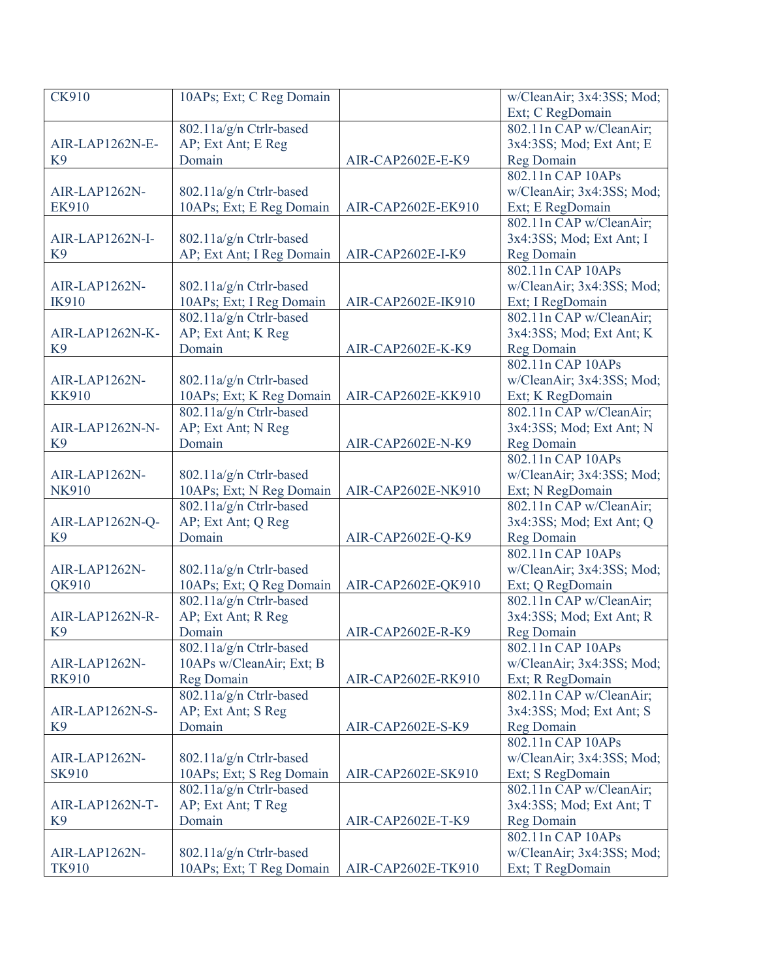| <b>CK910</b>    | 10APs; Ext; C Reg Domain  |                    | w/CleanAir; 3x4:3SS; Mod; |
|-----------------|---------------------------|--------------------|---------------------------|
|                 |                           |                    | Ext; C RegDomain          |
|                 | 802.11a/g/n Ctrlr-based   |                    | 802.11n CAP w/CleanAir;   |
| AIR-LAP1262N-E- | AP; Ext Ant; E Reg        |                    | 3x4:3SS; Mod; Ext Ant; E  |
| K <sub>9</sub>  | Domain                    | AIR-CAP2602E-E-K9  | Reg Domain                |
|                 |                           |                    | 802.11n CAP 10APs         |
| AIR-LAP1262N-   | 802.11a/g/n Ctrlr-based   |                    | w/CleanAir; 3x4:3SS; Mod; |
| <b>EK910</b>    | 10APs; Ext; E Reg Domain  | AIR-CAP2602E-EK910 | Ext; E RegDomain          |
|                 |                           |                    | 802.11n CAP w/CleanAir;   |
| AIR-LAP1262N-I- | 802.11a/g/n Ctrlr-based   |                    | 3x4:3SS; Mod; Ext Ant; I  |
| K <sub>9</sub>  | AP; Ext Ant; I Reg Domain | AIR-CAP2602E-I-K9  | Reg Domain                |
|                 |                           |                    | 802.11n CAP 10APs         |
| AIR-LAP1262N-   | 802.11a/g/n Ctrlr-based   |                    | w/CleanAir; 3x4:3SS; Mod; |
| <b>IK910</b>    | 10APs; Ext; I Reg Domain  | AIR-CAP2602E-IK910 | Ext; I RegDomain          |
|                 | 802.11a/g/n Ctrlr-based   |                    | 802.11n CAP w/CleanAir;   |
| AIR-LAP1262N-K- | AP; Ext Ant; K Reg        |                    | 3x4:3SS; Mod; Ext Ant; K  |
| K <sub>9</sub>  | Domain                    | AIR-CAP2602E-K-K9  | Reg Domain                |
|                 |                           |                    | 802.11n CAP 10APs         |
| AIR-LAP1262N-   | 802.11a/g/n Ctrlr-based   |                    | w/CleanAir; 3x4:3SS; Mod; |
| <b>KK910</b>    | 10APs; Ext; K Reg Domain  | AIR-CAP2602E-KK910 | Ext; K RegDomain          |
|                 | 802.11a/g/n Ctrlr-based   |                    | 802.11n CAP w/CleanAir;   |
| AIR-LAP1262N-N- | AP; Ext Ant; N Reg        |                    | 3x4:3SS; Mod; Ext Ant; N  |
| K <sub>9</sub>  | Domain                    | AIR-CAP2602E-N-K9  | Reg Domain                |
|                 |                           |                    | 802.11n CAP 10APs         |
| AIR-LAP1262N-   | 802.11a/g/n Ctrlr-based   |                    | w/CleanAir; 3x4:3SS; Mod; |
| <b>NK910</b>    | 10APs; Ext; N Reg Domain  | AIR-CAP2602E-NK910 | Ext; N RegDomain          |
|                 | 802.11a/g/n Ctrlr-based   |                    | 802.11n CAP w/CleanAir;   |
| AIR-LAP1262N-Q- | AP; Ext Ant; Q Reg        |                    | 3x4:3SS; Mod; Ext Ant; Q  |
| K <sub>9</sub>  | Domain                    | AIR-CAP2602E-Q-K9  | Reg Domain                |
|                 |                           |                    | 802.11n CAP 10APs         |
| AIR-LAP1262N-   | 802.11a/g/n Ctrlr-based   |                    | w/CleanAir; 3x4:3SS; Mod; |
| QK910           | 10APs; Ext; Q Reg Domain  | AIR-CAP2602E-QK910 | Ext; Q RegDomain          |
|                 | 802.11a/g/n Ctrlr-based   |                    | 802.11n CAP w/CleanAir;   |
| AIR-LAP1262N-R- | AP; Ext Ant; R Reg        |                    | 3x4:3SS; Mod; Ext Ant; R  |
| K <sub>9</sub>  | Domain                    | AIR-CAP2602E-R-K9  | <b>Reg Domain</b>         |
|                 | 802.11a/g/n Ctrlr-based   |                    | 802.11n CAP 10APs         |
| AIR-LAP1262N-   | 10APs w/CleanAir; Ext; B  |                    | w/CleanAir; 3x4:3SS; Mod; |
| <b>RK910</b>    | Reg Domain                | AIR-CAP2602E-RK910 | Ext; R RegDomain          |
|                 | 802.11a/g/n Ctrlr-based   |                    | 802.11n CAP w/CleanAir;   |
| AIR-LAP1262N-S- | AP; Ext Ant; S Reg        |                    | 3x4:3SS; Mod; Ext Ant; S  |
| K <sub>9</sub>  | Domain                    | AIR-CAP2602E-S-K9  | <b>Reg Domain</b>         |
|                 |                           |                    | 802.11n CAP 10APs         |
| AIR-LAP1262N-   | 802.11a/g/n Ctrlr-based   |                    | w/CleanAir; 3x4:3SS; Mod; |
| <b>SK910</b>    | 10APs; Ext; S Reg Domain  | AIR-CAP2602E-SK910 | Ext; S RegDomain          |
|                 | 802.11a/g/n Ctrlr-based   |                    | 802.11n CAP w/CleanAir;   |
| AIR-LAP1262N-T- | AP; Ext Ant; T Reg        |                    | 3x4:3SS; Mod; Ext Ant; T  |
| K <sub>9</sub>  | Domain                    | AIR-CAP2602E-T-K9  | Reg Domain                |
|                 |                           |                    | 802.11n CAP 10APs         |
| AIR-LAP1262N-   | 802.11a/g/n Ctrlr-based   |                    | w/CleanAir; 3x4:3SS; Mod; |
| <b>TK910</b>    | 10APs; Ext; T Reg Domain  | AIR-CAP2602E-TK910 | Ext; T RegDomain          |
|                 |                           |                    |                           |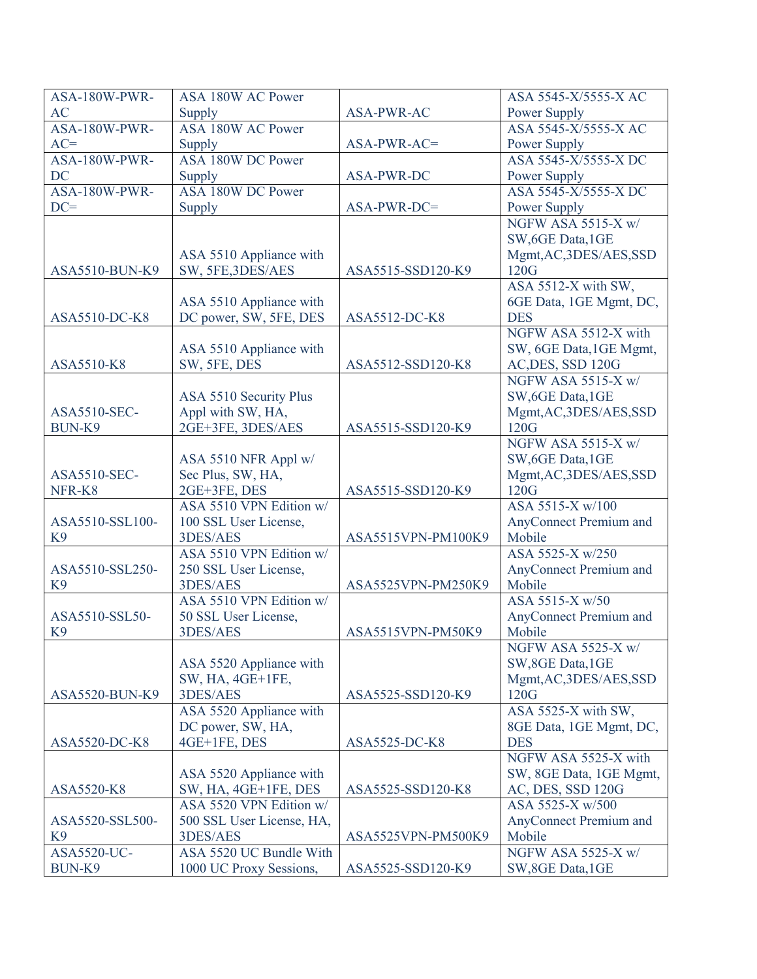| ASA-180W-PWR-   | ASA 180W AC Power         |                    | ASA 5545-X/5555-X AC                    |
|-----------------|---------------------------|--------------------|-----------------------------------------|
| <b>AC</b>       | Supply                    | <b>ASA-PWR-AC</b>  | Power Supply                            |
| ASA-180W-PWR-   | <b>ASA 180W AC Power</b>  |                    | ASA 5545-X/5555-X AC                    |
| $AC=$           | Supply                    | ASA-PWR-AC=        | Power Supply                            |
| ASA-180W-PWR-   | ASA 180W DC Power         |                    | ASA 5545-X/5555-X DC                    |
| <b>DC</b>       | Supply                    | ASA-PWR-DC         | Power Supply                            |
| ASA-180W-PWR-   | ASA 180W DC Power         |                    | ASA 5545-X/5555-X DC                    |
| $DC =$          | Supply                    | ASA-PWR-DC=        | Power Supply                            |
|                 |                           |                    | NGFW ASA 5515-X w/                      |
|                 |                           |                    | SW, 6GE Data, 1GE                       |
|                 | ASA 5510 Appliance with   |                    | Mgmt, AC, 3DES/AES, SSD                 |
| ASA5510-BUN-K9  | SW, 5FE, 3DES/AES         | ASA5515-SSD120-K9  | 120G                                    |
|                 |                           |                    | ASA 5512-X with SW,                     |
|                 | ASA 5510 Appliance with   |                    | 6GE Data, 1GE Mgmt, DC,                 |
| ASA5510-DC-K8   | DC power, SW, 5FE, DES    | ASA5512-DC-K8      | <b>DES</b>                              |
|                 |                           |                    | NGFW ASA 5512-X with                    |
|                 |                           |                    |                                         |
| ASA5510-K8      | ASA 5510 Appliance with   | ASA5512-SSD120-K8  | SW, 6GE Data, 1GE Mgmt,                 |
|                 | SW, 5FE, DES              |                    | AC, DES, SSD 120G<br>NGFW ASA 5515-X w/ |
|                 |                           |                    |                                         |
|                 | ASA 5510 Security Plus    |                    | SW, 6GE Data, 1GE                       |
| ASA5510-SEC-    | Appl with SW, HA,         |                    | Mgmt, AC, 3DES/AES, SSD                 |
| BUN-K9          | 2GE+3FE, 3DES/AES         | ASA5515-SSD120-K9  | 120G                                    |
|                 |                           |                    | NGFW ASA 5515-X w/                      |
|                 | ASA 5510 NFR Appl w/      |                    | SW, 6GE Data, 1GE                       |
| ASA5510-SEC-    | Sec Plus, SW, HA,         |                    | Mgmt, AC, 3DES/AES, SSD                 |
| NFR-K8          | 2GE+3FE, DES              | ASA5515-SSD120-K9  | 120G                                    |
|                 | ASA 5510 VPN Edition w/   |                    | ASA 5515-X w/100                        |
| ASA5510-SSL100- | 100 SSL User License,     |                    | AnyConnect Premium and                  |
| K <sub>9</sub>  | 3DES/AES                  | ASA5515VPN-PM100K9 | Mobile                                  |
|                 | ASA 5510 VPN Edition w/   |                    | ASA 5525-X w/250                        |
| ASA5510-SSL250- | 250 SSL User License,     |                    | AnyConnect Premium and                  |
| K <sub>9</sub>  | 3DES/AES                  | ASA5525VPN-PM250K9 | Mobile                                  |
|                 | ASA 5510 VPN Edition w/   |                    | ASA 5515-X w/50                         |
| ASA5510-SSL50-  | 50 SSL User License,      |                    | AnyConnect Premium and                  |
| K <sub>9</sub>  | 3DES/AES                  | ASA5515VPN-PM50K9  | Mobile                                  |
|                 |                           |                    | NGFW ASA 5525-X w/                      |
|                 | ASA 5520 Appliance with   |                    | SW, 8GE Data, 1GE                       |
|                 | SW, HA, 4GE+1FE,          |                    | Mgmt, AC, 3DES/AES, SSD                 |
| ASA5520-BUN-K9  | 3DES/AES                  | ASA5525-SSD120-K9  | 120G                                    |
|                 | ASA 5520 Appliance with   |                    | ASA 5525-X with SW,                     |
|                 | DC power, SW, HA,         |                    | 8GE Data, 1GE Mgmt, DC,                 |
| ASA5520-DC-K8   | 4GE+1FE, DES              | ASA5525-DC-K8      | <b>DES</b>                              |
|                 |                           |                    | NGFW ASA 5525-X with                    |
|                 | ASA 5520 Appliance with   |                    | SW, 8GE Data, 1GE Mgmt,                 |
| ASA5520-K8      | SW, HA, 4GE+1FE, DES      | ASA5525-SSD120-K8  | AC, DES, SSD 120G                       |
|                 | ASA 5520 VPN Edition w/   |                    | ASA 5525-X w/500                        |
| ASA5520-SSL500- | 500 SSL User License, HA, |                    | AnyConnect Premium and                  |
| K <sub>9</sub>  | 3DES/AES                  | ASA5525VPN-PM500K9 | Mobile                                  |
| ASA5520-UC-     | ASA 5520 UC Bundle With   |                    | NGFW ASA 5525-X w/                      |
| BUN-K9          | 1000 UC Proxy Sessions,   | ASA5525-SSD120-K9  | SW, 8GE Data, 1GE                       |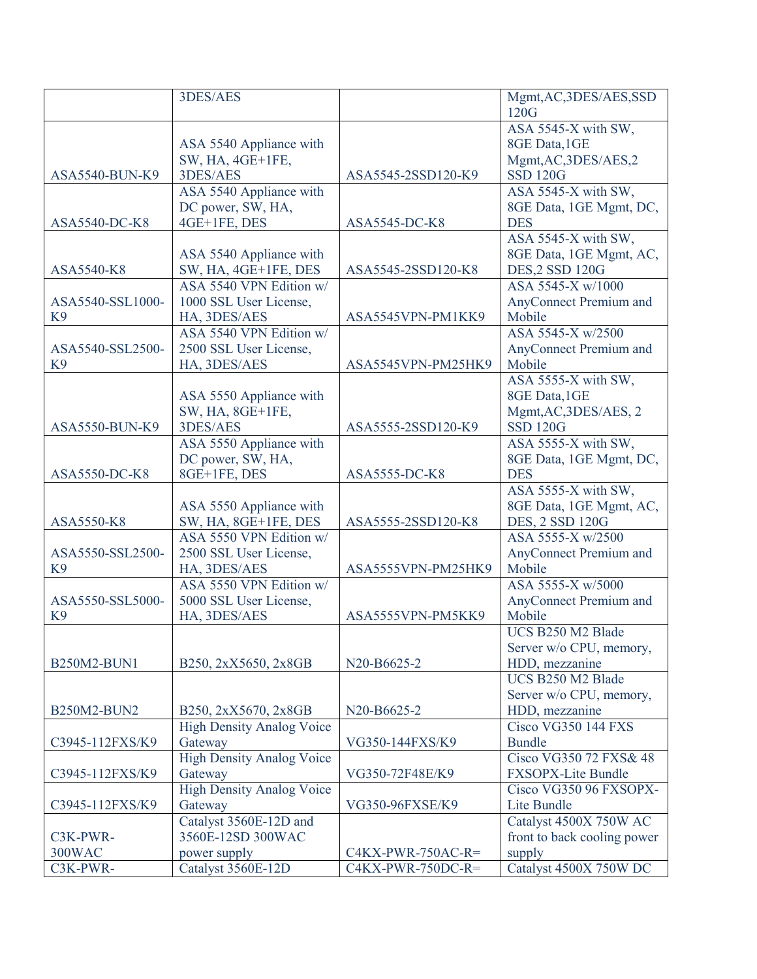|                                    | 3DES/AES                                |                     | Mgmt, AC, 3DES/AES, SSD          |
|------------------------------------|-----------------------------------------|---------------------|----------------------------------|
|                                    |                                         |                     | 120G                             |
|                                    |                                         |                     | ASA 5545-X with SW,              |
|                                    | ASA 5540 Appliance with                 |                     | 8GE Data, 1GE                    |
|                                    | SW, HA, 4GE+1FE,                        |                     | Mgmt, AC, 3DES/AES, 2            |
| ASA5540-BUN-K9                     | 3DES/AES                                | ASA5545-2SSD120-K9  | <b>SSD 120G</b>                  |
|                                    | ASA 5540 Appliance with                 |                     | ASA 5545-X with SW,              |
|                                    | DC power, SW, HA,                       |                     | 8GE Data, 1GE Mgmt, DC,          |
| ASA5540-DC-K8                      | 4GE+1FE, DES                            | ASA5545-DC-K8       | <b>DES</b>                       |
|                                    |                                         |                     | ASA 5545-X with SW,              |
|                                    | ASA 5540 Appliance with                 |                     | 8GE Data, 1GE Mgmt, AC,          |
| ASA5540-K8                         | SW, HA, 4GE+1FE, DES                    | ASA5545-2SSD120-K8  | <b>DES,2 SSD 120G</b>            |
|                                    | ASA 5540 VPN Edition w/                 |                     | ASA 5545-X w/1000                |
| ASA5540-SSL1000-                   | 1000 SSL User License,                  |                     | AnyConnect Premium and<br>Mobile |
| K <sub>9</sub>                     | HA, 3DES/AES<br>ASA 5540 VPN Edition w/ | ASA5545VPN-PM1KK9   | ASA 5545-X w/2500                |
| ASA5540-SSL2500-                   | 2500 SSL User License,                  |                     | AnyConnect Premium and           |
| K <sub>9</sub>                     | HA, 3DES/AES                            | ASA5545VPN-PM25HK9  | Mobile                           |
|                                    |                                         |                     | ASA 5555-X with SW,              |
|                                    | ASA 5550 Appliance with                 |                     | 8GE Data, 1GE                    |
|                                    | SW, HA, 8GE+1FE,                        |                     | Mgmt, AC, 3DES/AES, 2            |
| ASA5550-BUN-K9                     | 3DES/AES                                | ASA5555-2SSD120-K9  | <b>SSD 120G</b>                  |
|                                    | ASA 5550 Appliance with                 |                     | ASA 5555-X with SW,              |
|                                    | DC power, SW, HA,                       |                     | 8GE Data, 1GE Mgmt, DC,          |
| ASA5550-DC-K8                      | 8GE+1FE, DES                            | ASA5555-DC-K8       | <b>DES</b>                       |
|                                    |                                         |                     | ASA 5555-X with SW,              |
|                                    | ASA 5550 Appliance with                 |                     | 8GE Data, 1GE Mgmt, AC,          |
| ASA5550-K8                         | SW, HA, 8GE+1FE, DES                    | ASA5555-2SSD120-K8  | DES, 2 SSD 120G                  |
|                                    | ASA 5550 VPN Edition w/                 |                     | ASA 5555-X w/2500                |
| ASA5550-SSL2500-                   | 2500 SSL User License,                  |                     | AnyConnect Premium and           |
| K <sub>9</sub>                     | HA, 3DES/AES                            | ASA5555VPN-PM25HK9  | Mobile                           |
|                                    | ASA 5550 VPN Edition w/                 |                     | ASA 5555-X w/5000                |
| ASA5550-SSL5000-<br>K <sub>9</sub> | 5000 SSL User License,<br>HA, 3DES/AES  | ASA5555VPN-PM5KK9   | AnyConnect Premium and<br>Mobile |
|                                    |                                         |                     | UCS B250 M2 Blade                |
|                                    |                                         |                     | Server w/o CPU, memory,          |
| B250M2-BUN1                        | B250, 2xX5650, 2x8GB                    | N20-B6625-2         | HDD, mezzanine                   |
|                                    |                                         |                     | UCS B250 M2 Blade                |
|                                    |                                         |                     | Server w/o CPU, memory,          |
| B250M2-BUN2                        | B250, 2xX5670, 2x8GB                    | N20-B6625-2         | HDD, mezzanine                   |
|                                    | <b>High Density Analog Voice</b>        |                     | <b>Cisco VG350 144 FXS</b>       |
| C3945-112FXS/K9                    | Gateway                                 | VG350-144FXS/K9     | <b>Bundle</b>                    |
|                                    | <b>High Density Analog Voice</b>        |                     | Cisco VG350 72 FXS& 48           |
| C3945-112FXS/K9                    | Gateway                                 | VG350-72F48E/K9     | FXSOPX-Lite Bundle               |
|                                    | <b>High Density Analog Voice</b>        |                     | Cisco VG350 96 FXSOPX-           |
| C3945-112FXS/K9                    | Gateway                                 | VG350-96FXSE/K9     | Lite Bundle                      |
|                                    | Catalyst 3560E-12D and                  |                     | Catalyst 4500X 750W AC           |
| C3K-PWR-                           | 3560E-12SD 300WAC                       |                     | front to back cooling power      |
| <b>300WAC</b>                      | power supply                            | $C4KX-PWR-750AC-R=$ | supply                           |
| C3K-PWR-                           | Catalyst 3560E-12D                      | $C4KX-PWR-750DC-R=$ | Catalyst 4500X 750W DC           |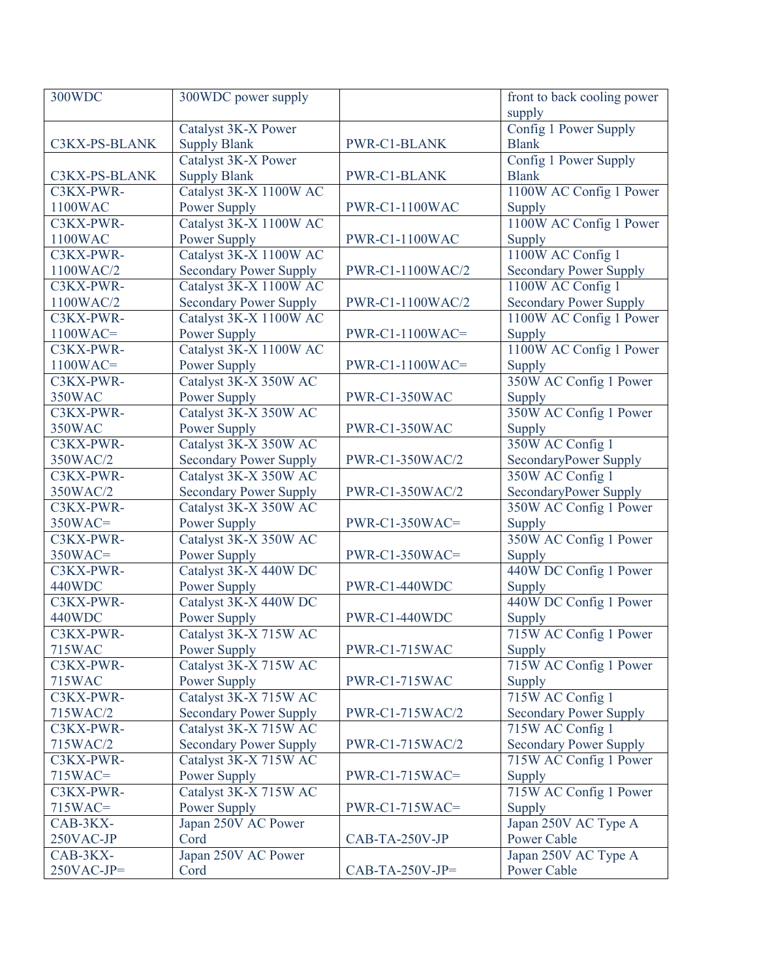| 300WDC                | 300WDC power supply           |                   | front to back cooling power                |
|-----------------------|-------------------------------|-------------------|--------------------------------------------|
|                       |                               |                   | supply                                     |
|                       | Catalyst 3K-X Power           |                   | Config 1 Power Supply                      |
| C3KX-PS-BLANK         | <b>Supply Blank</b>           | PWR-C1-BLANK      | <b>Blank</b>                               |
|                       | Catalyst 3K-X Power           |                   | Config 1 Power Supply                      |
| C3KX-PS-BLANK         | <b>Supply Blank</b>           | PWR-C1-BLANK      | <b>Blank</b>                               |
| C3KX-PWR-             | Catalyst 3K-X 1100W AC        |                   | 1100W AC Config 1 Power                    |
| 1100WAC               | Power Supply                  | PWR-C1-1100WAC    | Supply                                     |
| C3KX-PWR-             | Catalyst 3K-X 1100W AC        |                   | 1100W AC Config 1 Power                    |
| 1100WAC               | Power Supply                  | PWR-C1-1100WAC    | Supply                                     |
| C3KX-PWR-             | Catalyst 3K-X 1100W AC        |                   | 1100W AC Config 1                          |
| 1100WAC/2             | <b>Secondary Power Supply</b> | PWR-C1-1100WAC/2  | <b>Secondary Power Supply</b>              |
| C3KX-PWR-             | Catalyst 3K-X 1100W AC        |                   | 1100W AC Config 1                          |
| 1100WAC/2             | <b>Secondary Power Supply</b> | PWR-C1-1100WAC/2  | <b>Secondary Power Supply</b>              |
| C3KX-PWR-             | Catalyst 3K-X 1100W AC        |                   | 1100W AC Config 1 Power                    |
| $1100WAC =$           | Power Supply                  | $PWR-C1-1100WAC=$ | Supply                                     |
| C3KX-PWR-             | Catalyst 3K-X 1100W AC        |                   | 1100W AC Config 1 Power                    |
| $1100WAC =$           | Power Supply                  | $PWR-C1-1100WAC=$ | Supply                                     |
| C3KX-PWR-             | Catalyst 3K-X 350W AC         |                   | 350W AC Config 1 Power                     |
| 350WAC                | Power Supply                  | PWR-C1-350WAC     | Supply                                     |
| C3KX-PWR-             | Catalyst 3K-X 350W AC         |                   | 350W AC Config 1 Power                     |
| 350WAC                | Power Supply                  | PWR-C1-350WAC     | Supply                                     |
| C3KX-PWR-             | Catalyst 3K-X 350W AC         |                   | 350W AC Config 1                           |
| 350WAC/2              | <b>Secondary Power Supply</b> | PWR-C1-350WAC/2   | SecondaryPower Supply                      |
| C3KX-PWR-             | Catalyst 3K-X 350W AC         |                   | 350W AC Config 1                           |
| 350WAC/2              | <b>Secondary Power Supply</b> | PWR-C1-350WAC/2   | SecondaryPower Supply                      |
| C3KX-PWR-             | Catalyst 3K-X 350W AC         |                   | 350W AC Config 1 Power                     |
| $350WAC =$            | Power Supply                  | $PWR-C1-350WAC=$  | Supply                                     |
| C3KX-PWR-             | Catalyst 3K-X 350W AC         |                   | 350W AC Config 1 Power                     |
| $350WAC =$            | <b>Power Supply</b>           | $PWR-C1-350WAC=$  | Supply                                     |
| C3KX-PWR-             | Catalyst 3K-X 440W DC         |                   | 440W DC Config 1 Power                     |
| 440WDC                | Power Supply                  | PWR-C1-440WDC     | Supply                                     |
| C3KX-PWR-             | Catalyst 3K-X 440W DC         |                   | 440W DC Config 1 Power                     |
| 440WDC                | Power Supply                  | PWR-C1-440WDC     | Supply                                     |
| C3KX-PWR-             | Catalyst 3K-X 715W AC         |                   | 715W AC Config 1 Power                     |
| <b>715WAC</b>         | Power Supply                  | PWR-C1-715WAC     | Supply                                     |
| C3KX-PWR-             | Catalyst 3K-X 715W AC         |                   | 715W AC Config 1 Power                     |
| <b>715WAC</b>         | Power Supply                  | PWR-C1-715WAC     | Supply                                     |
| C3KX-PWR-             | Catalyst 3K-X 715W AC         |                   | 715W AC Config 1                           |
| 715WAC/2              | <b>Secondary Power Supply</b> | PWR-C1-715WAC/2   | <b>Secondary Power Supply</b>              |
| C3KX-PWR-             | Catalyst 3K-X 715W AC         |                   | 715W AC Config 1                           |
| 715WAC/2              | <b>Secondary Power Supply</b> | PWR-C1-715WAC/2   | <b>Secondary Power Supply</b>              |
| C3KX-PWR-             | Catalyst 3K-X 715W AC         |                   | 715W AC Config 1 Power                     |
| $715WAC =$            | Power Supply                  | $PWR-C1-715WAC=$  | Supply<br>715W AC Config 1 Power           |
| C3KX-PWR-             | Catalyst 3K-X 715W AC         |                   |                                            |
| $715WAC =$            | Power Supply                  | $PWR-C1-715WAC=$  | Supply                                     |
| CAB-3KX-              | Japan 250V AC Power<br>Cord   | CAB-TA-250V-JP    | Japan 250V AC Type A<br><b>Power Cable</b> |
| 250VAC-JP<br>CAB-3KX- |                               |                   |                                            |
| $250VAC-JP=$          | Japan 250V AC Power<br>Cord   |                   | Japan 250V AC Type A<br><b>Power Cable</b> |
|                       |                               | $CAB-TA-250V-JP=$ |                                            |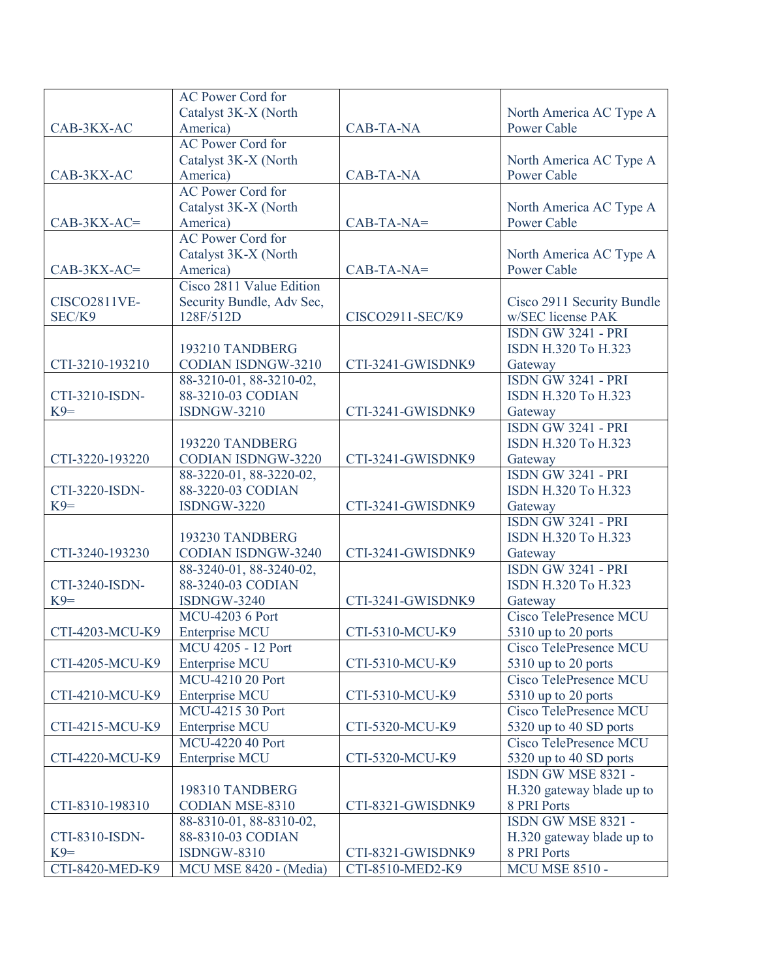|                         | <b>AC Power Cord for</b>                     |                   |                                               |
|-------------------------|----------------------------------------------|-------------------|-----------------------------------------------|
|                         | Catalyst 3K-X (North                         |                   | North America AC Type A                       |
| CAB-3KX-AC              | America)                                     | <b>CAB-TA-NA</b>  | <b>Power Cable</b>                            |
|                         | <b>AC Power Cord for</b>                     |                   |                                               |
|                         | Catalyst 3K-X (North                         |                   | North America AC Type A                       |
| CAB-3KX-AC              | America)                                     | <b>CAB-TA-NA</b>  | <b>Power Cable</b>                            |
|                         | <b>AC Power Cord for</b>                     |                   |                                               |
|                         | Catalyst 3K-X (North                         |                   | North America AC Type A                       |
| $CAB-3KX-AC=$           | America)                                     | $CAB-TA-NA=$      | <b>Power Cable</b>                            |
|                         | <b>AC Power Cord for</b>                     |                   |                                               |
|                         | Catalyst 3K-X (North                         |                   | North America AC Type A                       |
| $CAB-3KX-AC=$           | America)                                     | $CAB-TA-NA=$      | <b>Power Cable</b>                            |
|                         | Cisco 2811 Value Edition                     |                   |                                               |
| <b>CISCO2811VE-</b>     | Security Bundle, Adv Sec,                    |                   | Cisco 2911 Security Bundle                    |
| SEC/K9                  | 128F/512D                                    | CISCO2911-SEC/K9  | w/SEC license PAK                             |
|                         |                                              |                   | <b>ISDN GW 3241 - PRI</b>                     |
|                         | 193210 TANDBERG                              |                   | ISDN H.320 To H.323                           |
| CTI-3210-193210         | <b>CODIAN ISDNGW-3210</b>                    | CTI-3241-GWISDNK9 | Gateway                                       |
|                         | 88-3210-01, 88-3210-02,                      |                   | <b>ISDN GW 3241 - PRI</b>                     |
| CTI-3210-ISDN-          | 88-3210-03 CODIAN                            |                   | ISDN H.320 To H.323                           |
| $K9=$                   | <b>ISDNGW-3210</b>                           | CTI-3241-GWISDNK9 | Gateway                                       |
|                         |                                              |                   | <b>ISDN GW 3241 - PRI</b>                     |
|                         | 193220 TANDBERG                              |                   | ISDN H.320 To H.323                           |
| CTI-3220-193220         | <b>CODIAN ISDNGW-3220</b>                    | CTI-3241-GWISDNK9 |                                               |
|                         |                                              |                   | Gateway<br><b>ISDN GW 3241 - PRI</b>          |
| CTI-3220-ISDN-          | 88-3220-01, 88-3220-02,<br>88-3220-03 CODIAN |                   | ISDN H.320 To H.323                           |
| $K9=$                   | <b>ISDNGW-3220</b>                           | CTI-3241-GWISDNK9 |                                               |
|                         |                                              |                   | Gateway<br><b>ISDN GW 3241 - PRI</b>          |
|                         | 193230 TANDBERG                              |                   | ISDN H.320 To H.323                           |
| CTI-3240-193230         | <b>CODIAN ISDNGW-3240</b>                    | CTI-3241-GWISDNK9 | Gateway                                       |
|                         | 88-3240-01, 88-3240-02,                      |                   | <b>ISDN GW 3241 - PRI</b>                     |
|                         | 88-3240-03 CODIAN                            |                   |                                               |
| CTI-3240-ISDN-<br>$K9=$ | <b>ISDNGW-3240</b>                           | CTI-3241-GWISDNK9 | ISDN H.320 To H.323                           |
|                         |                                              |                   | Gateway<br>Cisco TelePresence MCU             |
|                         | <b>MCU-4203 6 Port</b>                       |                   |                                               |
| CTI-4203-MCU-K9         | Enterprise MCU                               | CTI-5310-MCU-K9   | 5310 up to 20 ports                           |
|                         | MCU 4205 - 12 Port                           |                   | Cisco TelePresence MCU                        |
| CTI-4205-MCU-K9         | <b>Enterprise MCU</b><br>MCU-4210 20 Port    | CTI-5310-MCU-K9   | 5310 up to 20 ports<br>Cisco TelePresence MCU |
|                         |                                              |                   |                                               |
| CTI-4210-MCU-K9         | <b>Enterprise MCU</b>                        | CTI-5310-MCU-K9   | 5310 up to 20 ports                           |
|                         | MCU-4215 30 Port                             |                   | Cisco TelePresence MCU                        |
| CTI-4215-MCU-K9         | <b>Enterprise MCU</b>                        | CTI-5320-MCU-K9   | 5320 up to 40 SD ports                        |
|                         | MCU-4220 40 Port                             |                   | Cisco TelePresence MCU                        |
| CTI-4220-MCU-K9         | <b>Enterprise MCU</b>                        | CTI-5320-MCU-K9   | 5320 up to 40 SD ports                        |
|                         |                                              |                   | ISDN GW MSE 8321 -                            |
|                         | 198310 TANDBERG                              |                   | H.320 gateway blade up to                     |
| CTI-8310-198310         | <b>CODIAN MSE-8310</b>                       | CTI-8321-GWISDNK9 | 8 PRI Ports                                   |
|                         | 88-8310-01, 88-8310-02,                      |                   | ISDN GW MSE 8321 -                            |
| CTI-8310-ISDN-          | 88-8310-03 CODIAN                            |                   | H.320 gateway blade up to                     |
| $K9=$                   | <b>ISDNGW-8310</b>                           | CTI-8321-GWISDNK9 | 8 PRI Ports                                   |
| CTI-8420-MED-K9         | MCU MSE 8420 - (Media)                       | CTI-8510-MED2-K9  | <b>MCU MSE 8510 -</b>                         |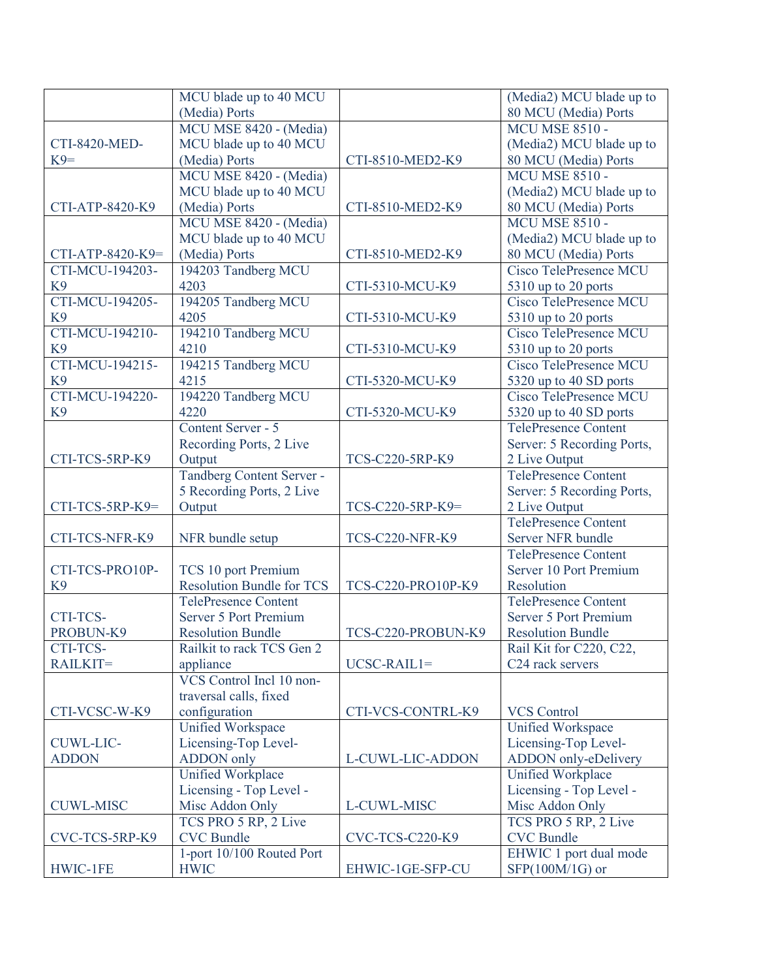|                  | MCU blade up to 40 MCU           |                        | (Media2) MCU blade up to                     |
|------------------|----------------------------------|------------------------|----------------------------------------------|
|                  | (Media) Ports                    |                        | 80 MCU (Media) Ports                         |
|                  | MCU MSE 8420 - (Media)           |                        | <b>MCU MSE 8510 -</b>                        |
| CTI-8420-MED-    | MCU blade up to 40 MCU           |                        | (Media2) MCU blade up to                     |
| $K9=$            | (Media) Ports                    | CTI-8510-MED2-K9       | 80 MCU (Media) Ports                         |
|                  | MCU MSE 8420 - (Media)           |                        | <b>MCU MSE 8510 -</b>                        |
|                  | MCU blade up to 40 MCU           |                        | (Media2) MCU blade up to                     |
| CTI-ATP-8420-K9  | (Media) Ports                    | CTI-8510-MED2-K9       | 80 MCU (Media) Ports                         |
|                  | MCU MSE 8420 - (Media)           |                        | <b>MCU MSE 8510 -</b>                        |
|                  | MCU blade up to 40 MCU           |                        | (Media2) MCU blade up to                     |
| CTI-ATP-8420-K9= | (Media) Ports                    | CTI-8510-MED2-K9       | 80 MCU (Media) Ports                         |
| CTI-MCU-194203-  | 194203 Tandberg MCU              |                        | Cisco TelePresence MCU                       |
| K <sub>9</sub>   | 4203                             | CTI-5310-MCU-K9        | 5310 up to 20 ports                          |
| CTI-MCU-194205-  | 194205 Tandberg MCU              |                        | Cisco TelePresence MCU                       |
| K <sub>9</sub>   | 4205                             | CTI-5310-MCU-K9        | 5310 up to 20 ports                          |
| CTI-MCU-194210-  | 194210 Tandberg MCU              |                        | <b>Cisco TelePresence MCU</b>                |
| K <sub>9</sub>   | 4210                             | CTI-5310-MCU-K9        | 5310 up to 20 ports                          |
| CTI-MCU-194215-  | 194215 Tandberg MCU              |                        | Cisco TelePresence MCU                       |
| K <sub>9</sub>   | 4215                             | CTI-5320-MCU-K9        | 5320 up to 40 SD ports                       |
| CTI-MCU-194220-  | 194220 Tandberg MCU              |                        | Cisco TelePresence MCU                       |
| K <sub>9</sub>   | 4220                             | CTI-5320-MCU-K9        | 5320 up to 40 SD ports                       |
|                  | Content Server - 5               |                        | <b>TelePresence Content</b>                  |
|                  |                                  |                        | Server: 5 Recording Ports,                   |
| CTI-TCS-5RP-K9   | Recording Ports, 2 Live          | TCS-C220-5RP-K9        |                                              |
|                  | Output                           |                        | 2 Live Output                                |
|                  | Tandberg Content Server -        |                        | <b>TelePresence Content</b>                  |
| CTI-TCS-5RP-K9=  | 5 Recording Ports, 2 Live        |                        | Server: 5 Recording Ports,                   |
|                  | Output                           | TCS-C220-5RP-K9=       | 2 Live Output<br><b>TelePresence Content</b> |
|                  |                                  |                        |                                              |
| CTI-TCS-NFR-K9   | NFR bundle setup                 | <b>TCS-C220-NFR-K9</b> | Server NFR bundle                            |
|                  |                                  |                        | <b>TelePresence Content</b>                  |
| CTI-TCS-PRO10P-  | TCS 10 port Premium              |                        | Server 10 Port Premium                       |
| K <sub>9</sub>   | <b>Resolution Bundle for TCS</b> | TCS-C220-PRO10P-K9     | Resolution                                   |
|                  | <b>TelePresence Content</b>      |                        | TelePresence Content                         |
| CTI-TCS-         | <b>Server 5 Port Premium</b>     |                        | Server 5 Port Premium                        |
| PROBUN-K9        | <b>Resolution Bundle</b>         | TCS-C220-PROBUN-K9     | <b>Resolution Bundle</b>                     |
| CTI-TCS-         | Railkit to rack TCS Gen 2        |                        | Rail Kit for C220, C22,                      |
| RAILKIT=         | appliance                        | $UCSC-RAIL1=$          | C <sub>24</sub> rack servers                 |
|                  | VCS Control Incl 10 non-         |                        |                                              |
|                  | traversal calls, fixed           |                        |                                              |
| CTI-VCSC-W-K9    | configuration                    | CTI-VCS-CONTRL-K9      | <b>VCS Control</b>                           |
|                  | Unified Workspace                |                        | Unified Workspace                            |
| CUWL-LIC-        | Licensing-Top Level-             |                        | Licensing-Top Level-                         |
| <b>ADDON</b>     | <b>ADDON</b> only                | L-CUWL-LIC-ADDON       | ADDON only-eDelivery                         |
|                  | Unified Workplace                |                        | Unified Workplace                            |
|                  | Licensing - Top Level -          |                        | Licensing - Top Level -                      |
| <b>CUWL-MISC</b> | Misc Addon Only                  | L-CUWL-MISC            | Misc Addon Only                              |
|                  | TCS PRO 5 RP, 2 Live             |                        | TCS PRO 5 RP, 2 Live                         |
| CVC-TCS-5RP-K9   | <b>CVC</b> Bundle                | <b>CVC-TCS-C220-K9</b> | <b>CVC</b> Bundle                            |
|                  | 1-port 10/100 Routed Port        |                        | EHWIC 1 port dual mode                       |
| HWIC-1FE         | <b>HWIC</b>                      | EHWIC-1GE-SFP-CU       | SFP(100M/1G) or                              |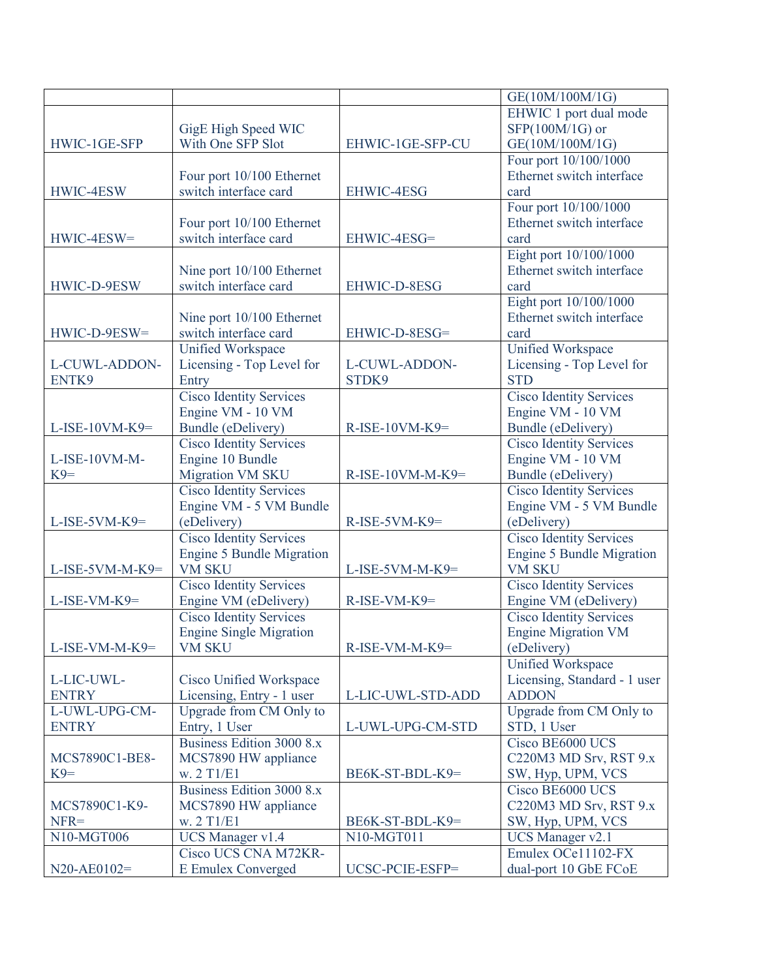|                    |                                          |                     | GE(10M/100M/1G)                  |
|--------------------|------------------------------------------|---------------------|----------------------------------|
|                    |                                          |                     | EHWIC 1 port dual mode           |
|                    | GigE High Speed WIC                      |                     | SFP(100M/1G) or                  |
| HWIC-1GE-SFP       | With One SFP Slot                        | EHWIC-1GE-SFP-CU    | GE(10M/100M/1G)                  |
|                    |                                          |                     | Four port 10/100/1000            |
|                    | Four port 10/100 Ethernet                |                     | Ethernet switch interface        |
| HWIC-4ESW          | switch interface card                    | EHWIC-4ESG          | card                             |
|                    |                                          |                     | Four port 10/100/1000            |
|                    | Four port 10/100 Ethernet                |                     | Ethernet switch interface        |
| HWIC-4ESW=         | switch interface card                    | EHWIC-4ESG=         | card                             |
|                    |                                          |                     | Eight port 10/100/1000           |
|                    | Nine port 10/100 Ethernet                |                     | Ethernet switch interface        |
| HWIC-D-9ESW        | switch interface card                    | EHWIC-D-8ESG        | card                             |
|                    |                                          |                     | Eight port 10/100/1000           |
|                    | Nine port 10/100 Ethernet                |                     | Ethernet switch interface        |
| HWIC-D-9ESW=       | switch interface card                    | EHWIC-D-8ESG=       | card                             |
|                    | <b>Unified Workspace</b>                 |                     | Unified Workspace                |
| L-CUWL-ADDON-      | Licensing - Top Level for                | L-CUWL-ADDON-       | Licensing - Top Level for        |
| ENTK9              | Entry                                    | STDK9               | <b>STD</b>                       |
|                    | Cisco Identity Services                  |                     | <b>Cisco Identity Services</b>   |
|                    | Engine VM - 10 VM                        |                     | Engine VM - 10 VM                |
| $L$ -ISE-10VM-K9=  | <b>Bundle</b> (eDelivery)                | $R$ -ISE-10VM-K9=   | Bundle (eDelivery)               |
|                    | <b>Cisco Identity Services</b>           |                     | <b>Cisco Identity Services</b>   |
| L-ISE-10VM-M-      | Engine 10 Bundle                         |                     | Engine VM - 10 VM                |
| $K9=$              | <b>Migration VM SKU</b>                  | $R$ -ISE-10VM-M-K9= | <b>Bundle</b> (eDelivery)        |
|                    | <b>Cisco Identity Services</b>           |                     | <b>Cisco Identity Services</b>   |
|                    | Engine VM - 5 VM Bundle                  |                     | Engine VM - 5 VM Bundle          |
| $L$ -ISE-5VM-K9=   | (eDelivery)                              | $R$ -ISE-5VM-K9=    | (eDelivery)                      |
|                    | <b>Cisco Identity Services</b>           |                     | <b>Cisco Identity Services</b>   |
|                    | <b>Engine 5 Bundle Migration</b>         |                     | <b>Engine 5 Bundle Migration</b> |
| $L$ -ISE-5VM-M-K9= | <b>VM SKU</b>                            | $L$ -ISE-5VM-M-K9=  | <b>VM SKU</b>                    |
|                    | <b>Cisco Identity Services</b>           |                     | <b>Cisco Identity Services</b>   |
| L-ISE-VM-K9=       | Engine VM (eDelivery)                    | R-ISE-VM-K9=        | Engine VM (eDelivery)            |
|                    | <b>Cisco Identity Services</b>           |                     | <b>Cisco Identity Services</b>   |
|                    | <b>Engine Single Migration</b>           |                     | <b>Engine Migration VM</b>       |
| $L$ -ISE-VM-M-K9=  | <b>VM SKU</b>                            | $R$ -ISE-VM-M-K9=   | (eDelivery)                      |
|                    |                                          |                     | Unified Workspace                |
| L-LIC-UWL-         | Cisco Unified Workspace                  |                     | Licensing, Standard - 1 user     |
| <b>ENTRY</b>       | Licensing, Entry - 1 user                | L-LIC-UWL-STD-ADD   | <b>ADDON</b>                     |
| L-UWL-UPG-CM-      | Upgrade from CM Only to                  |                     | Upgrade from CM Only to          |
| <b>ENTRY</b>       | Entry, 1 User                            | L-UWL-UPG-CM-STD    | STD, 1 User                      |
|                    | Business Edition 3000 8.x                |                     | Cisco BE6000 UCS                 |
| MCS7890C1-BE8-     | MCS7890 HW appliance                     |                     | C220M3 MD Srv, RST 9.x           |
| $K9=$              | w. 2 T1/E1                               | BE6K-ST-BDL-K9=     | SW, Hyp, UPM, VCS                |
|                    | Business Edition 3000 8.x                |                     | Cisco BE6000 UCS                 |
|                    |                                          |                     |                                  |
| MCS7890C1-K9-      | MCS7890 HW appliance                     |                     | C220M3 MD Srv, RST 9.x           |
| $NFR =$            | w. 2 T1/E1                               | BE6K-ST-BDL-K9=     | SW, Hyp, UPM, VCS                |
| N10-MGT006         | UCS Manager v1.4<br>Cisco UCS CNA M72KR- | N10-MGT011          | UCS Manager v2.1                 |
|                    |                                          |                     | Emulex OCe11102-FX               |
| $N20 - A E0102 =$  | <b>E</b> Emulex Converged                | UCSC-PCIE-ESFP=     | dual-port 10 GbE FCoE            |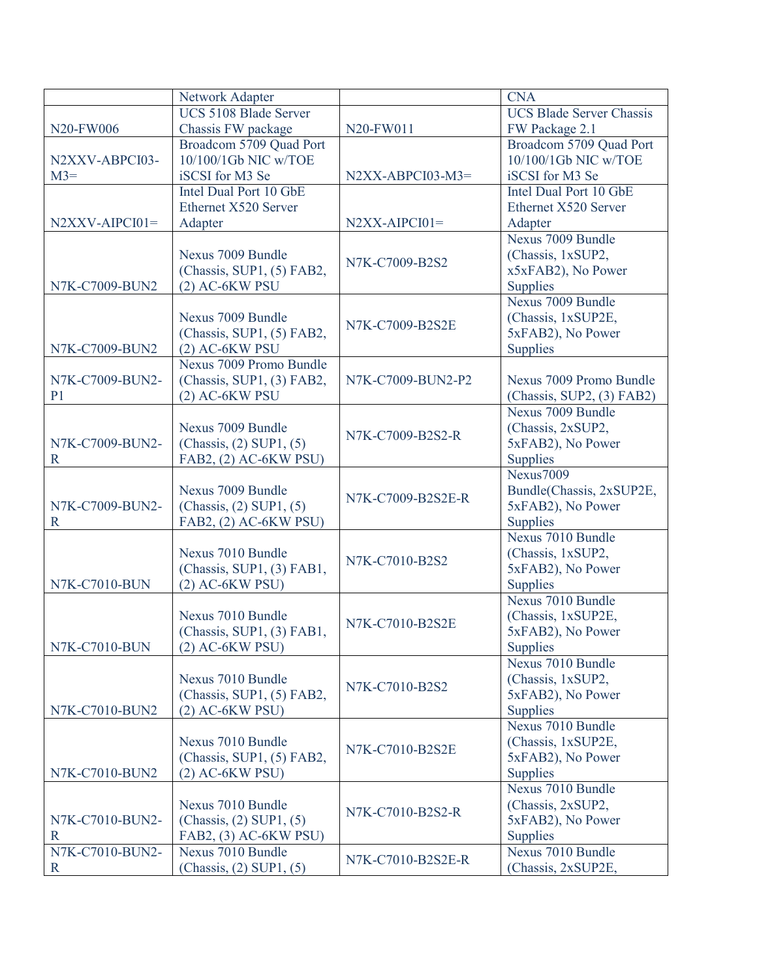|                      | Network Adapter             |                    | <b>CNA</b>                      |
|----------------------|-----------------------------|--------------------|---------------------------------|
|                      | UCS 5108 Blade Server       |                    | <b>UCS Blade Server Chassis</b> |
| N20-FW006            | Chassis FW package          | N20-FW011          | FW Package 2.1                  |
|                      | Broadcom 5709 Quad Port     |                    | Broadcom 5709 Quad Port         |
| N2XXV-ABPCI03-       | 10/100/1Gb NIC w/TOE        |                    | 10/100/1Gb NIC w/TOE            |
| $M3=$                | iSCSI for M3 Se             | $N2XX-ABPCI03-M3=$ | iSCSI for M3 Se                 |
|                      | Intel Dual Port 10 GbE      |                    | Intel Dual Port 10 GbE          |
|                      | Ethernet X520 Server        |                    | Ethernet X520 Server            |
| $N2XXV-APCI01=$      | Adapter                     | $N2XX-AIPCI01=$    | Adapter                         |
|                      |                             |                    | Nexus 7009 Bundle               |
|                      | Nexus 7009 Bundle           |                    | (Chassis, 1xSUP2,               |
|                      | (Chassis, SUP1, (5) FAB2,   | N7K-C7009-B2S2     | x5xFAB2), No Power              |
| N7K-C7009-BUN2       | $(2)$ AC-6KW PSU            |                    | <b>Supplies</b>                 |
|                      |                             |                    | Nexus 7009 Bundle               |
|                      | Nexus 7009 Bundle           |                    | (Chassis, 1xSUP2E,              |
|                      | (Chassis, SUP1, (5) FAB2,   | N7K-C7009-B2S2E    | 5xFAB2), No Power               |
| N7K-C7009-BUN2       | $(2)$ AC-6KW PSU            |                    | <b>Supplies</b>                 |
|                      | Nexus 7009 Promo Bundle     |                    |                                 |
| N7K-C7009-BUN2-      | (Chassis, SUP1, (3) FAB2,   | N7K-C7009-BUN2-P2  | Nexus 7009 Promo Bundle         |
| P <sub>1</sub>       | $(2)$ AC-6KW PSU            |                    | (Chassis, SUP2, (3) FAB2)       |
|                      |                             |                    | Nexus 7009 Bundle               |
|                      | Nexus 7009 Bundle           |                    | (Chassis, 2xSUP2,               |
| N7K-C7009-BUN2-      | (Chassis, (2) SUP1, (5)     | N7K-C7009-B2S2-R   | 5xFAB2), No Power               |
| $\mathbb{R}$         | FAB2, (2) AC-6KW PSU)       |                    | <b>Supplies</b>                 |
|                      |                             |                    | Nexus7009                       |
|                      | Nexus 7009 Bundle           |                    | Bundle(Chassis, 2xSUP2E,        |
| N7K-C7009-BUN2-      | $(Chassis, (2)$ SUP1, $(5)$ | N7K-C7009-B2S2E-R  | 5xFAB2), No Power               |
| $\mathbf R$          | FAB2, (2) AC-6KW PSU)       |                    | <b>Supplies</b>                 |
|                      |                             |                    | Nexus 7010 Bundle               |
|                      | Nexus 7010 Bundle           |                    | (Chassis, 1xSUP2,               |
|                      | (Chassis, SUP1, (3) FAB1,   | N7K-C7010-B2S2     | 5xFAB2), No Power               |
| <b>N7K-C7010-BUN</b> | $(2)$ AC-6KW PSU)           |                    | <b>Supplies</b>                 |
|                      |                             |                    | Nexus 7010 Bundle               |
|                      | Nexus 7010 Bundle           |                    | (Chassis, 1xSUP2E,              |
|                      | (Chassis, SUP1, (3) FAB1,   | N7K-C7010-B2S2E    | 5xFAB2), No Power               |
| <b>N7K-C7010-BUN</b> | (2) AC-6KW PSU)             |                    | <b>Supplies</b>                 |
|                      |                             |                    | Nexus 7010 Bundle               |
|                      | Nexus 7010 Bundle           |                    | (Chassis, 1xSUP2,               |
|                      | (Chassis, SUP1, (5) FAB2,   | N7K-C7010-B2S2     | 5xFAB2), No Power               |
| N7K-C7010-BUN2       | $(2)$ AC-6KW PSU)           |                    | <b>Supplies</b>                 |
|                      |                             |                    | Nexus 7010 Bundle               |
|                      | Nexus 7010 Bundle           |                    | (Chassis, 1xSUP2E,              |
|                      | (Chassis, SUP1, (5) FAB2,   | N7K-C7010-B2S2E    | 5xFAB2), No Power               |
| N7K-C7010-BUN2       | $(2)$ AC-6KW PSU)           |                    | <b>Supplies</b>                 |
|                      |                             |                    | Nexus 7010 Bundle               |
|                      | Nexus 7010 Bundle           |                    | (Chassis, 2xSUP2,               |
| N7K-C7010-BUN2-      | $(Chassis, (2)$ SUP1, $(5)$ | N7K-C7010-B2S2-R   | 5xFAB2), No Power               |
| $\mathbf R$          | FAB2, (3) AC-6KW PSU)       |                    | <b>Supplies</b>                 |
| N7K-C7010-BUN2-      | Nexus 7010 Bundle           |                    | Nexus 7010 Bundle               |
| $\mathbf R$          | $(Chassis, (2)$ SUP1, $(5)$ | N7K-C7010-B2S2E-R  | (Chassis, 2xSUP2E,              |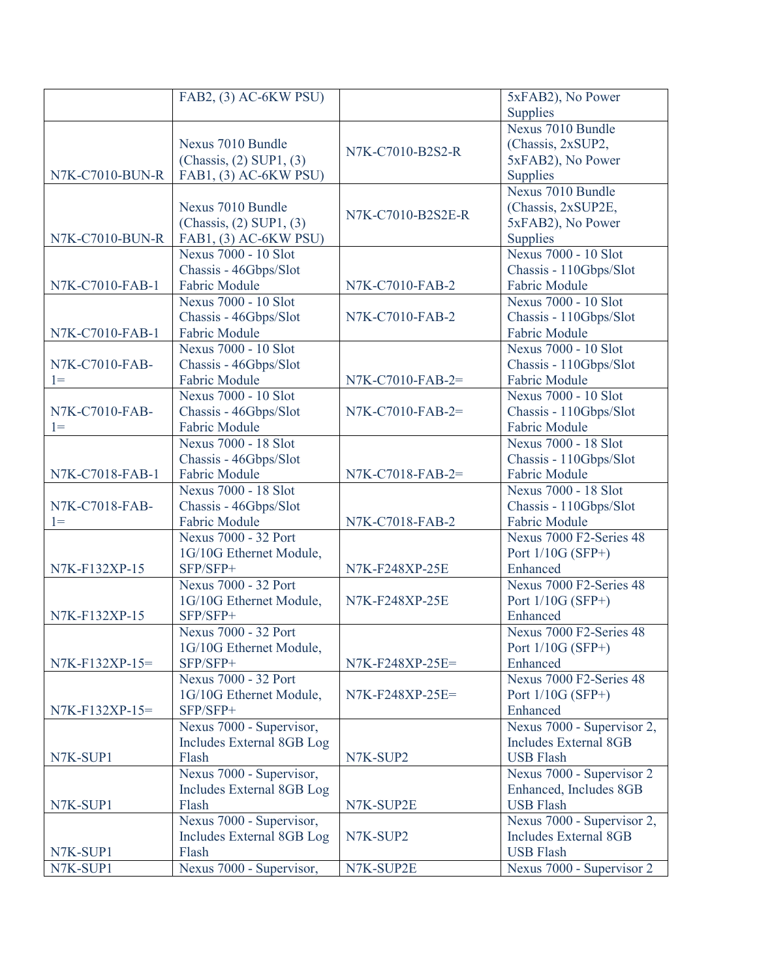|                  | FAB2, (3) AC-6KW PSU)       |                    | 5xFAB2), No Power          |
|------------------|-----------------------------|--------------------|----------------------------|
|                  |                             |                    | Supplies                   |
|                  |                             |                    | Nexus 7010 Bundle          |
|                  | Nexus 7010 Bundle           |                    | (Chassis, 2xSUP2,          |
|                  | $(Chassis, (2)$ SUP1, $(3)$ | N7K-C7010-B2S2-R   | 5xFAB2), No Power          |
| N7K-C7010-BUN-R  | FAB1, (3) AC-6KW PSU)       |                    | <b>Supplies</b>            |
|                  |                             |                    | Nexus 7010 Bundle          |
|                  | Nexus 7010 Bundle           |                    | (Chassis, 2xSUP2E,         |
|                  | $(Chassis, (2)$ SUP1, $(3)$ | N7K-C7010-B2S2E-R  | 5xFAB2), No Power          |
| N7K-C7010-BUN-R  | FAB1, (3) AC-6KW PSU)       |                    | Supplies                   |
|                  | Nexus 7000 - 10 Slot        |                    | Nexus 7000 - 10 Slot       |
|                  | Chassis - 46Gbps/Slot       |                    | Chassis - 110Gbps/Slot     |
| N7K-C7010-FAB-1  | <b>Fabric Module</b>        | N7K-C7010-FAB-2    | Fabric Module              |
|                  | Nexus 7000 - 10 Slot        |                    | Nexus 7000 - 10 Slot       |
|                  | Chassis - 46Gbps/Slot       | N7K-C7010-FAB-2    | Chassis - 110Gbps/Slot     |
| N7K-C7010-FAB-1  | <b>Fabric Module</b>        |                    | <b>Fabric Module</b>       |
|                  | Nexus 7000 - 10 Slot        |                    | Nexus 7000 - 10 Slot       |
| N7K-C7010-FAB-   | Chassis - 46Gbps/Slot       |                    | Chassis - 110Gbps/Slot     |
| $1 =$            | <b>Fabric Module</b>        | N7K-C7010-FAB-2=   | Fabric Module              |
|                  | <b>Nexus 7000 - 10 Slot</b> |                    | Nexus 7000 - 10 Slot       |
| N7K-C7010-FAB-   | Chassis - 46Gbps/Slot       | $N7K-C7010-FAB-2=$ | Chassis - 110Gbps/Slot     |
| $1 =$            | <b>Fabric Module</b>        |                    | <b>Fabric Module</b>       |
|                  | Nexus 7000 - 18 Slot        |                    | Nexus 7000 - 18 Slot       |
|                  | Chassis - 46Gbps/Slot       |                    | Chassis - 110Gbps/Slot     |
| N7K-C7018-FAB-1  | <b>Fabric Module</b>        | N7K-C7018-FAB-2=   | <b>Fabric Module</b>       |
|                  | Nexus 7000 - 18 Slot        |                    | Nexus 7000 - 18 Slot       |
| N7K-C7018-FAB-   | Chassis - 46Gbps/Slot       |                    | Chassis - 110Gbps/Slot     |
| $1=$             | <b>Fabric Module</b>        | N7K-C7018-FAB-2    | Fabric Module              |
|                  | Nexus 7000 - 32 Port        |                    | Nexus 7000 F2-Series 48    |
|                  | 1G/10G Ethernet Module,     |                    | Port $1/10G$ (SFP+)        |
| N7K-F132XP-15    | SFP/SFP+                    | N7K-F248XP-25E     | Enhanced                   |
|                  | <b>Nexus 7000 - 32 Port</b> |                    | Nexus 7000 F2-Series 48    |
|                  | 1G/10G Ethernet Module,     | N7K-F248XP-25E     | Port $1/10G$ (SFP+)        |
| N7K-F132XP-15    | SFP/SFP+                    |                    | Enhanced                   |
|                  | Nexus 7000 - 32 Port        |                    | Nexus 7000 F2-Series 48    |
|                  | 1G/10G Ethernet Module,     |                    | Port $1/10G$ (SFP+)        |
| N7K-F132XP-15=   | SFP/SFP+                    | N7K-F248XP-25E=    | Enhanced                   |
|                  | Nexus 7000 - 32 Port        |                    | Nexus 7000 F2-Series 48    |
|                  | 1G/10G Ethernet Module,     | N7K-F248XP-25E=    | Port $1/10G$ (SFP+)        |
| $N7K-F132XP-15=$ | SFP/SFP+                    |                    | Enhanced                   |
|                  | Nexus 7000 - Supervisor,    |                    | Nexus 7000 - Supervisor 2, |
|                  | Includes External 8GB Log   |                    | Includes External 8GB      |
| N7K-SUP1         | Flash                       | N7K-SUP2           | <b>USB Flash</b>           |
|                  | Nexus 7000 - Supervisor,    |                    | Nexus 7000 - Supervisor 2  |
|                  | Includes External 8GB Log   |                    | Enhanced, Includes 8GB     |
| N7K-SUP1         | Flash                       | N7K-SUP2E          | <b>USB Flash</b>           |
|                  | Nexus 7000 - Supervisor,    |                    | Nexus 7000 - Supervisor 2, |
|                  | Includes External 8GB Log   | N7K-SUP2           | Includes External 8GB      |
| N7K-SUP1         | Flash                       |                    | <b>USB Flash</b>           |
| N7K-SUP1         | Nexus 7000 - Supervisor,    | N7K-SUP2E          | Nexus 7000 - Supervisor 2  |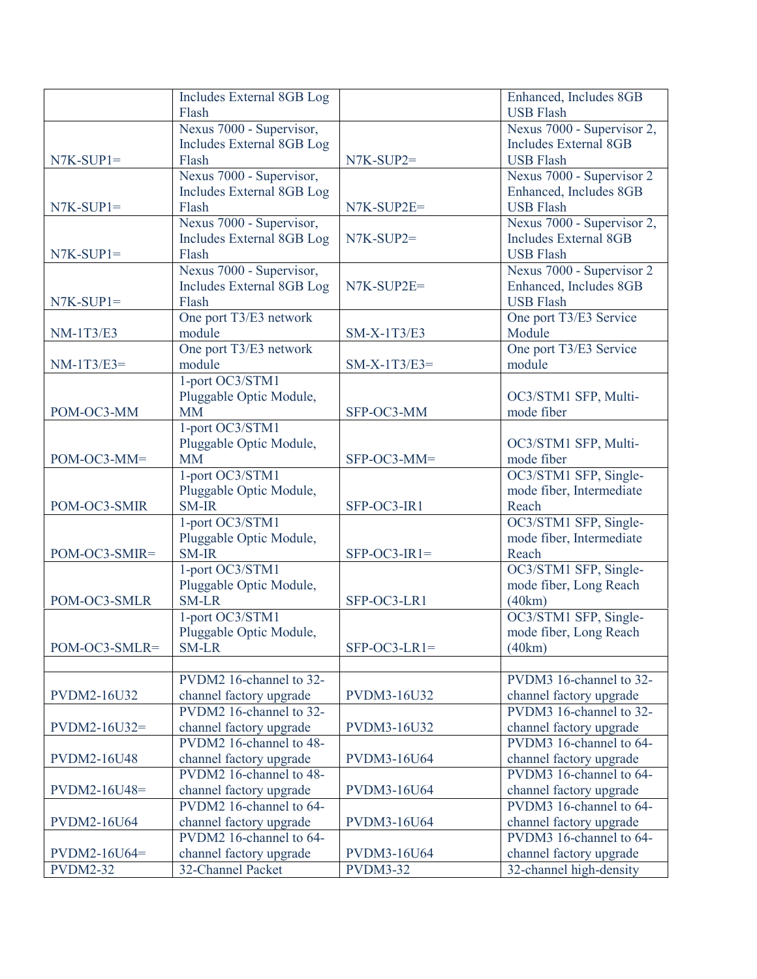|                    | Includes External 8GB Log |                    | Enhanced, Includes 8GB       |
|--------------------|---------------------------|--------------------|------------------------------|
|                    | Flash                     |                    | <b>USB Flash</b>             |
|                    | Nexus 7000 - Supervisor,  |                    | Nexus 7000 - Supervisor 2,   |
|                    | Includes External 8GB Log |                    | <b>Includes External 8GB</b> |
| $N7K-SUP1=$        | Flash                     | $N7K-SUP2=$        | <b>USB Flash</b>             |
|                    | Nexus 7000 - Supervisor,  |                    | Nexus 7000 - Supervisor 2    |
|                    | Includes External 8GB Log |                    | Enhanced, Includes 8GB       |
| $N7K-SUP1=$        | Flash                     | N7K-SUP2E=         | <b>USB Flash</b>             |
|                    | Nexus 7000 - Supervisor,  |                    | Nexus 7000 - Supervisor 2,   |
|                    | Includes External 8GB Log | $N7K-SUP2=$        | <b>Includes External 8GB</b> |
| $N7K-SUP1=$        | Flash                     |                    | <b>USB Flash</b>             |
|                    | Nexus 7000 - Supervisor,  |                    | Nexus 7000 - Supervisor 2    |
|                    | Includes External 8GB Log | N7K-SUP2E=         | Enhanced, Includes 8GB       |
| $N7K-SUP1=$        | Flash                     |                    | <b>USB Flash</b>             |
|                    | One port T3/E3 network    |                    | One port T3/E3 Service       |
| <b>NM-1T3/E3</b>   | module                    | SM-X-1T3/E3        | Module                       |
|                    | One port T3/E3 network    |                    | One port T3/E3 Service       |
| $NM-1T3/E3=$       | module                    | $SM-X-1T3/E3=$     | module                       |
|                    | 1-port OC3/STM1           |                    |                              |
|                    | Pluggable Optic Module,   |                    | OC3/STM1 SFP, Multi-         |
| POM-OC3-MM         | <b>MM</b>                 | SFP-OC3-MM         | mode fiber                   |
|                    | 1-port OC3/STM1           |                    |                              |
|                    | Pluggable Optic Module,   |                    | OC3/STM1 SFP, Multi-         |
| POM-OC3-MM=        | <b>MM</b>                 | SFP-OC3-MM=        | mode fiber                   |
|                    | 1-port OC3/STM1           |                    | OC3/STM1 SFP, Single-        |
|                    | Pluggable Optic Module,   |                    | mode fiber, Intermediate     |
| POM-OC3-SMIR       | <b>SM-IR</b>              | SFP-OC3-IR1        | Reach                        |
|                    | 1-port OC3/STM1           |                    | OC3/STM1 SFP, Single-        |
|                    | Pluggable Optic Module,   |                    | mode fiber, Intermediate     |
| POM-OC3-SMIR=      | <b>SM-IR</b>              | $SFP-OC3-IR1=$     | Reach                        |
|                    | 1-port OC3/STM1           |                    | OC3/STM1 SFP, Single-        |
|                    | Pluggable Optic Module,   |                    | mode fiber, Long Reach       |
| POM-OC3-SMLR       | <b>SM-LR</b>              | SFP-OC3-LR1        | (40km)                       |
|                    | 1-port OC3/STM1           |                    | OC3/STM1 SFP, Single-        |
|                    | Pluggable Optic Module,   |                    | mode fiber, Long Reach       |
| POM-OC3-SMLR=      | <b>SM-LR</b>              | $SFP-OC3-LR1=$     | (40km)                       |
|                    |                           |                    |                              |
|                    | PVDM2 16-channel to 32-   |                    | PVDM3 16-channel to 32-      |
| PVDM2-16U32        | channel factory upgrade   | PVDM3-16U32        | channel factory upgrade      |
|                    | PVDM2 16-channel to 32-   |                    | PVDM3 16-channel to 32-      |
| $PVDM2-16U32=$     | channel factory upgrade   | PVDM3-16U32        | channel factory upgrade      |
|                    | PVDM2 16-channel to 48-   |                    | PVDM3 16-channel to 64-      |
| <b>PVDM2-16U48</b> | channel factory upgrade   | <b>PVDM3-16U64</b> | channel factory upgrade      |
|                    | PVDM2 16-channel to 48-   |                    | PVDM3 16-channel to 64-      |
| PVDM2-16U48=       | channel factory upgrade   | <b>PVDM3-16U64</b> | channel factory upgrade      |
|                    | PVDM2 16-channel to 64-   |                    | PVDM3 16-channel to 64-      |
| <b>PVDM2-16U64</b> | channel factory upgrade   | <b>PVDM3-16U64</b> | channel factory upgrade      |
|                    | PVDM2 16-channel to 64-   |                    | PVDM3 16-channel to 64-      |
| $PVDM2-16U64=$     | channel factory upgrade   | <b>PVDM3-16U64</b> | channel factory upgrade      |
| <b>PVDM2-32</b>    | 32-Channel Packet         | <b>PVDM3-32</b>    | 32-channel high-density      |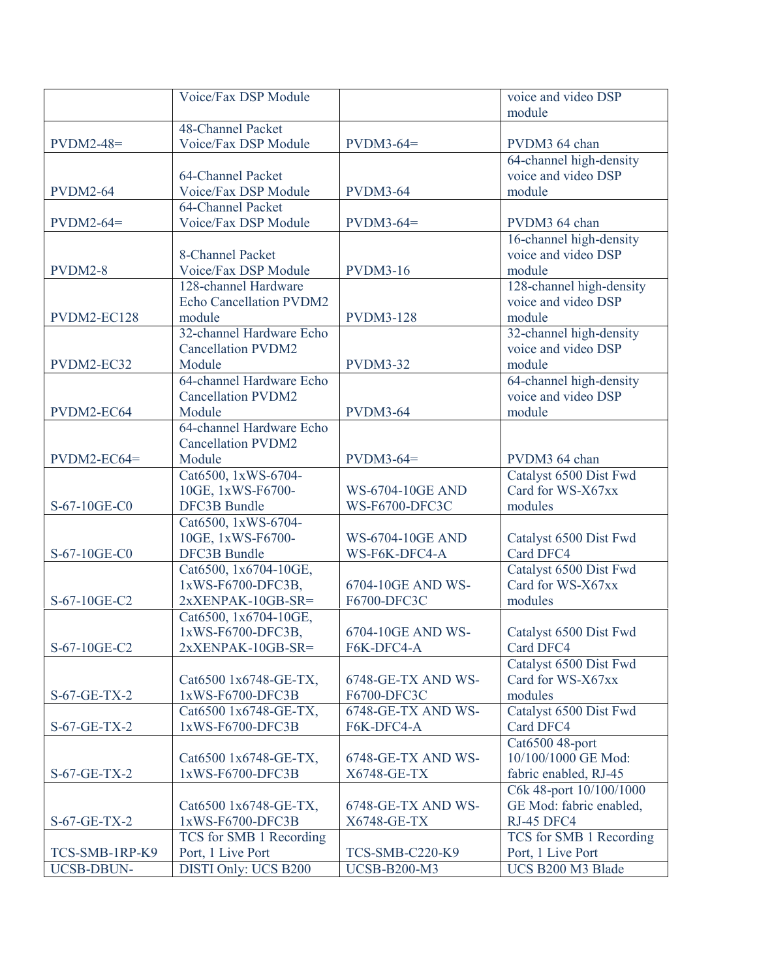|                 | Voice/Fax DSP Module                     |                         | voice and video DSP                         |
|-----------------|------------------------------------------|-------------------------|---------------------------------------------|
|                 |                                          |                         | module                                      |
|                 | 48-Channel Packet                        |                         |                                             |
| $PVDM2-48=$     | Voice/Fax DSP Module                     | $PVDM3-64=$             | PVDM3 64 chan                               |
|                 |                                          |                         | 64-channel high-density                     |
|                 | 64-Channel Packet                        |                         | voice and video DSP                         |
| <b>PVDM2-64</b> | Voice/Fax DSP Module                     | <b>PVDM3-64</b>         | module                                      |
|                 | 64-Channel Packet                        |                         |                                             |
| $PVDM2-64=$     | Voice/Fax DSP Module                     | $PVDM3-64=$             | PVDM3 64 chan                               |
|                 |                                          |                         | 16-channel high-density                     |
|                 | 8-Channel Packet                         |                         | voice and video DSP                         |
| PVDM2-8         | Voice/Fax DSP Module                     | <b>PVDM3-16</b>         | module                                      |
|                 | 128-channel Hardware                     |                         | 128-channel high-density                    |
|                 | <b>Echo Cancellation PVDM2</b>           |                         | voice and video DSP                         |
| PVDM2-EC128     | module                                   | <b>PVDM3-128</b>        | module                                      |
|                 | 32-channel Hardware Echo                 |                         | 32-channel high-density                     |
|                 | <b>Cancellation PVDM2</b>                |                         | voice and video DSP                         |
| PVDM2-EC32      | Module                                   | <b>PVDM3-32</b>         | module                                      |
|                 | 64-channel Hardware Echo                 |                         | 64-channel high-density                     |
|                 | <b>Cancellation PVDM2</b>                |                         | voice and video DSP                         |
| PVDM2-EC64      | Module                                   | <b>PVDM3-64</b>         | module                                      |
|                 | 64-channel Hardware Echo                 |                         |                                             |
|                 | <b>Cancellation PVDM2</b>                |                         |                                             |
| $PVDM2-EC64=$   | Module                                   | $PVDM3-64=$             | PVDM3 64 chan                               |
|                 | Cat6500, 1xWS-6704-<br>10GE, 1xWS-F6700- | <b>WS-6704-10GE AND</b> | Catalyst 6500 Dist Fwd<br>Card for WS-X67xx |
| S-67-10GE-C0    | <b>DFC3B Bundle</b>                      | <b>WS-F6700-DFC3C</b>   | modules                                     |
|                 | Cat6500, 1xWS-6704-                      |                         |                                             |
|                 | 10GE, 1xWS-F6700-                        | <b>WS-6704-10GE AND</b> | Catalyst 6500 Dist Fwd                      |
| S-67-10GE-C0    | <b>DFC3B Bundle</b>                      | WS-F6K-DFC4-A           | Card DFC4                                   |
|                 | Cat6500, 1x6704-10GE,                    |                         | Catalyst 6500 Dist Fwd                      |
|                 | 1xWS-F6700-DFC3B,                        | 6704-10GE AND WS-       | Card for WS-X67xx                           |
| S-67-10GE-C2    | $2xXENPAK-10GB-SR=$                      | F6700-DFC3C             | modules                                     |
|                 | Cat6500, 1x6704-10GE,                    |                         |                                             |
|                 | 1xWS-F6700-DFC3B,                        | 6704-10GE AND WS-       | Catalyst 6500 Dist Fwd                      |
| S-67-10GE-C2    | $2xXENPAK-10GB-SR=$                      | F6K-DFC4-A              | Card DFC4                                   |
|                 |                                          |                         | Catalyst 6500 Dist Fwd                      |
|                 | Cat6500 1x6748-GE-TX,                    | 6748-GE-TX AND WS-      | Card for WS-X67xx                           |
| S-67-GE-TX-2    | 1xWS-F6700-DFC3B                         | F6700-DFC3C             | modules                                     |
|                 | Cat6500 1x6748-GE-TX,                    | 6748-GE-TX AND WS-      | Catalyst 6500 Dist Fwd                      |
| $S-67-GE-TX-2$  | 1xWS-F6700-DFC3B                         | F6K-DFC4-A              | Card DFC4                                   |
|                 |                                          |                         | Cat6500 48-port                             |
|                 | Cat6500 1x6748-GE-TX,                    | 6748-GE-TX AND WS-      | 10/100/1000 GE Mod:                         |
| S-67-GE-TX-2    | 1xWS-F6700-DFC3B                         | X6748-GE-TX             | fabric enabled, RJ-45                       |
|                 |                                          |                         | C6k 48-port 10/100/1000                     |
|                 | Cat6500 1x6748-GE-TX,                    | 6748-GE-TX AND WS-      | GE Mod: fabric enabled,                     |
| $S-67-GE-TX-2$  | 1xWS-F6700-DFC3B                         | X6748-GE-TX             | RJ-45 DFC4                                  |
|                 | TCS for SMB 1 Recording                  |                         | TCS for SMB 1 Recording                     |
| TCS-SMB-1RP-K9  | Port, 1 Live Port                        | TCS-SMB-C220-K9         | Port, 1 Live Port                           |
| UCSB-DBUN-      | DISTI Only: UCS B200                     | <b>UCSB-B200-M3</b>     | UCS B200 M3 Blade                           |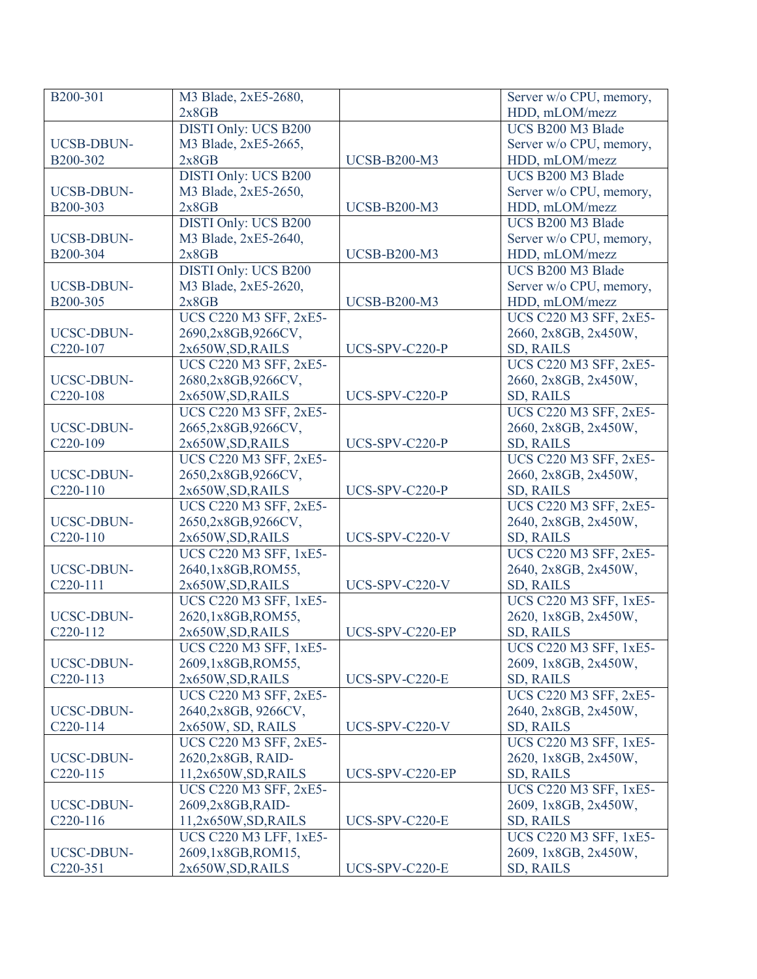| B200-301              | M3 Blade, 2xE5-2680,          |                     | Server w/o CPU, memory,       |
|-----------------------|-------------------------------|---------------------|-------------------------------|
|                       | 2x8GB                         |                     | HDD, mLOM/mezz                |
|                       | <b>DISTI Only: UCS B200</b>   |                     | UCS B200 M3 Blade             |
| <b>UCSB-DBUN-</b>     | M3 Blade, 2xE5-2665,          |                     | Server w/o CPU, memory,       |
| B200-302              | 2x8GB                         | <b>UCSB-B200-M3</b> | HDD, mLOM/mezz                |
|                       | <b>DISTI Only: UCS B200</b>   |                     | UCS B200 M3 Blade             |
| <b>UCSB-DBUN-</b>     | M3 Blade, 2xE5-2650,          |                     | Server w/o CPU, memory,       |
| B200-303              | 2x8GB                         | <b>UCSB-B200-M3</b> | HDD, mLOM/mezz                |
|                       | <b>DISTI Only: UCS B200</b>   |                     | UCS B200 M3 Blade             |
| UCSB-DBUN-            | M3 Blade, 2xE5-2640,          |                     | Server w/o CPU, memory,       |
| B200-304              | 2x8GB                         | <b>UCSB-B200-M3</b> | HDD, mLOM/mezz                |
|                       | <b>DISTI Only: UCS B200</b>   |                     | UCS B200 M3 Blade             |
| UCSB-DBUN-            | M3 Blade, 2xE5-2620,          |                     | Server w/o CPU, memory,       |
| B200-305              | 2x8GB                         | <b>UCSB-B200-M3</b> | HDD, mLOM/mezz                |
|                       | <b>UCS C220 M3 SFF, 2xE5-</b> |                     | UCS C220 M3 SFF, 2xE5-        |
| UCSC-DBUN-            | 2690,2x8GB,9266CV,            |                     | 2660, 2x8GB, 2x450W,          |
| C <sub>220</sub> -107 | 2x650W, SD, RAILS             | UCS-SPV-C220-P      | <b>SD, RAILS</b>              |
|                       | UCS C220 M3 SFF, 2xE5-        |                     | <b>UCS C220 M3 SFF, 2xE5-</b> |
| <b>UCSC-DBUN-</b>     | 2680,2x8GB,9266CV,            |                     | 2660, 2x8GB, 2x450W,          |
| C <sub>220</sub> -108 | 2x650W, SD, RAILS             | UCS-SPV-C220-P      | <b>SD, RAILS</b>              |
|                       | UCS C220 M3 SFF, 2xE5-        |                     | UCS C220 M3 SFF, 2xE5-        |
| <b>UCSC-DBUN-</b>     | 2665,2x8GB,9266CV,            |                     | 2660, 2x8GB, 2x450W,          |
| C220-109              | 2x650W, SD, RAILS             | UCS-SPV-C220-P      | SD, RAILS                     |
|                       |                               |                     |                               |
|                       | <b>UCS C220 M3 SFF, 2xE5-</b> |                     | UCS C220 M3 SFF, 2xE5-        |
| <b>UCSC-DBUN-</b>     | 2650,2x8GB,9266CV,            |                     | 2660, 2x8GB, 2x450W,          |
| C220-110              | 2x650W, SD, RAILS             | UCS-SPV-C220-P      | SD, RAILS                     |
|                       | <b>UCS C220 M3 SFF, 2xE5-</b> |                     | UCS C220 M3 SFF, 2xE5-        |
| <b>UCSC-DBUN-</b>     | 2650,2x8GB,9266CV,            |                     | 2640, 2x8GB, 2x450W,          |
| C220-110              | 2x650W, SD, RAILS             | UCS-SPV-C220-V      | SD, RAILS                     |
|                       | UCS C220 M3 SFF, 1xE5-        |                     | <b>UCS C220 M3 SFF, 2xE5-</b> |
| UCSC-DBUN-            | 2640,1x8GB,ROM55,             |                     | 2640, 2x8GB, 2x450W,          |
| C220-111              | 2x650W, SD, RAILS             | UCS-SPV-C220-V      | SD, RAILS                     |
|                       | UCS C220 M3 SFF, 1xE5-        |                     | <b>UCS C220 M3 SFF, 1xE5-</b> |
| <b>UCSC-DBUN-</b>     | 2620,1x8GB,ROM55,             |                     | 2620, 1x8GB, 2x450W,          |
| C220-112              | 2x650W, SD, RAILS             | UCS-SPV-C220-EP     | SD, RAILS                     |
|                       | UCS C220 M3 SFF, 1xE5-        |                     | <b>UCS C220 M3 SFF, 1xE5-</b> |
| UCSC-DBUN-            | 2609,1x8GB,ROM55,             |                     | 2609, 1x8GB, 2x450W,          |
| C <sub>220</sub> -113 | 2x650W, SD, RAILS             | UCS-SPV-C220-E      | SD, RAILS                     |
|                       | UCS C220 M3 SFF, 2xE5-        |                     | UCS C220 M3 SFF, 2xE5-        |
| UCSC-DBUN-            | 2640,2x8GB, 9266CV,           |                     | 2640, 2x8GB, 2x450W,          |
| C220-114              | 2x650W, SD, RAILS             | UCS-SPV-C220-V      | <b>SD, RAILS</b>              |
|                       | <b>UCS C220 M3 SFF, 2xE5-</b> |                     | UCS C220 M3 SFF, 1xE5-        |
| UCSC-DBUN-            | 2620,2x8GB, RAID-             |                     | 2620, 1x8GB, 2x450W,          |
| C <sub>220</sub> -115 | 11,2x650W,SD,RAILS            | UCS-SPV-C220-EP     | <b>SD, RAILS</b>              |
|                       | <b>UCS C220 M3 SFF, 2xE5-</b> |                     | UCS C220 M3 SFF, 1xE5-        |
| UCSC-DBUN-            | 2609,2x8GB,RAID-              |                     | 2609, 1x8GB, 2x450W,          |
| C <sub>220</sub> -116 | 11,2x650W,SD,RAILS            | UCS-SPV-C220-E      | <b>SD, RAILS</b>              |
|                       | UCS C220 M3 LFF, 1xE5-        |                     | UCS C220 M3 SFF, 1xE5-        |
| UCSC-DBUN-            | 2609,1x8GB,ROM15,             |                     | 2609, 1x8GB, 2x450W,          |
| C <sub>220</sub> -351 | 2x650W, SD, RAILS             | UCS-SPV-C220-E      | <b>SD, RAILS</b>              |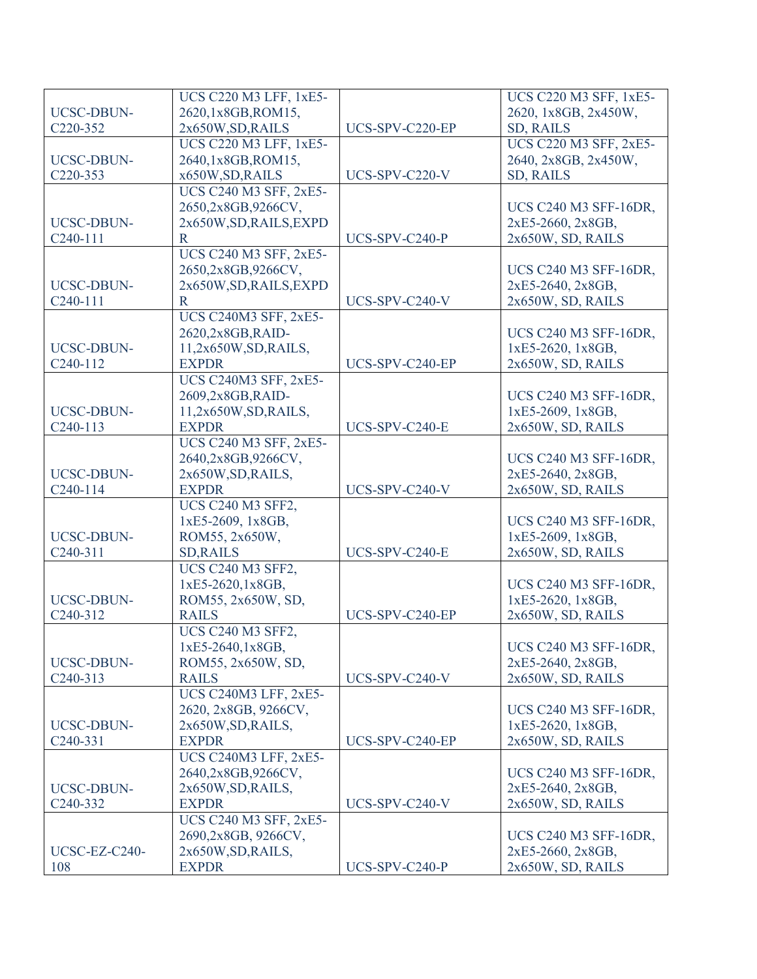|                       | UCS C220 M3 LFF, 1xE5-       |                 | UCS C220 M3 SFF, 1xE5-        |
|-----------------------|------------------------------|-----------------|-------------------------------|
| UCSC-DBUN-            | 2620,1x8GB,ROM15,            |                 | 2620, 1x8GB, 2x450W,          |
| C220-352              | 2x650W, SD, RAILS            | UCS-SPV-C220-EP | <b>SD, RAILS</b>              |
|                       | UCS C220 M3 LFF, 1xE5-       |                 | <b>UCS C220 M3 SFF, 2xE5-</b> |
| <b>UCSC-DBUN-</b>     | 2640,1x8GB,ROM15,            |                 | 2640, 2x8GB, 2x450W,          |
| C220-353              | x650W, SD, RAILS             | UCS-SPV-C220-V  | SD, RAILS                     |
|                       | UCS C240 M3 SFF, 2xE5-       |                 |                               |
|                       | 2650,2x8GB,9266CV,           |                 | <b>UCS C240 M3 SFF-16DR,</b>  |
| <b>UCSC-DBUN-</b>     | 2x650W, SD, RAILS, EXPD      |                 | 2xE5-2660, 2x8GB,             |
| C <sub>240</sub> -111 | R                            | UCS-SPV-C240-P  | 2x650W, SD, RAILS             |
|                       | UCS C240 M3 SFF, 2xE5-       |                 |                               |
|                       | 2650,2x8GB,9266CV,           |                 | <b>UCS C240 M3 SFF-16DR,</b>  |
| <b>UCSC-DBUN-</b>     | 2x650W, SD, RAILS, EXPD      |                 | 2xE5-2640, 2x8GB,             |
| C240-111              | $\mathbf R$                  | UCS-SPV-C240-V  | 2x650W, SD, RAILS             |
|                       | <b>UCS C240M3 SFF, 2xE5-</b> |                 |                               |
|                       | 2620,2x8GB,RAID-             |                 | <b>UCS C240 M3 SFF-16DR,</b>  |
| <b>UCSC-DBUN-</b>     | 11,2x650W,SD,RAILS,          |                 | 1xE5-2620, 1x8GB,             |
| C <sub>240</sub> -112 | <b>EXPDR</b>                 | UCS-SPV-C240-EP | 2x650W, SD, RAILS             |
|                       | <b>UCS C240M3 SFF, 2xE5-</b> |                 |                               |
|                       | 2609,2x8GB,RAID-             |                 | <b>UCS C240 M3 SFF-16DR,</b>  |
| <b>UCSC-DBUN-</b>     | 11,2x650W,SD,RAILS,          |                 | 1xE5-2609, 1x8GB,             |
| C <sub>240</sub> -113 | <b>EXPDR</b>                 | UCS-SPV-C240-E  | 2x650W, SD, RAILS             |
|                       | UCS C240 M3 SFF, 2xE5-       |                 |                               |
|                       | 2640,2x8GB,9266CV,           |                 | <b>UCS C240 M3 SFF-16DR,</b>  |
| <b>UCSC-DBUN-</b>     | 2x650W, SD, RAILS,           |                 | 2xE5-2640, 2x8GB,             |
| C <sub>240</sub> -114 | <b>EXPDR</b>                 | UCS-SPV-C240-V  | 2x650W, SD, RAILS             |
|                       | <b>UCS C240 M3 SFF2,</b>     |                 |                               |
|                       | 1xE5-2609, 1x8GB,            |                 | <b>UCS C240 M3 SFF-16DR</b> , |
| <b>UCSC-DBUN-</b>     | ROM55, 2x650W,               |                 | 1xE5-2609, 1x8GB,             |
| C <sub>240</sub> -311 | <b>SD, RAILS</b>             | UCS-SPV-C240-E  | 2x650W, SD, RAILS             |
|                       | <b>UCS C240 M3 SFF2,</b>     |                 |                               |
|                       | 1xE5-2620,1x8GB,             |                 | <b>UCS C240 M3 SFF-16DR,</b>  |
| <b>UCSC-DBUN-</b>     | ROM55, 2x650W, SD,           |                 | 1xE5-2620, 1x8GB,             |
| C <sub>240</sub> -312 | <b>RAILS</b>                 | UCS-SPV-C240-EP | 2x650W, SD, RAILS             |
|                       | <b>UCS C240 M3 SFF2,</b>     |                 |                               |
|                       | 1xE5-2640,1x8GB,             |                 | <b>UCS C240 M3 SFF-16DR,</b>  |
| <b>UCSC-DBUN-</b>     | ROM55, 2x650W, SD,           |                 | 2xE5-2640, 2x8GB,             |
| C <sub>240</sub> -313 | <b>RAILS</b>                 | UCS-SPV-C240-V  | 2x650W, SD, RAILS             |
|                       | <b>UCS C240M3 LFF, 2xE5-</b> |                 |                               |
|                       | 2620, 2x8GB, 9266CV,         |                 | <b>UCS C240 M3 SFF-16DR,</b>  |
| UCSC-DBUN-            | 2x650W, SD, RAILS,           |                 | 1xE5-2620, 1x8GB,             |
| C <sub>240</sub> -331 | <b>EXPDR</b>                 | UCS-SPV-C240-EP | 2x650W, SD, RAILS             |
|                       | <b>UCS C240M3 LFF, 2xE5-</b> |                 |                               |
|                       | 2640,2x8GB,9266CV,           |                 | UCS C240 M3 SFF-16DR,         |
| UCSC-DBUN-            | 2x650W, SD, RAILS,           |                 | 2xE5-2640, 2x8GB,             |
| C <sub>240</sub> -332 | <b>EXPDR</b>                 | UCS-SPV-C240-V  | 2x650W, SD, RAILS             |
|                       | UCS C240 M3 SFF, 2xE5-       |                 |                               |
|                       | 2690,2x8GB, 9266CV,          |                 | <b>UCS C240 M3 SFF-16DR,</b>  |
| UCSC-EZ-C240-         |                              |                 | 2xE5-2660, 2x8GB,             |
|                       | 2x650W, SD, RAILS,           |                 |                               |
| 108                   | <b>EXPDR</b>                 | UCS-SPV-C240-P  | 2x650W, SD, RAILS             |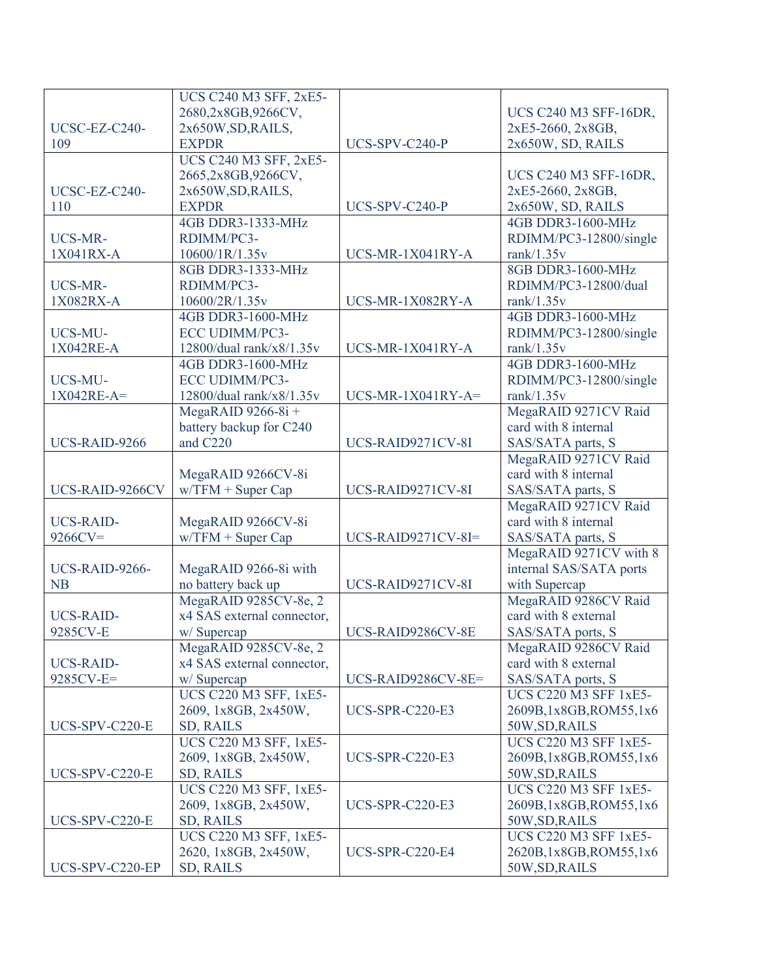|                  | <b>UCS C240 M3 SFF, 2xE5-</b> |                        |                              |
|------------------|-------------------------------|------------------------|------------------------------|
|                  | 2680,2x8GB,9266CV,            |                        | <b>UCS C240 M3 SFF-16DR,</b> |
| UCSC-EZ-C240-    | 2x650W, SD, RAILS,            |                        | 2xE5-2660, 2x8GB,            |
| 109              | <b>EXPDR</b>                  | UCS-SPV-C240-P         | 2x650W, SD, RAILS            |
|                  | <b>UCS C240 M3 SFF, 2xE5-</b> |                        |                              |
|                  | 2665,2x8GB,9266CV,            |                        | <b>UCS C240 M3 SFF-16DR,</b> |
| UCSC-EZ-C240-    | 2x650W, SD, RAILS,            |                        | 2xE5-2660, 2x8GB,            |
| 110              | <b>EXPDR</b>                  | UCS-SPV-C240-P         | 2x650W, SD, RAILS            |
|                  | 4GB DDR3-1333-MHz             |                        | 4GB DDR3-1600-MHz            |
| UCS-MR-          | RDIMM/PC3-                    |                        | RDIMM/PC3-12800/single       |
| 1X041RX-A        | 10600/1R/1.35v                | UCS-MR-1X041RY-A       | rank $/1.35v$                |
|                  | 8GB DDR3-1333-MHz             |                        | 8GB DDR3-1600-MHz            |
| UCS-MR-          | RDIMM/PC3-                    |                        | RDIMM/PC3-12800/dual         |
| 1X082RX-A        | 10600/2R/1.35v                | UCS-MR-1X082RY-A       | rank $/1.35v$                |
|                  | 4GB DDR3-1600-MHz             |                        | 4GB DDR3-1600-MHz            |
| UCS-MU-          | ECC UDIMM/PC3-                |                        | RDIMM/PC3-12800/single       |
| 1X042RE-A        | 12800/dual rank/x8/1.35 $v$   | UCS-MR-1X041RY-A       | rank $/1.35v$                |
|                  | 4GB DDR3-1600-MHz             |                        | 4GB DDR3-1600-MHz            |
| UCS-MU-          | ECC UDIMM/PC3-                |                        | RDIMM/PC3-12800/single       |
| $1X042RE-A=$     | 12800/dual rank/x8/1.35 $v$   | $UCS-MR-1X041RY-A=$    | rank $/1.35v$                |
|                  | MegaRAID $9266-8i +$          |                        | MegaRAID 9271CV Raid         |
|                  | battery backup for C240       |                        | card with 8 internal         |
| UCS-RAID-9266    | and C220                      | UCS-RAID9271CV-8I      | SAS/SATA parts, S            |
|                  |                               |                        | MegaRAID 9271CV Raid         |
|                  | MegaRAID 9266CV-8i            |                        | card with 8 internal         |
| UCS-RAID-9266CV  | $w/$ TFM + Super Cap          | UCS-RAID9271CV-8I      | SAS/SATA parts, S            |
|                  |                               |                        | MegaRAID 9271CV Raid         |
| <b>UCS-RAID-</b> | MegaRAID 9266CV-8i            |                        | card with 8 internal         |
| $9266CV=$        | $w/$ TFM + Super Cap          | UCS-RAID9271CV-8I=     | SAS/SATA parts, S            |
|                  |                               |                        | MegaRAID 9271CV with 8       |
| UCS-RAID-9266-   | MegaRAID 9266-8i with         |                        | internal SAS/SATA ports      |
| <b>NB</b>        | no battery back up            | UCS-RAID9271CV-8I      | with Supercap                |
|                  | MegaRAID 9285CV-8e, 2         |                        | MegaRAID 9286CV Raid         |
| <b>UCS-RAID-</b> | x4 SAS external connector,    |                        | card with 8 external         |
| 9285CV-E         | w/Supercap                    | UCS-RAID9286CV-8E      | SAS/SATA ports, S            |
|                  | MegaRAID 9285CV-8e, 2         |                        | MegaRAID 9286CV Raid         |
| <b>UCS-RAID-</b> | x4 SAS external connector,    |                        | card with 8 external         |
| 9285CV-E=        | w/ Supercap                   | UCS-RAID9286CV-8E=     | SAS/SATA ports, S            |
|                  | UCS C220 M3 SFF, 1xE5-        |                        | <b>UCS C220 M3 SFF 1xE5-</b> |
|                  | 2609, 1x8GB, 2x450W,          | <b>UCS-SPR-C220-E3</b> | 2609B,1x8GB,ROM55,1x6        |
| UCS-SPV-C220-E   | SD, RAILS                     |                        | 50W, SD, RAILS               |
|                  | UCS C220 M3 SFF, 1xE5-        |                        | <b>UCS C220 M3 SFF 1xE5-</b> |
|                  | 2609, 1x8GB, 2x450W,          | UCS-SPR-C220-E3        | 2609B,1x8GB,ROM55,1x6        |
| UCS-SPV-C220-E   | <b>SD, RAILS</b>              |                        | 50W, SD, RAILS               |
|                  | UCS C220 M3 SFF, 1xE5-        |                        | <b>UCS C220 M3 SFF 1xE5-</b> |
|                  | 2609, 1x8GB, 2x450W,          | <b>UCS-SPR-C220-E3</b> | 2609B,1x8GB,ROM55,1x6        |
| UCS-SPV-C220-E   | SD, RAILS                     |                        | 50W, SD, RAILS               |
|                  | UCS C220 M3 SFF, 1xE5-        |                        | <b>UCS C220 M3 SFF 1xE5-</b> |
|                  | 2620, 1x8GB, 2x450W,          | <b>UCS-SPR-C220-E4</b> | 2620B, 1x8GB, ROM55, 1x6     |
| UCS-SPV-C220-EP  | SD, RAILS                     |                        | 50W, SD, RAILS               |
|                  |                               |                        |                              |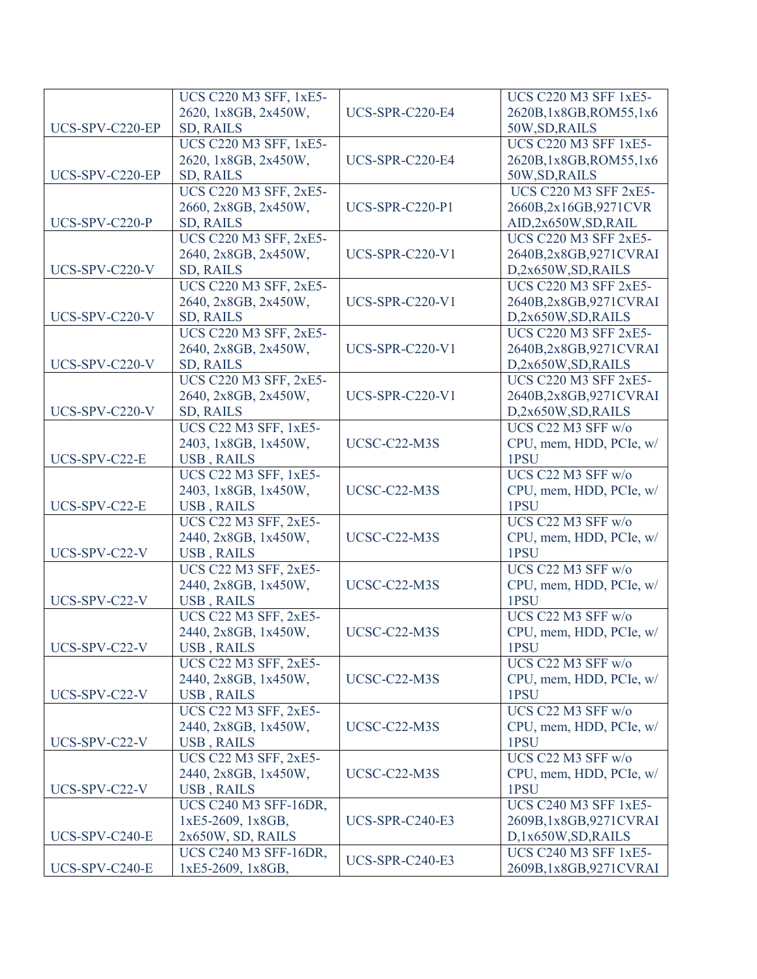|                 | UCS C220 M3 SFF, 1xE5-                               |                        | <b>UCS C220 M3 SFF 1xE5-</b>    |
|-----------------|------------------------------------------------------|------------------------|---------------------------------|
|                 | 2620, 1x8GB, 2x450W,                                 | <b>UCS-SPR-C220-E4</b> | 2620B, 1x8GB, ROM55, 1x6        |
| UCS-SPV-C220-EP | <b>SD, RAILS</b>                                     |                        | 50W, SD, RAILS                  |
|                 | <b>UCS C220 M3 SFF, 1xE5-</b>                        |                        | <b>UCS C220 M3 SFF 1xE5-</b>    |
|                 | 2620, 1x8GB, 2x450W,                                 | <b>UCS-SPR-C220-E4</b> | 2620B, 1x8GB, ROM55, 1x6        |
| UCS-SPV-C220-EP | <b>SD, RAILS</b>                                     |                        | 50W, SD, RAILS                  |
|                 | UCS C220 M3 SFF, 2xE5-                               |                        | <b>UCS C220 M3 SFF 2xE5-</b>    |
|                 | 2660, 2x8GB, 2x450W,                                 | <b>UCS-SPR-C220-P1</b> | 2660B,2x16GB,9271CVR            |
| UCS-SPV-C220-P  | SD, RAILS                                            |                        | AID,2x650W,SD,RAIL              |
|                 | <b>UCS C220 M3 SFF, 2xE5-</b>                        |                        | <b>UCS C220 M3 SFF 2xE5-</b>    |
|                 | 2640, 2x8GB, 2x450W,                                 | <b>UCS-SPR-C220-V1</b> | 2640B,2x8GB,9271CVRAI           |
| UCS-SPV-C220-V  | SD, RAILS                                            |                        | D,2x650W,SD,RAILS               |
|                 | UCS C220 M3 SFF, 2xE5-                               |                        | <b>UCS C220 M3 SFF 2xE5-</b>    |
|                 | 2640, 2x8GB, 2x450W,                                 | <b>UCS-SPR-C220-V1</b> | 2640B,2x8GB,9271CVRAI           |
| UCS-SPV-C220-V  | <b>SD, RAILS</b>                                     |                        | D,2x650W,SD,RAILS               |
|                 | <b>UCS C220 M3 SFF, 2xE5-</b>                        |                        | <b>UCS C220 M3 SFF 2xE5-</b>    |
|                 | 2640, 2x8GB, 2x450W,                                 | <b>UCS-SPR-C220-V1</b> | 2640B,2x8GB,9271CVRAI           |
| UCS-SPV-C220-V  | SD, RAILS                                            |                        | D,2x650W,SD,RAILS               |
|                 | <b>UCS C220 M3 SFF, 2xE5-</b>                        |                        | <b>UCS C220 M3 SFF 2xE5-</b>    |
|                 | 2640, 2x8GB, 2x450W,                                 | <b>UCS-SPR-C220-V1</b> | 2640B,2x8GB,9271CVRAI           |
| UCS-SPV-C220-V  | <b>SD, RAILS</b>                                     |                        | D,2x650W,SD,RAILS               |
|                 | <b>UCS C22 M3 SFF, 1xE5-</b>                         |                        | UCS C22 M3 SFF w/o              |
|                 | 2403, 1x8GB, 1x450W,                                 | UCSC-C22-M3S           | CPU, mem, HDD, PCIe, w/         |
| UCS-SPV-C22-E   |                                                      |                        | 1PSU                            |
|                 | <b>USB, RAILS</b>                                    |                        | UCS C22 M3 SFF w/o              |
|                 | <b>UCS C22 M3 SFF, 1xE5-</b>                         |                        |                                 |
| UCS-SPV-C22-E   | 2403, 1x8GB, 1x450W,                                 | UCSC-C22-M3S           | CPU, mem, HDD, PCIe, w/<br>1PSU |
|                 | <b>USB, RAILS</b>                                    |                        | UCS C22 M3 SFF w/o              |
|                 | <b>UCS C22 M3 SFF, 2xE5-</b>                         |                        |                                 |
|                 | 2440, 2x8GB, 1x450W,                                 | UCSC-C22-M3S           | CPU, mem, HDD, PCIe, w/<br>1PSU |
| UCS-SPV-C22-V   | <b>USB, RAILS</b>                                    |                        | UCS C22 M3 SFF w/o              |
|                 | <b>UCS C22 M3 SFF, 2xE5-</b>                         | UCSC-C22-M3S           |                                 |
|                 | 2440, 2x8GB, 1x450W,                                 |                        | CPU, mem, HDD, PCIe, w/<br>1PSU |
| UCS-SPV-C22-V   | USB, RAILS                                           |                        |                                 |
|                 | <b>UCS C22 M3 SFF, 2xE5-</b><br>2440, 2x8GB, 1x450W, |                        | UCS C22 M3 SFF w/o              |
| UCS-SPV-C22-V   | <b>USB, RAILS</b>                                    | UCSC-C22-M3S           | CPU, mem, HDD, PCIe, w/         |
|                 |                                                      |                        | 1PSU                            |
|                 | <b>UCS C22 M3 SFF, 2xE5-</b>                         |                        | UCS C22 M3 SFF w/o              |
|                 | 2440, 2x8GB, 1x450W,                                 | UCSC-C22-M3S           | CPU, mem, HDD, PCIe, w/         |
| UCS-SPV-C22-V   | <b>USB, RAILS</b>                                    |                        | 1PSU                            |
|                 | <b>UCS C22 M3 SFF, 2xE5-</b>                         |                        | UCS C22 M3 SFF w/o              |
|                 | 2440, 2x8GB, 1x450W,                                 | UCSC-C22-M3S           | CPU, mem, HDD, PCIe, w/         |
| UCS-SPV-C22-V   | <b>USB, RAILS</b>                                    |                        | 1PSU                            |
|                 | <b>UCS C22 M3 SFF, 2xE5-</b>                         |                        | UCS C22 M3 SFF w/o              |
|                 | 2440, 2x8GB, 1x450W,                                 | UCSC-C22-M3S           | CPU, mem, HDD, PCIe, w/         |
| UCS-SPV-C22-V   | <b>USB, RAILS</b>                                    |                        | 1PSU                            |
|                 | UCS C240 M3 SFF-16DR,                                |                        | <b>UCS C240 M3 SFF 1xE5-</b>    |
|                 | 1xE5-2609, 1x8GB,                                    | <b>UCS-SPR-C240-E3</b> | 2609B,1x8GB,9271CVRAI           |
| UCS-SPV-C240-E  | 2x650W, SD, RAILS                                    |                        | D,1x650W,SD,RAILS               |
|                 | <b>UCS C240 M3 SFF-16DR,</b>                         | UCS-SPR-C240-E3        | <b>UCS C240 M3 SFF 1xE5-</b>    |
| UCS-SPV-C240-E  | 1xE5-2609, 1x8GB,                                    |                        | 2609B,1x8GB,9271CVRAI           |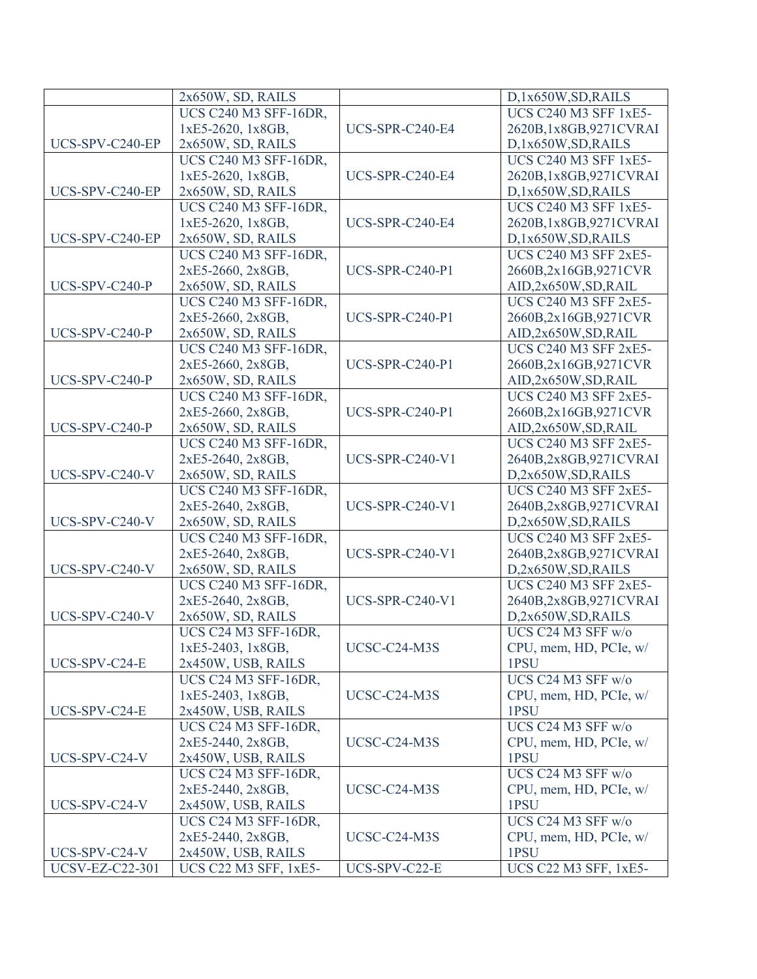|                        | 2x650W, SD, RAILS             |                        | D,1x650W,SD,RAILS            |
|------------------------|-------------------------------|------------------------|------------------------------|
|                        | <b>UCS C240 M3 SFF-16DR.</b>  |                        | <b>UCS C240 M3 SFF 1xE5-</b> |
|                        | 1xE5-2620, 1x8GB,             | UCS-SPR-C240-E4        | 2620B,1x8GB,9271CVRAI        |
| UCS-SPV-C240-EP        | 2x650W, SD, RAILS             |                        | D,1x650W,SD,RAILS            |
|                        | <b>UCS C240 M3 SFF-16DR,</b>  |                        | <b>UCS C240 M3 SFF 1xE5-</b> |
|                        | 1xE5-2620, 1x8GB,             | <b>UCS-SPR-C240-E4</b> | 2620B, 1x8GB, 9271 CVRAI     |
| UCS-SPV-C240-EP        | 2x650W, SD, RAILS             |                        | D,1x650W,SD,RAILS            |
|                        | <b>UCS C240 M3 SFF-16DR,</b>  |                        | <b>UCS C240 M3 SFF 1xE5-</b> |
|                        | 1xE5-2620, 1x8GB,             | <b>UCS-SPR-C240-E4</b> | 2620B,1x8GB,9271CVRAI        |
| UCS-SPV-C240-EP        | 2x650W, SD, RAILS             |                        | D,1x650W,SD,RAILS            |
|                        | <b>UCS C240 M3 SFF-16DR</b> , |                        | <b>UCS C240 M3 SFF 2xE5-</b> |
|                        | 2xE5-2660, 2x8GB,             | <b>UCS-SPR-C240-P1</b> | 2660B,2x16GB,9271CVR         |
| UCS-SPV-C240-P         | 2x650W, SD, RAILS             |                        | AID,2x650W,SD,RAIL           |
|                        | <b>UCS C240 M3 SFF-16DR,</b>  |                        | <b>UCS C240 M3 SFF 2xE5-</b> |
|                        | 2xE5-2660, 2x8GB,             | <b>UCS-SPR-C240-P1</b> | 2660B,2x16GB,9271CVR         |
| UCS-SPV-C240-P         | 2x650W, SD, RAILS             |                        | AID,2x650W,SD,RAIL           |
|                        | <b>UCS C240 M3 SFF-16DR,</b>  |                        | <b>UCS C240 M3 SFF 2xE5-</b> |
|                        | 2xE5-2660, 2x8GB,             | <b>UCS-SPR-C240-P1</b> | 2660B,2x16GB,9271CVR         |
| UCS-SPV-C240-P         | 2x650W, SD, RAILS             |                        | AID,2x650W,SD,RAIL           |
|                        | <b>UCS C240 M3 SFF-16DR,</b>  |                        | <b>UCS C240 M3 SFF 2xE5-</b> |
|                        | 2xE5-2660, 2x8GB,             | <b>UCS-SPR-C240-P1</b> | 2660B,2x16GB,9271CVR         |
| UCS-SPV-C240-P         | 2x650W, SD, RAILS             |                        | AID,2x650W,SD,RAIL           |
|                        | <b>UCS C240 M3 SFF-16DR</b> , |                        | <b>UCS C240 M3 SFF 2xE5-</b> |
|                        | 2xE5-2640, 2x8GB,             | <b>UCS-SPR-C240-V1</b> | 2640B,2x8GB,9271CVRAI        |
| UCS-SPV-C240-V         | 2x650W, SD, RAILS             |                        | D,2x650W,SD,RAILS            |
|                        | <b>UCS C240 M3 SFF-16DR</b> , |                        | <b>UCS C240 M3 SFF 2xE5-</b> |
|                        | 2xE5-2640, 2x8GB,             | <b>UCS-SPR-C240-V1</b> | 2640B,2x8GB,9271CVRAI        |
| UCS-SPV-C240-V         | 2x650W, SD, RAILS             |                        | D,2x650W,SD,RAILS            |
|                        | <b>UCS C240 M3 SFF-16DR,</b>  |                        | <b>UCS C240 M3 SFF 2xE5-</b> |
|                        | 2xE5-2640, 2x8GB,             | <b>UCS-SPR-C240-V1</b> | 2640B,2x8GB,9271CVRAI        |
| UCS-SPV-C240-V         | 2x650W, SD, RAILS             |                        | D,2x650W,SD,RAILS            |
|                        | <b>UCS C240 M3 SFF-16DR</b> , |                        | <b>UCS C240 M3 SFF 2xE5-</b> |
|                        | 2xE5-2640, 2x8GB,             | <b>UCS-SPR-C240-V1</b> | 2640B,2x8GB,9271CVRAI        |
| UCS-SPV-C240-V         | 2x650W, SD, RAILS             |                        | D,2x650W,SD,RAILS            |
|                        | UCS C24 M3 SFF-16DR,          |                        | UCS C24 M3 SFF w/o           |
|                        | $1xE5-2403$ , $1x8GB$ ,       | UCSC-C24-M3S           | CPU, mem, HD, PCIe, w/       |
| UCS-SPV-C24-E          | 2x450W, USB, RAILS            |                        | 1PSU                         |
|                        | UCS C24 M3 SFF-16DR,          |                        | UCS C24 M3 SFF w/o           |
|                        | 1xE5-2403, 1x8GB,             | UCSC-C24-M3S           | CPU, mem, HD, PCIe, w/       |
| UCS-SPV-C24-E          | 2x450W, USB, RAILS            |                        | 1PSU                         |
|                        | UCS C24 M3 SFF-16DR,          |                        | UCS C24 M3 SFF w/o           |
|                        | 2xE5-2440, 2x8GB,             | UCSC-C24-M3S           | CPU, mem, HD, PCIe, w/       |
| UCS-SPV-C24-V          | 2x450W, USB, RAILS            |                        | 1PSU                         |
|                        | UCS C24 M3 SFF-16DR,          |                        | UCS C24 M3 SFF w/o           |
|                        | 2xE5-2440, 2x8GB,             | UCSC-C24-M3S           | CPU, mem, HD, PCIe, w/       |
| UCS-SPV-C24-V          | 2x450W, USB, RAILS            |                        | 1PSU                         |
|                        | UCS C24 M3 SFF-16DR,          |                        | UCS C24 M3 SFF w/o           |
|                        | 2xE5-2440, 2x8GB,             | UCSC-C24-M3S           | CPU, mem, HD, PCIe, w/       |
| UCS-SPV-C24-V          | 2x450W, USB, RAILS            |                        | 1PSU                         |
| <b>UCSV-EZ-C22-301</b> | <b>UCS C22 M3 SFF, 1xE5-</b>  | UCS-SPV-C22-E          | <b>UCS C22 M3 SFF, 1xE5-</b> |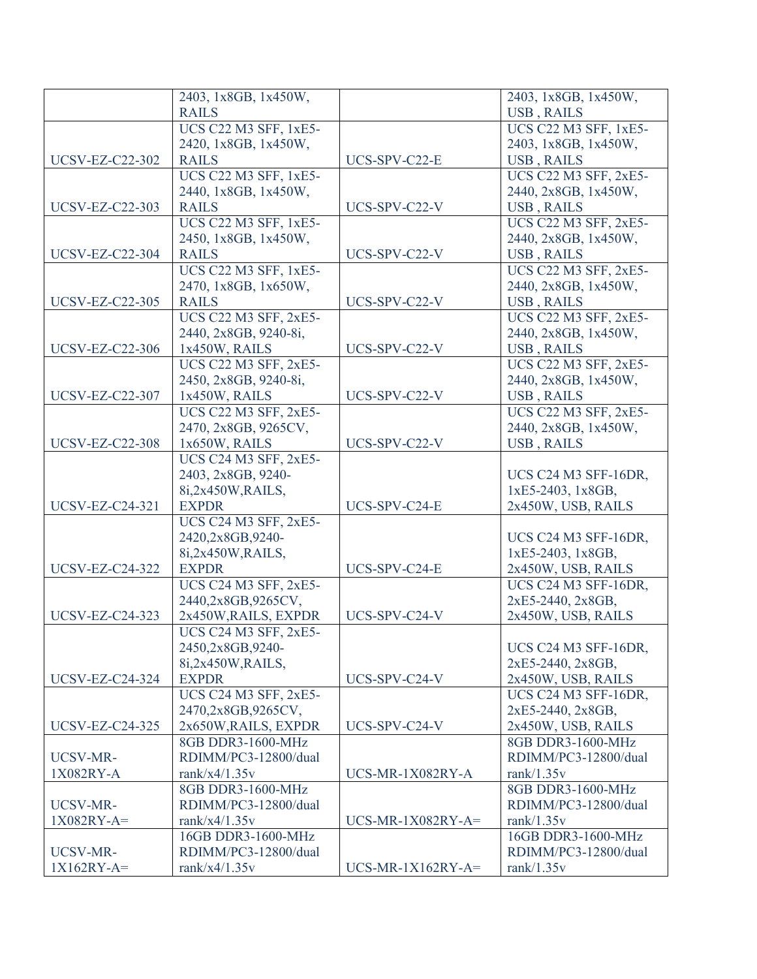|                        | 2403, 1x8GB, 1x450W,         |                     | 2403, 1x8GB, 1x450W,         |
|------------------------|------------------------------|---------------------|------------------------------|
|                        | <b>RAILS</b>                 |                     | <b>USB, RAILS</b>            |
|                        | <b>UCS C22 M3 SFF, 1xE5-</b> |                     | <b>UCS C22 M3 SFF, 1xE5-</b> |
|                        | 2420, 1x8GB, 1x450W,         |                     | 2403, 1x8GB, 1x450W,         |
| <b>UCSV-EZ-C22-302</b> | <b>RAILS</b>                 | UCS-SPV-C22-E       | <b>USB, RAILS</b>            |
|                        | <b>UCS C22 M3 SFF, 1xE5-</b> |                     | <b>UCS C22 M3 SFF, 2xE5-</b> |
|                        | 2440, 1x8GB, 1x450W,         |                     | 2440, 2x8GB, 1x450W,         |
| <b>UCSV-EZ-C22-303</b> | <b>RAILS</b>                 | UCS-SPV-C22-V       | <b>USB, RAILS</b>            |
|                        | <b>UCS C22 M3 SFF, 1xE5-</b> |                     | <b>UCS C22 M3 SFF, 2xE5-</b> |
|                        | 2450, 1x8GB, 1x450W,         |                     | 2440, 2x8GB, 1x450W,         |
| <b>UCSV-EZ-C22-304</b> | <b>RAILS</b>                 | UCS-SPV-C22-V       | <b>USB, RAILS</b>            |
|                        | <b>UCS C22 M3 SFF, 1xE5-</b> |                     | <b>UCS C22 M3 SFF, 2xE5-</b> |
|                        | 2470, 1x8GB, 1x650W,         |                     | 2440, 2x8GB, 1x450W,         |
| <b>UCSV-EZ-C22-305</b> | <b>RAILS</b>                 | UCS-SPV-C22-V       | <b>USB, RAILS</b>            |
|                        | <b>UCS C22 M3 SFF, 2xE5-</b> |                     | <b>UCS C22 M3 SFF, 2xE5-</b> |
|                        | 2440, 2x8GB, 9240-8i,        |                     | 2440, 2x8GB, 1x450W,         |
| <b>UCSV-EZ-C22-306</b> | 1x450W, RAILS                | UCS-SPV-C22-V       | USB, RAILS                   |
|                        | <b>UCS C22 M3 SFF, 2xE5-</b> |                     | <b>UCS C22 M3 SFF, 2xE5-</b> |
|                        | 2450, 2x8GB, 9240-8i,        |                     | 2440, 2x8GB, 1x450W,         |
| <b>UCSV-EZ-C22-307</b> | 1x450W, RAILS                | UCS-SPV-C22-V       | <b>USB, RAILS</b>            |
|                        | UCS C22 M3 SFF, 2xE5-        |                     | <b>UCS C22 M3 SFF, 2xE5-</b> |
|                        | 2470, 2x8GB, 9265CV,         |                     | 2440, 2x8GB, 1x450W,         |
| <b>UCSV-EZ-C22-308</b> |                              | UCS-SPV-C22-V       | USB, RAILS                   |
|                        | 1x650W, RAILS                |                     |                              |
|                        | <b>UCS C24 M3 SFF, 2xE5-</b> |                     |                              |
|                        | 2403, 2x8GB, 9240-           |                     | UCS C24 M3 SFF-16DR,         |
|                        | 8i,2x450W,RAILS,             |                     | 1xE5-2403, 1x8GB,            |
| <b>UCSV-EZ-C24-321</b> | <b>EXPDR</b>                 | UCS-SPV-C24-E       | 2x450W, USB, RAILS           |
|                        | <b>UCS C24 M3 SFF, 2xE5-</b> |                     |                              |
|                        | 2420,2x8GB,9240-             |                     | UCS C24 M3 SFF-16DR,         |
|                        | 8i,2x450W,RAILS,             |                     | 1xE5-2403, 1x8GB,            |
| <b>UCSV-EZ-C24-322</b> | <b>EXPDR</b>                 | UCS-SPV-C24-E       | 2x450W, USB, RAILS           |
|                        | <b>UCS C24 M3 SFF, 2xE5-</b> |                     | UCS C24 M3 SFF-16DR,         |
|                        | 2440,2x8GB,9265CV,           |                     | 2xE5-2440, 2x8GB,            |
| <b>UCSV-EZ-C24-323</b> | 2x450W, RAILS, EXPDR         | UCS-SPV-C24-V       | 2x450W, USB, RAILS           |
|                        | <b>UCS C24 M3 SFF, 2xE5-</b> |                     |                              |
|                        | 2450,2x8GB,9240-             |                     | UCS C24 M3 SFF-16DR,         |
|                        | 8i,2x450W,RAILS,             |                     | 2xE5-2440, 2x8GB,            |
| <b>UCSV-EZ-C24-324</b> | <b>EXPDR</b>                 | UCS-SPV-C24-V       | 2x450W, USB, RAILS           |
|                        | <b>UCS C24 M3 SFF, 2xE5-</b> |                     | UCS C24 M3 SFF-16DR,         |
|                        | 2470,2x8GB,9265CV,           |                     | 2xE5-2440, 2x8GB,            |
| <b>UCSV-EZ-C24-325</b> | 2x650W, RAILS, EXPDR         | UCS-SPV-C24-V       | 2x450W, USB, RAILS           |
|                        | 8GB DDR3-1600-MHz            |                     | 8GB DDR3-1600-MHz            |
| UCSV-MR-               | RDIMM/PC3-12800/dual         |                     | RDIMM/PC3-12800/dual         |
| 1X082RY-A              | rank/x4/1.35 $v$             | UCS-MR-1X082RY-A    | rank $/1.35v$                |
|                        | 8GB DDR3-1600-MHz            |                     | 8GB DDR3-1600-MHz            |
| UCSV-MR-               | RDIMM/PC3-12800/dual         |                     | RDIMM/PC3-12800/dual         |
| $1X082RY-A=$           | rank/x4/1.35 $v$             | $UCS-MR-1X082RY-A=$ | rank $/1.35v$                |
|                        | 16GB DDR3-1600-MHz           |                     | 16GB DDR3-1600-MHz           |
| UCSV-MR-               | RDIMM/PC3-12800/dual         |                     | RDIMM/PC3-12800/dual         |
| $1X162RY-A=$           | rank/x4/1.35 $v$             | $UCS-MR-1X162RY-A=$ | rank $/1.35v$                |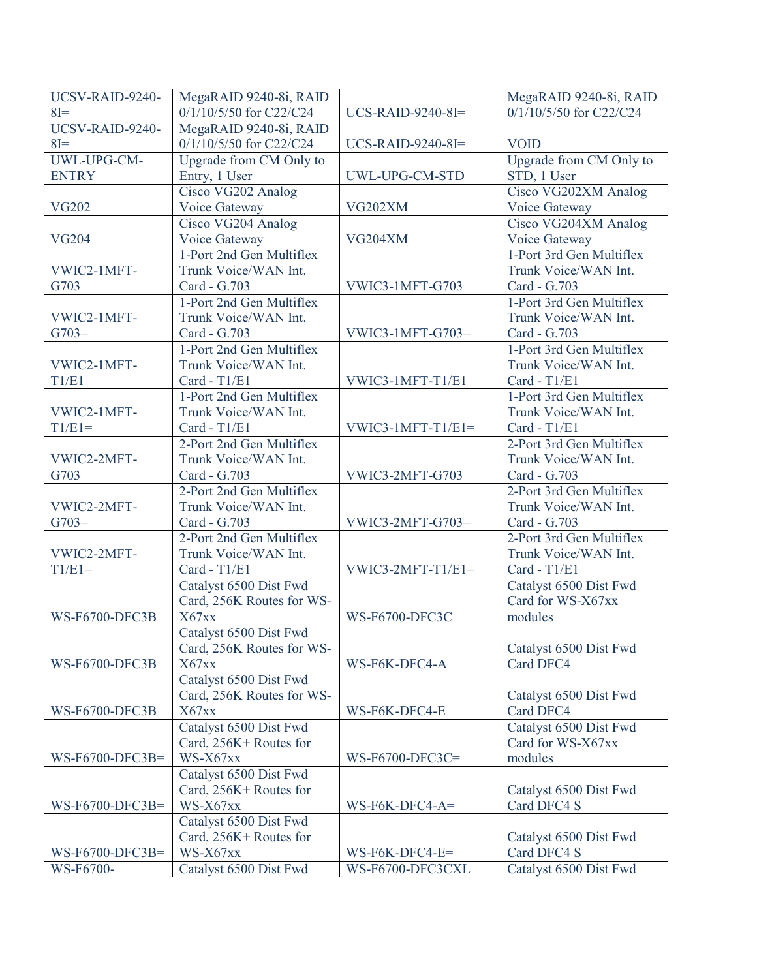| UCSV-RAID-9240-       | MegaRAID 9240-8i, RAID    |                       | MegaRAID 9240-8i, RAID   |
|-----------------------|---------------------------|-----------------------|--------------------------|
| $8I=$                 | 0/1/10/5/50 for C22/C24   | UCS-RAID-9240-8I=     | 0/1/10/5/50 for C22/C24  |
| UCSV-RAID-9240-       | MegaRAID 9240-8i, RAID    |                       |                          |
| $8I =$                | 0/1/10/5/50 for C22/C24   | UCS-RAID-9240-8I=     | <b>VOID</b>              |
| UWL-UPG-CM-           | Upgrade from CM Only to   |                       | Upgrade from CM Only to  |
| <b>ENTRY</b>          | Entry, 1 User             | UWL-UPG-CM-STD        | STD, 1 User              |
|                       | Cisco VG202 Analog        |                       | Cisco VG202XM Analog     |
| <b>VG202</b>          | Voice Gateway             | VG202XM               | Voice Gateway            |
|                       | Cisco VG204 Analog        |                       | Cisco VG204XM Analog     |
| <b>VG204</b>          | Voice Gateway             | <b>VG204XM</b>        | Voice Gateway            |
|                       | 1-Port 2nd Gen Multiflex  |                       | 1-Port 3rd Gen Multiflex |
| VWIC2-1MFT-           | Trunk Voice/WAN Int.      |                       | Trunk Voice/WAN Int.     |
| G703                  | Card - G.703              | VWIC3-1MFT-G703       | Card - G.703             |
|                       | 1-Port 2nd Gen Multiflex  |                       | 1-Port 3rd Gen Multiflex |
| VWIC2-1MFT-           | Trunk Voice/WAN Int.      |                       | Trunk Voice/WAN Int.     |
| $G703=$               | Card - G.703              | $VWIC3-1MFT-G703=$    | Card - G.703             |
|                       | 1-Port 2nd Gen Multiflex  |                       | 1-Port 3rd Gen Multiflex |
| VWIC2-1MFT-           | Trunk Voice/WAN Int.      |                       | Trunk Voice/WAN Int.     |
| T1/E1                 | Card - T1/E1              | VWIC3-1MFT-T1/E1      | Card - T1/E1             |
|                       | 1-Port 2nd Gen Multiflex  |                       | 1-Port 3rd Gen Multiflex |
| VWIC2-1MFT-           | Trunk Voice/WAN Int.      |                       | Trunk Voice/WAN Int.     |
| $T1/E1=$              | Card - T1/E1              | $VWIC3-1MFT-T1/E1=$   | Card - T1/E1             |
|                       | 2-Port 2nd Gen Multiflex  |                       | 2-Port 3rd Gen Multiflex |
| VWIC2-2MFT-           | Trunk Voice/WAN Int.      |                       | Trunk Voice/WAN Int.     |
| G703                  | Card - G.703              | VWIC3-2MFT-G703       | Card - G.703             |
|                       | 2-Port 2nd Gen Multiflex  |                       | 2-Port 3rd Gen Multiflex |
| VWIC2-2MFT-           | Trunk Voice/WAN Int.      |                       | Trunk Voice/WAN Int.     |
| $G703=$               | Card - G.703              | $VWIC3-2MFT-G703=$    | Card - G.703             |
|                       | 2-Port 2nd Gen Multiflex  |                       | 2-Port 3rd Gen Multiflex |
| VWIC2-2MFT-           | Trunk Voice/WAN Int.      |                       | Trunk Voice/WAN Int.     |
| $T1/E1=$              | Card - T1/E1              | $VWIC3-2MFT-T1/E1=$   | Card - T1/E1             |
|                       | Catalyst 6500 Dist Fwd    |                       | Catalyst 6500 Dist Fwd   |
|                       | Card, 256K Routes for WS- |                       | Card for WS-X67xx        |
| <b>WS-F6700-DFC3B</b> | X67xx                     | <b>WS-F6700-DFC3C</b> | modules                  |
|                       | Catalyst 6500 Dist Fwd    |                       |                          |
|                       | Card, 256K Routes for WS- |                       | Catalyst 6500 Dist Fwd   |
| WS-F6700-DFC3B        | X67xx                     | WS-F6K-DFC4-A         | Card DFC4                |
|                       | Catalyst 6500 Dist Fwd    |                       |                          |
|                       | Card, 256K Routes for WS- |                       | Catalyst 6500 Dist Fwd   |
| <b>WS-F6700-DFC3B</b> | X67xx                     | WS-F6K-DFC4-E         | Card DFC4                |
|                       | Catalyst 6500 Dist Fwd    |                       | Catalyst 6500 Dist Fwd   |
|                       | Card, 256K+ Routes for    |                       | Card for WS-X67xx        |
| WS-F6700-DFC3B=       | WS-X67xx                  | WS-F6700-DFC3C=       | modules                  |
|                       | Catalyst 6500 Dist Fwd    |                       |                          |
|                       | Card, 256K+ Routes for    |                       | Catalyst 6500 Dist Fwd   |
| WS-F6700-DFC3B=       | WS-X67xx                  | $WS$ -F6K-DFC4-A=     | Card DFC4 S              |
|                       | Catalyst 6500 Dist Fwd    |                       |                          |
|                       | Card, 256K+ Routes for    |                       | Catalyst 6500 Dist Fwd   |
| WS-F6700-DFC3B=       | WS-X67xx                  | WS-F6K-DFC4-E=        | Card DFC4 S              |
| WS-F6700-             | Catalyst 6500 Dist Fwd    | WS-F6700-DFC3CXL      | Catalyst 6500 Dist Fwd   |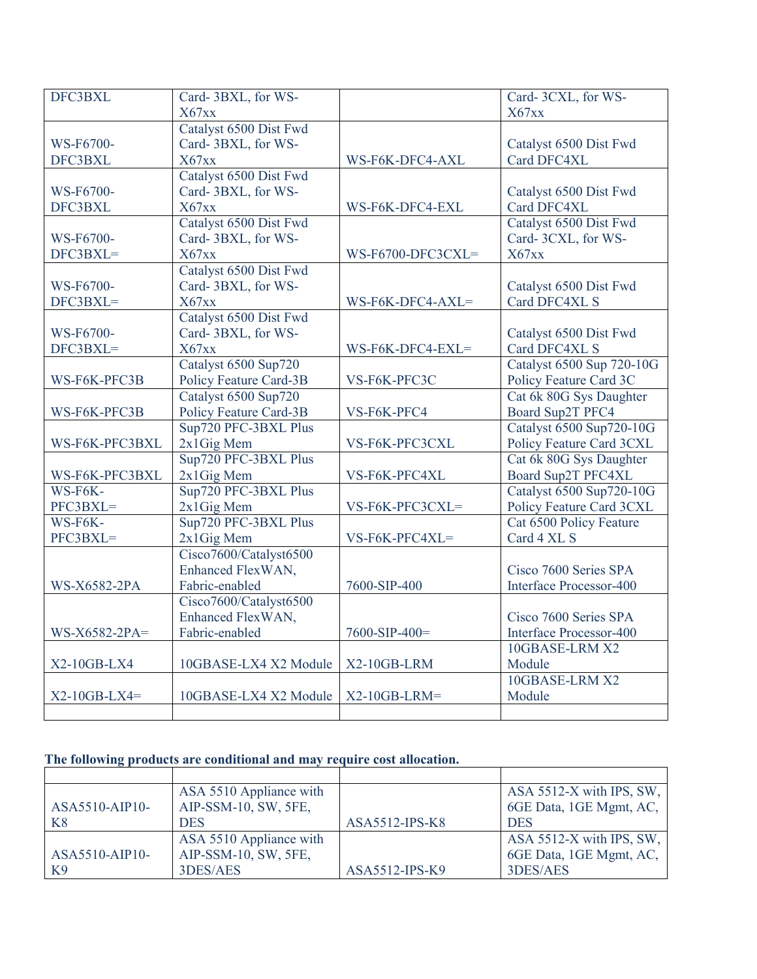| DFC3BXL        | Card-3BXL, for WS-     |                   | Card-3CXL, for WS-        |
|----------------|------------------------|-------------------|---------------------------|
|                | X67xx                  |                   | X67xx                     |
|                | Catalyst 6500 Dist Fwd |                   |                           |
| WS-F6700-      | Card-3BXL, for WS-     |                   | Catalyst 6500 Dist Fwd    |
| DFC3BXL        | X67xx                  | WS-F6K-DFC4-AXL   | Card DFC4XL               |
|                | Catalyst 6500 Dist Fwd |                   |                           |
| WS-F6700-      | Card-3BXL, for WS-     |                   | Catalyst 6500 Dist Fwd    |
| DFC3BXL        | X67xx                  | WS-F6K-DFC4-EXL   | Card DFC4XL               |
|                | Catalyst 6500 Dist Fwd |                   | Catalyst 6500 Dist Fwd    |
| WS-F6700-      | Card-3BXL, for WS-     |                   | Card-3CXL, for WS-        |
| DFC3BXL=       | X67xx                  | WS-F6700-DFC3CXL= | X67xx                     |
|                | Catalyst 6500 Dist Fwd |                   |                           |
| WS-F6700-      | Card-3BXL, for WS-     |                   | Catalyst 6500 Dist Fwd    |
| DFC3BXL=       | X67xx                  | WS-F6K-DFC4-AXL=  | Card DFC4XL S             |
|                | Catalyst 6500 Dist Fwd |                   |                           |
| WS-F6700-      | Card-3BXL, for WS-     |                   | Catalyst 6500 Dist Fwd    |
| DFC3BXL=       | X67xx                  | WS-F6K-DFC4-EXL=  | Card DFC4XL S             |
|                | Catalyst 6500 Sup720   |                   | Catalyst 6500 Sup 720-10G |
| WS-F6K-PFC3B   | Policy Feature Card-3B | VS-F6K-PFC3C      | Policy Feature Card 3C    |
|                | Catalyst 6500 Sup720   |                   | Cat 6k 80G Sys Daughter   |
| WS-F6K-PFC3B   | Policy Feature Card-3B | VS-F6K-PFC4       | Board Sup2T PFC4          |
|                | Sup720 PFC-3BXL Plus   |                   | Catalyst 6500 Sup720-10G  |
| WS-F6K-PFC3BXL | 2x1Gig Mem             | VS-F6K-PFC3CXL    | Policy Feature Card 3CXL  |
|                | Sup720 PFC-3BXL Plus   |                   | Cat 6k 80G Sys Daughter   |
| WS-F6K-PFC3BXL | 2x1Gig Mem             | VS-F6K-PFC4XL     | Board Sup2T PFC4XL        |
| WS-F6K-        | Sup720 PFC-3BXL Plus   |                   | Catalyst 6500 Sup720-10G  |
| PFC3BXL=       | 2x1Gig Mem             | VS-F6K-PFC3CXL=   | Policy Feature Card 3CXL  |
| WS-F6K-        | Sup720 PFC-3BXL Plus   |                   | Cat 6500 Policy Feature   |
| PFC3BXL=       | 2x1Gig Mem             | VS-F6K-PFC4XL=    | Card 4 XL S               |
|                | Cisco7600/Catalyst6500 |                   |                           |
|                | Enhanced FlexWAN,      |                   | Cisco 7600 Series SPA     |
| WS-X6582-2PA   | Fabric-enabled         | 7600-SIP-400      | Interface Processor-400   |
|                | Cisco7600/Catalyst6500 |                   |                           |
|                | Enhanced FlexWAN,      |                   | Cisco 7600 Series SPA     |
| WS-X6582-2PA=  | Fabric-enabled         | 7600-SIP-400=     | Interface Processor-400   |
|                |                        |                   | 10GBASE-LRM X2            |
| $X2-10GB-LX4$  | 10GBASE-LX4 X2 Module  | X2-10GB-LRM       | Module                    |
|                |                        |                   | 10GBASE-LRM X2            |
| $X2-10GB-LX4=$ | 10GBASE-LX4 X2 Module  | $X2-10GB-LRM=$    | Module                    |
|                |                        |                   |                           |

## **The following products are conditional and may require cost allocation.**

|                | ASA 5510 Appliance with |                | ASA 5512-X with IPS, SW,   |
|----------------|-------------------------|----------------|----------------------------|
| ASA5510-AIP10- | AIP-SSM-10, SW, 5FE,    |                | 6GE Data, 1GE Mgmt, AC,    |
| K8             | <b>DES</b>              | ASA5512-IPS-K8 | <b>DES</b>                 |
|                | ASA 5510 Appliance with |                | ASA $5512-X$ with IPS, SW, |
| ASA5510-AIP10- | AIP-SSM-10, SW, 5FE,    |                | 6GE Data, 1GE Mgmt, AC,    |
| K9             | 3DES/AES                | ASA5512-IPS-K9 | 3DES/AES                   |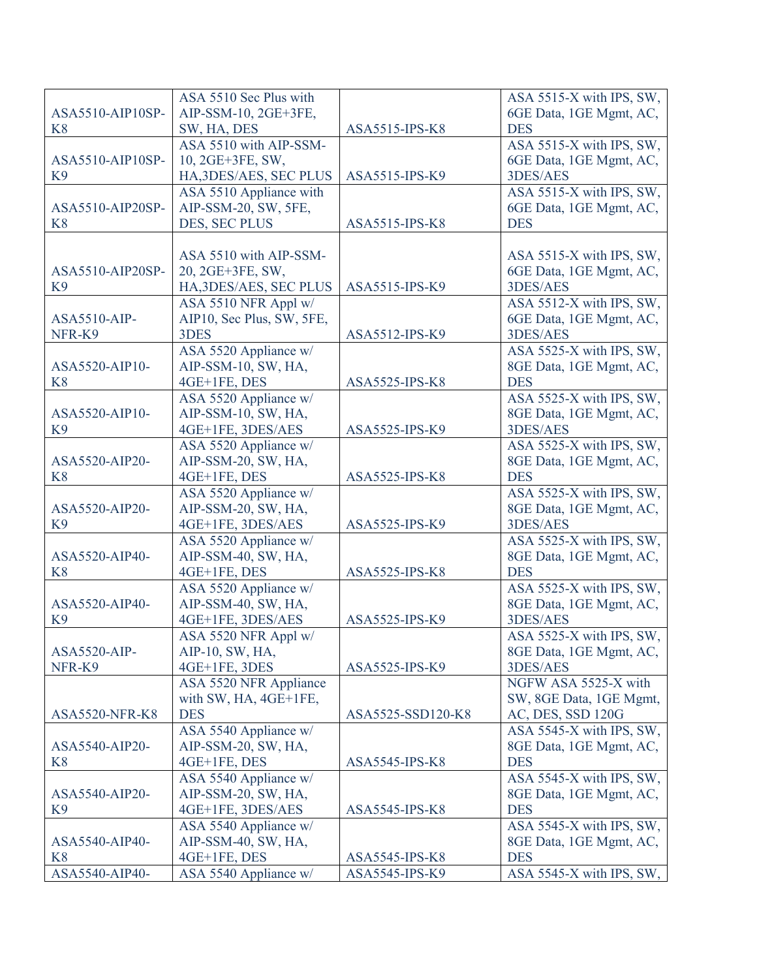|                       | ASA 5510 Sec Plus with    |                       | ASA 5515-X with IPS, SW, |
|-----------------------|---------------------------|-----------------------|--------------------------|
| ASA5510-AIP10SP-      | AIP-SSM-10, 2GE+3FE,      |                       | 6GE Data, 1GE Mgmt, AC,  |
| K <sup>8</sup>        | SW, HA, DES               | ASA5515-IPS-K8        | <b>DES</b>               |
|                       | ASA 5510 with AIP-SSM-    |                       | ASA 5515-X with IPS, SW, |
| ASA5510-AIP10SP-      | 10, 2GE+3FE, SW,          |                       | 6GE Data, 1GE Mgmt, AC,  |
| K <sub>9</sub>        | HA, 3DES/AES, SEC PLUS    | ASA5515-IPS-K9        | 3DES/AES                 |
|                       | ASA 5510 Appliance with   |                       | ASA 5515-X with IPS, SW, |
| ASA5510-AIP20SP-      | AIP-SSM-20, SW, 5FE,      |                       | 6GE Data, 1GE Mgmt, AC,  |
| K <sup>8</sup>        | DES, SEC PLUS             | ASA5515-IPS-K8        | <b>DES</b>               |
|                       |                           |                       |                          |
|                       | ASA 5510 with AIP-SSM-    |                       | ASA 5515-X with IPS, SW, |
| ASA5510-AIP20SP-      | 20, 2GE+3FE, SW,          |                       | 6GE Data, 1GE Mgmt, AC,  |
| K <sub>9</sub>        | HA, 3DES/AES, SEC PLUS    | ASA5515-IPS-K9        | 3DES/AES                 |
|                       | ASA 5510 NFR Appl w/      |                       | ASA 5512-X with IPS, SW, |
| ASA5510-AIP-          | AIP10, Sec Plus, SW, 5FE, |                       | 6GE Data, 1GE Mgmt, AC,  |
| NFR-K9                | 3DES                      | ASA5512-IPS-K9        | 3DES/AES                 |
|                       | ASA 5520 Appliance w/     |                       | ASA 5525-X with IPS, SW, |
| ASA5520-AIP10-        | AIP-SSM-10, SW, HA,       |                       | 8GE Data, 1GE Mgmt, AC,  |
| K <sup>8</sup>        | 4GE+1FE, DES              | <b>ASA5525-IPS-K8</b> | <b>DES</b>               |
|                       | ASA 5520 Appliance w/     |                       | ASA 5525-X with IPS, SW, |
| ASA5520-AIP10-        | AIP-SSM-10, SW, HA,       |                       | 8GE Data, 1GE Mgmt, AC,  |
| K <sub>9</sub>        | 4GE+1FE, 3DES/AES         | ASA5525-IPS-K9        | 3DES/AES                 |
|                       | ASA 5520 Appliance w/     |                       | ASA 5525-X with IPS, SW, |
| ASA5520-AIP20-        | AIP-SSM-20, SW, HA,       |                       | 8GE Data, 1GE Mgmt, AC,  |
| K <sub>8</sub>        | 4GE+1FE, DES              | ASA5525-IPS-K8        | <b>DES</b>               |
|                       | ASA 5520 Appliance w/     |                       | ASA 5525-X with IPS, SW, |
| ASA5520-AIP20-        | AIP-SSM-20, SW, HA,       |                       | 8GE Data, 1GE Mgmt, AC,  |
| K <sub>9</sub>        | 4GE+1FE, 3DES/AES         | ASA5525-IPS-K9        | 3DES/AES                 |
|                       | ASA 5520 Appliance w/     |                       | ASA 5525-X with IPS, SW, |
| ASA5520-AIP40-        | AIP-SSM-40, SW, HA,       |                       | 8GE Data, 1GE Mgmt, AC,  |
| K <sup>8</sup>        | 4GE+1FE, DES              | ASA5525-IPS-K8        | <b>DES</b>               |
|                       | ASA 5520 Appliance w/     |                       | ASA 5525-X with IPS, SW, |
| ASA5520-AIP40-        | AIP-SSM-40, SW, HA,       |                       | 8GE Data, 1GE Mgmt, AC,  |
| K <sub>9</sub>        | 4GE+1FE, 3DES/AES         | ASA5525-IPS-K9        | 3DES/AES                 |
|                       | ASA 5520 NFR Appl w/      |                       | ASA 5525-X with IPS, SW, |
| ASA5520-AIP-          | AIP-10, SW, HA,           |                       | 8GE Data, 1GE Mgmt, AC,  |
| NFR-K9                | 4GE+1FE, 3DES             | ASA5525-IPS-K9        | 3DES/AES                 |
|                       | ASA 5520 NFR Appliance    |                       | NGFW ASA 5525-X with     |
|                       | with SW, HA, 4GE+1FE,     |                       | SW, 8GE Data, 1GE Mgmt,  |
| <b>ASA5520-NFR-K8</b> | <b>DES</b>                | ASA5525-SSD120-K8     | AC, DES, SSD 120G        |
|                       | ASA 5540 Appliance w/     |                       | ASA 5545-X with IPS, SW, |
| ASA5540-AIP20-        | AIP-SSM-20, SW, HA,       |                       | 8GE Data, 1GE Mgmt, AC,  |
| K <sup>8</sup>        | 4GE+1FE, DES              | ASA5545-IPS-K8        | <b>DES</b>               |
|                       | ASA 5540 Appliance w/     |                       | ASA 5545-X with IPS, SW, |
| ASA5540-AIP20-        | AIP-SSM-20, SW, HA,       |                       | 8GE Data, 1GE Mgmt, AC,  |
| K <sub>9</sub>        | 4GE+1FE, 3DES/AES         | ASA5545-IPS-K8        | <b>DES</b>               |
|                       | ASA 5540 Appliance w/     |                       | ASA 5545-X with IPS, SW, |
| ASA5540-AIP40-        | AIP-SSM-40, SW, HA,       |                       | 8GE Data, 1GE Mgmt, AC,  |
| K <sub>8</sub>        | 4GE+1FE, DES              | ASA5545-IPS-K8        | <b>DES</b>               |
| ASA5540-AIP40-        | ASA 5540 Appliance w/     | ASA5545-IPS-K9        | ASA 5545-X with IPS, SW, |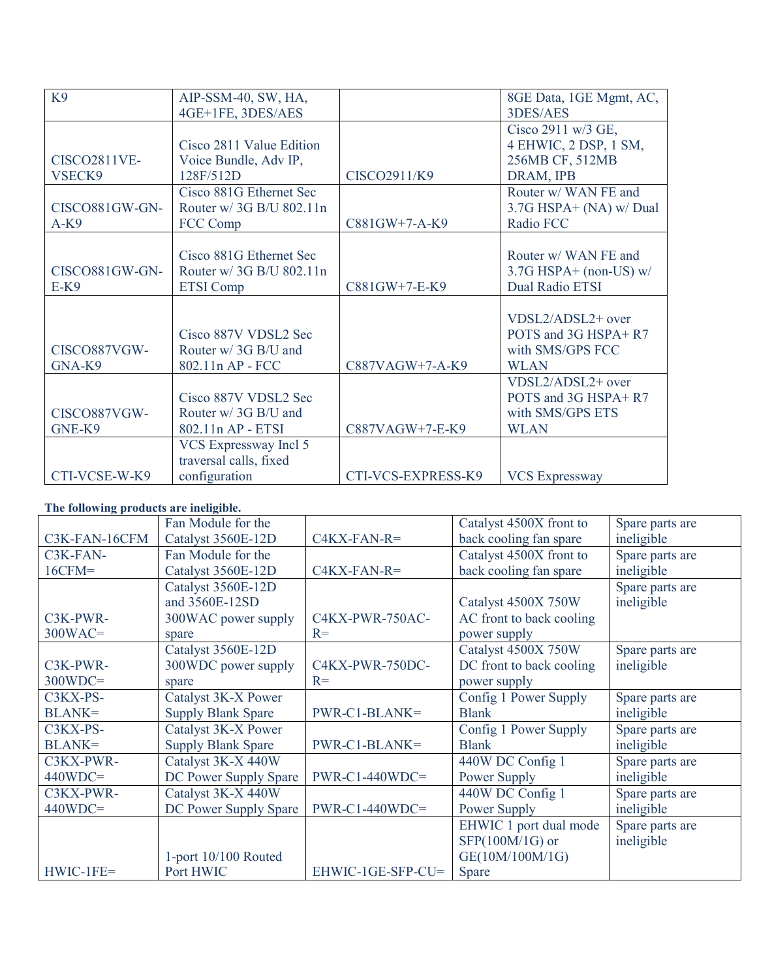| K <sub>9</sub>                | AIP-SSM-40, SW, HA,                                                     |                    | 8GE Data, 1GE Mgmt, AC,                                                     |
|-------------------------------|-------------------------------------------------------------------------|--------------------|-----------------------------------------------------------------------------|
|                               | 4GE+1FE, 3DES/AES                                                       |                    | 3DES/AES                                                                    |
| <b>CISCO2811VE-</b><br>VSECK9 | Cisco 2811 Value Edition<br>Voice Bundle, Adv IP,<br>128F/512D          | CISCO2911/K9       | Cisco 2911 w/3 GE,<br>4 EHWIC, 2 DSP, 1 SM,<br>256MB CF, 512MB<br>DRAM, IPB |
| CISCO881GW-GN-<br>$A-K9$      | Cisco 881G Ethernet Sec<br>Router w/ 3G B/U 802.11n<br>FCC Comp         | C881GW+7-A-K9      | Router w/ WAN FE and<br>3.7G HSPA+ (NA) w/ Dual<br>Radio FCC                |
| CISCO881GW-GN-<br>$E-K9$      | Cisco 881G Ethernet Sec<br>Router w/ 3G B/U 802.11n<br><b>ETSI</b> Comp | C881GW+7-E-K9      | Router w/ WAN FE and<br>$3.7G$ HSPA+ (non-US) w/<br>Dual Radio ETSI         |
| CISCO887VGW-<br>GNA-K9        | Cisco 887V VDSL2 Sec<br>Router w/ 3G B/U and<br>802.11n AP - FCC        | C887VAGW+7-A-K9    | VDSL2/ADSL2+ over<br>POTS and 3G HSPA+R7<br>with SMS/GPS FCC<br><b>WLAN</b> |
| CISCO887VGW-<br>GNE-K9        | Cisco 887V VDSL2 Sec<br>Router w/ 3G B/U and<br>802.11n AP - ETSI       | C887VAGW+7-E-K9    | VDSL2/ADSL2+ over<br>POTS and 3G HSPA+R7<br>with SMS/GPS ETS<br><b>WLAN</b> |
| CTI-VCSE-W-K9                 | VCS Expressway Incl 5<br>traversal calls, fixed<br>configuration        | CTI-VCS-EXPRESS-K9 | <b>VCS Expressway</b>                                                       |

## **The following products are ineligible.**

|               | Fan Module for the        |                   | Catalyst 4500X front to  | Spare parts are |
|---------------|---------------------------|-------------------|--------------------------|-----------------|
| C3K-FAN-16CFM | Catalyst 3560E-12D        | $C4KX-FAN-R=$     | back cooling fan spare   | ineligible      |
| C3K-FAN-      | Fan Module for the        |                   | Catalyst 4500X front to  | Spare parts are |
| $16CFM =$     | Catalyst 3560E-12D        | $C4KX-FAN-R=$     | back cooling fan spare   | ineligible      |
|               | Catalyst 3560E-12D        |                   |                          | Spare parts are |
|               | and 3560E-12SD            |                   | Catalyst 4500X 750W      | ineligible      |
| C3K-PWR-      | 300WAC power supply       | C4KX-PWR-750AC-   | AC front to back cooling |                 |
| $300WAC =$    | spare                     | $R=$              | power supply             |                 |
|               | Catalyst 3560E-12D        |                   | Catalyst 4500X 750W      | Spare parts are |
| C3K-PWR-      | 300WDC power supply       | C4KX-PWR-750DC-   | DC front to back cooling | ineligible      |
| $300WDC =$    | spare                     | $R=$              | power supply             |                 |
| C3KX-PS-      | Catalyst 3K-X Power       |                   | Config 1 Power Supply    | Spare parts are |
| <b>BLANK=</b> | <b>Supply Blank Spare</b> | PWR-C1-BLANK=     | <b>Blank</b>             | ineligible      |
| C3KX-PS-      | Catalyst 3K-X Power       |                   | Config 1 Power Supply    | Spare parts are |
| <b>BLANK=</b> | <b>Supply Blank Spare</b> | PWR-C1-BLANK=     | <b>Blank</b>             | ineligible      |
| C3KX-PWR-     | Catalyst 3K-X 440W        |                   | 440W DC Config 1         | Spare parts are |
| $440WDC =$    | DC Power Supply Spare     | $PWR-C1-440WDC=$  | Power Supply             | ineligible      |
| C3KX-PWR-     | Catalyst 3K-X 440W        |                   | 440W DC Config 1         | Spare parts are |
| $440WDC =$    | DC Power Supply Spare     | $PWR-C1-440WDC=$  | Power Supply             | ineligible      |
|               |                           |                   | EHWIC 1 port dual mode   | Spare parts are |
|               |                           |                   | SFP(100M/1G) or          | ineligible      |
|               | 1-port $10/100$ Routed    |                   | GE(10M/100M/1G)          |                 |
| $HWIC-1FE=$   | Port HWIC                 | EHWIC-1GE-SFP-CU= | <b>Spare</b>             |                 |